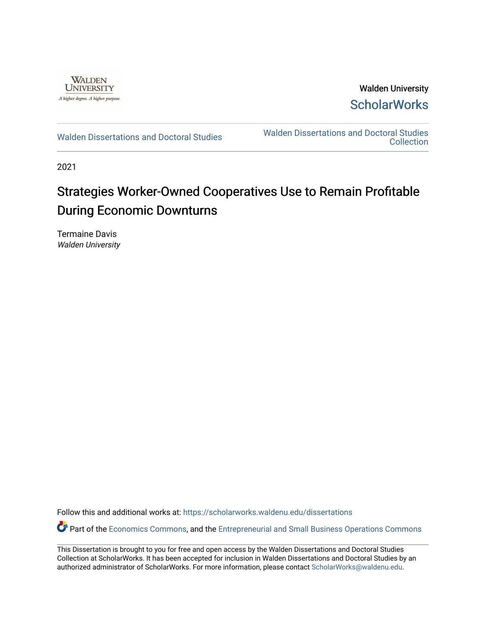

Walden University **ScholarWorks** 

[Walden Dissertations and Doctoral Studies](https://scholarworks.waldenu.edu/dissertations) Walden Dissertations and Doctoral Studies **Collection** 

2021

# Strategies Worker-Owned Cooperatives Use to Remain Profitable During Economic Downturns

Termaine Davis Walden University

Follow this and additional works at: [https://scholarworks.waldenu.edu/dissertations](https://scholarworks.waldenu.edu/dissertations?utm_source=scholarworks.waldenu.edu%2Fdissertations%2F10221&utm_medium=PDF&utm_campaign=PDFCoverPages)

Part of the [Economics Commons](http://network.bepress.com/hgg/discipline/340?utm_source=scholarworks.waldenu.edu%2Fdissertations%2F10221&utm_medium=PDF&utm_campaign=PDFCoverPages), and the [Entrepreneurial and Small Business Operations Commons](http://network.bepress.com/hgg/discipline/630?utm_source=scholarworks.waldenu.edu%2Fdissertations%2F10221&utm_medium=PDF&utm_campaign=PDFCoverPages)

This Dissertation is brought to you for free and open access by the Walden Dissertations and Doctoral Studies Collection at ScholarWorks. It has been accepted for inclusion in Walden Dissertations and Doctoral Studies by an authorized administrator of ScholarWorks. For more information, please contact [ScholarWorks@waldenu.edu](mailto:ScholarWorks@waldenu.edu).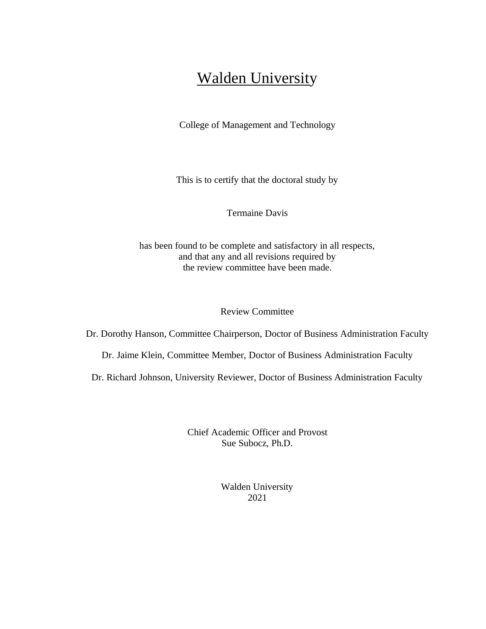# Walden University

College of Management and Technology

This is to certify that the doctoral study by

Termaine Davis

has been found to be complete and satisfactory in all respects, and that any and all revisions required by the review committee have been made.

# Review Committee

Dr. Dorothy Hanson, Committee Chairperson, Doctor of Business Administration Faculty

Dr. Jaime Klein, Committee Member, Doctor of Business Administration Faculty

Dr. Richard Johnson, University Reviewer, Doctor of Business Administration Faculty

Chief Academic Officer and Provost Sue Subocz, Ph.D.

> Walden University 2021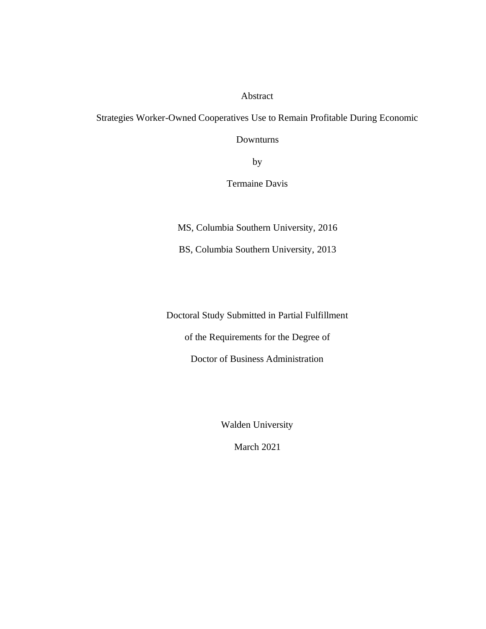# Abstract

Strategies Worker-Owned Cooperatives Use to Remain Profitable During Economic

Downturns

by

Termaine Davis

MS, Columbia Southern University, 2016

BS, Columbia Southern University, 2013

Doctoral Study Submitted in Partial Fulfillment

of the Requirements for the Degree of

Doctor of Business Administration

Walden University

March 2021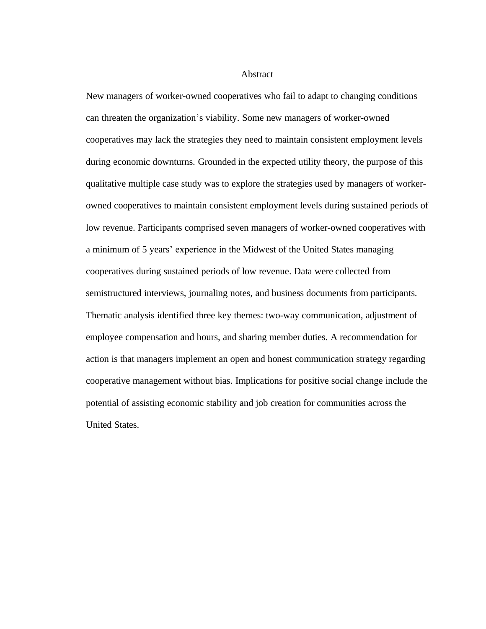# Abstract

New managers of worker-owned cooperatives who fail to adapt to changing conditions can threaten the organization's viability. Some new managers of worker-owned cooperatives may lack the strategies they need to maintain consistent employment levels during economic downturns. Grounded in the expected utility theory, the purpose of this qualitative multiple case study was to explore the strategies used by managers of workerowned cooperatives to maintain consistent employment levels during sustained periods of low revenue. Participants comprised seven managers of worker-owned cooperatives with a minimum of 5 years' experience in the Midwest of the United States managing cooperatives during sustained periods of low revenue. Data were collected from semistructured interviews, journaling notes, and business documents from participants. Thematic analysis identified three key themes: two-way communication, adjustment of employee compensation and hours, and sharing member duties. A recommendation for action is that managers implement an open and honest communication strategy regarding cooperative management without bias. Implications for positive social change include the potential of assisting economic stability and job creation for communities across the United States.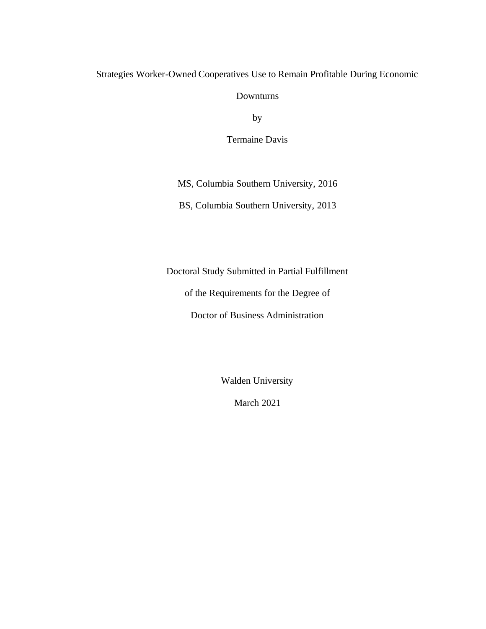# Strategies Worker-Owned Cooperatives Use to Remain Profitable During Economic

Downturns

by

Termaine Davis

MS, Columbia Southern University, 2016

BS, Columbia Southern University, 2013

Doctoral Study Submitted in Partial Fulfillment

of the Requirements for the Degree of

Doctor of Business Administration

Walden University

March 2021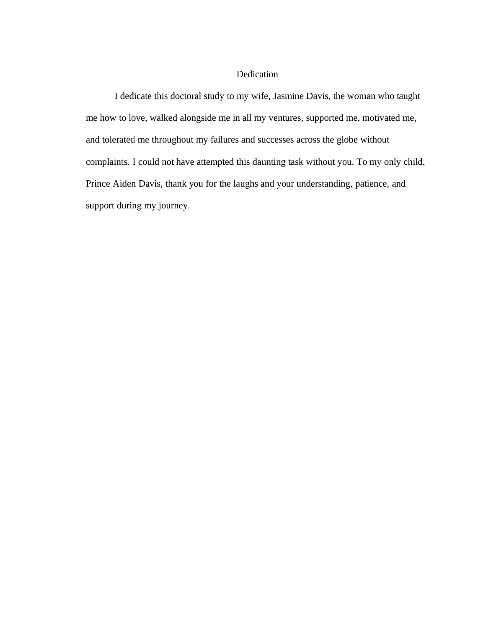# Dedication

I dedicate this doctoral study to my wife, Jasmine Davis, the woman who taught me how to love, walked alongside me in all my ventures, supported me, motivated me, and tolerated me throughout my failures and successes across the globe without complaints. I could not have attempted this daunting task without you. To my only child, Prince Aiden Davis, thank you for the laughs and your understanding, patience, and support during my journey.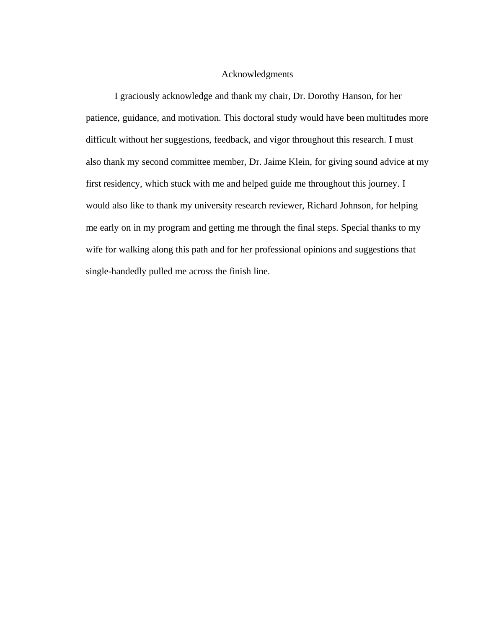# Acknowledgments

I graciously acknowledge and thank my chair, Dr. Dorothy Hanson, for her patience, guidance, and motivation. This doctoral study would have been multitudes more difficult without her suggestions, feedback, and vigor throughout this research. I must also thank my second committee member, Dr. Jaime Klein, for giving sound advice at my first residency, which stuck with me and helped guide me throughout this journey. I would also like to thank my university research reviewer, Richard Johnson, for helping me early on in my program and getting me through the final steps. Special thanks to my wife for walking along this path and for her professional opinions and suggestions that single-handedly pulled me across the finish line.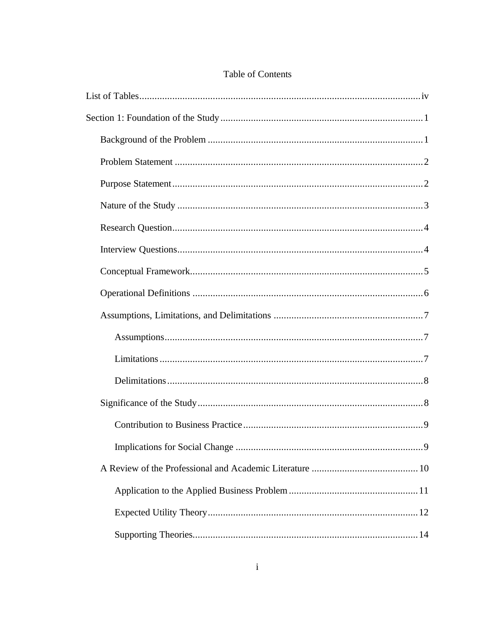# Table of Contents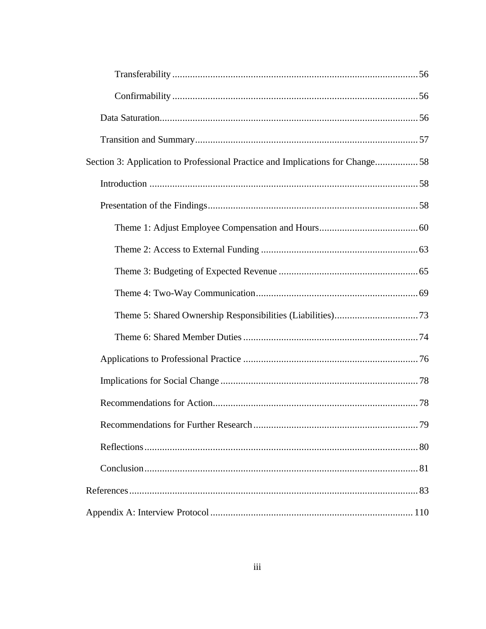| Section 3: Application to Professional Practice and Implications for Change58 |  |
|-------------------------------------------------------------------------------|--|
|                                                                               |  |
|                                                                               |  |
|                                                                               |  |
|                                                                               |  |
|                                                                               |  |
|                                                                               |  |
|                                                                               |  |
|                                                                               |  |
|                                                                               |  |
|                                                                               |  |
|                                                                               |  |
|                                                                               |  |
|                                                                               |  |
|                                                                               |  |
|                                                                               |  |
|                                                                               |  |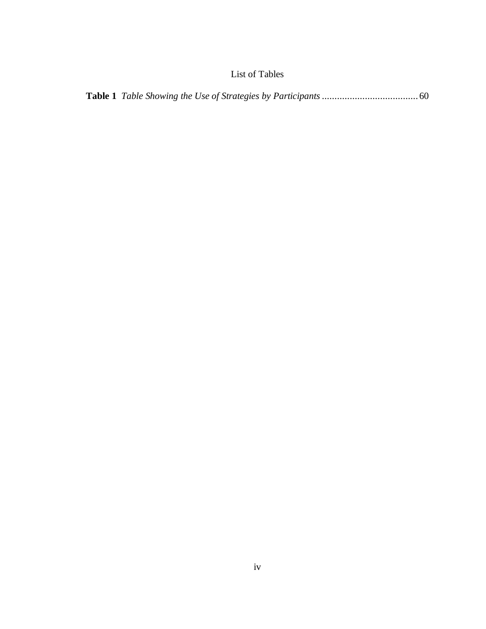# List of Tables

<span id="page-10-0"></span>

|--|--|--|--|--|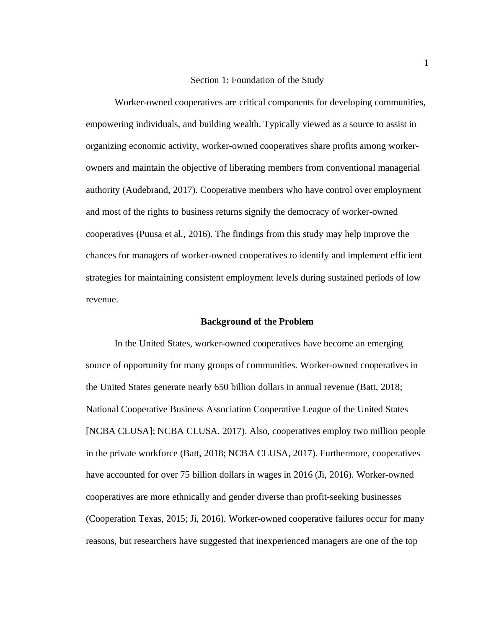## Section 1: Foundation of the Study

<span id="page-11-0"></span>Worker-owned cooperatives are critical components for developing communities, empowering individuals, and building wealth. Typically viewed as a source to assist in organizing economic activity, worker-owned cooperatives share profits among workerowners and maintain the objective of liberating members from conventional managerial authority (Audebrand, 2017). Cooperative members who have control over employment and most of the rights to business returns signify the democracy of worker-owned cooperatives (Puusa et al., 2016). The findings from this study may help improve the chances for managers of worker-owned cooperatives to identify and implement efficient strategies for maintaining consistent employment levels during sustained periods of low revenue.

#### **Background of the Problem**

<span id="page-11-1"></span>In the United States, worker-owned cooperatives have become an emerging source of opportunity for many groups of communities. Worker-owned cooperatives in the United States generate nearly 650 billion dollars in annual revenue (Batt, 2018; National Cooperative Business Association Cooperative League of the United States [NCBA CLUSA]; NCBA CLUSA, 2017). Also, cooperatives employ two million people in the private workforce (Batt, 2018; NCBA CLUSA, 2017). Furthermore, cooperatives have accounted for over 75 billion dollars in wages in 2016 (Ji, 2016). Worker-owned cooperatives are more ethnically and gender diverse than profit-seeking businesses (Cooperation Texas, 2015; Ji, 2016). Worker-owned cooperative failures occur for many reasons, but researchers have suggested that inexperienced managers are one of the top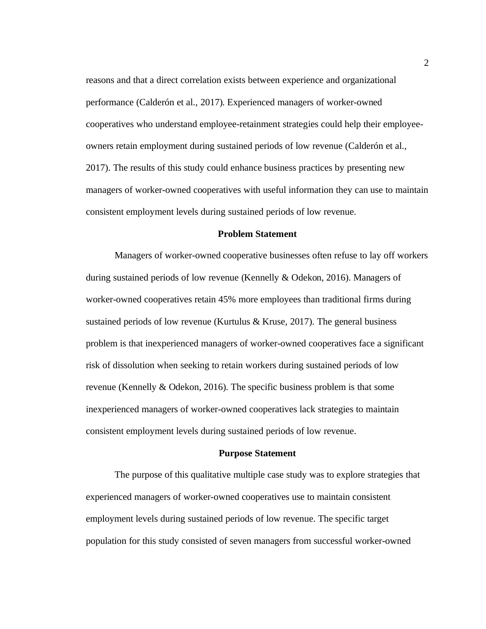reasons and that a direct correlation exists between experience and organizational performance (Calderón et al., 2017). Experienced managers of worker-owned cooperatives who understand employee-retainment strategies could help their employeeowners retain employment during sustained periods of low revenue (Calderón et al., 2017). The results of this study could enhance business practices by presenting new managers of worker-owned cooperatives with useful information they can use to maintain consistent employment levels during sustained periods of low revenue.

#### **Problem Statement**

<span id="page-12-0"></span>Managers of worker-owned cooperative businesses often refuse to lay off workers during sustained periods of low revenue (Kennelly & Odekon, 2016). Managers of worker-owned cooperatives retain 45% more employees than traditional firms during sustained periods of low revenue (Kurtulus  $&$  Kruse, 2017). The general business problem is that inexperienced managers of worker-owned cooperatives face a significant risk of dissolution when seeking to retain workers during sustained periods of low revenue (Kennelly & Odekon, 2016). The specific business problem is that some inexperienced managers of worker-owned cooperatives lack strategies to maintain consistent employment levels during sustained periods of low revenue.

#### **Purpose Statement**

<span id="page-12-1"></span>The purpose of this qualitative multiple case study was to explore strategies that experienced managers of worker-owned cooperatives use to maintain consistent employment levels during sustained periods of low revenue. The specific target population for this study consisted of seven managers from successful worker-owned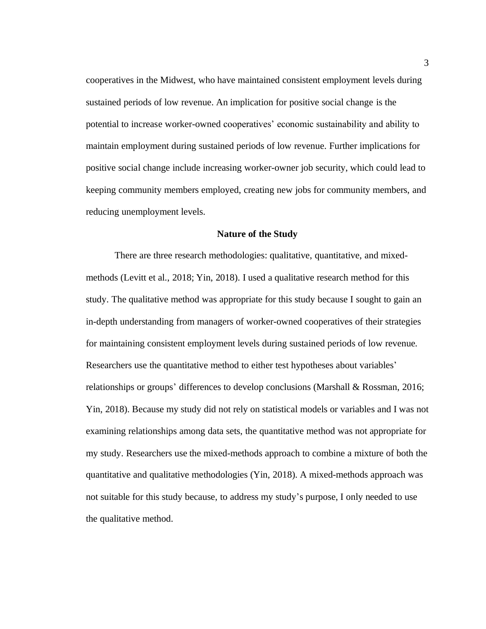cooperatives in the Midwest, who have maintained consistent employment levels during sustained periods of low revenue. An implication for positive social change is the potential to increase worker-owned cooperatives' economic sustainability and ability to maintain employment during sustained periods of low revenue. Further implications for positive social change include increasing worker-owner job security, which could lead to keeping community members employed, creating new jobs for community members, and reducing unemployment levels.

## **Nature of the Study**

<span id="page-13-0"></span>There are three research methodologies: qualitative, quantitative, and mixedmethods (Levitt et al., 2018; Yin, 2018). I used a qualitative research method for this study. The qualitative method was appropriate for this study because I sought to gain an in-depth understanding from managers of worker-owned cooperatives of their strategies for maintaining consistent employment levels during sustained periods of low revenue. Researchers use the quantitative method to either test hypotheses about variables' relationships or groups' differences to develop conclusions (Marshall & Rossman, 2016; Yin, 2018). Because my study did not rely on statistical models or variables and I was not examining relationships among data sets, the quantitative method was not appropriate for my study. Researchers use the mixed-methods approach to combine a mixture of both the quantitative and qualitative methodologies (Yin, 2018). A mixed-methods approach was not suitable for this study because, to address my study's purpose, I only needed to use the qualitative method.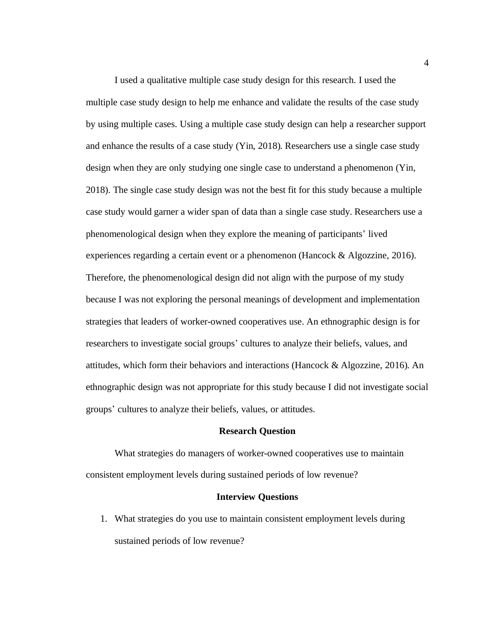I used a qualitative multiple case study design for this research. I used the multiple case study design to help me enhance and validate the results of the case study by using multiple cases. Using a multiple case study design can help a researcher support and enhance the results of a case study (Yin, 2018). Researchers use a single case study design when they are only studying one single case to understand a phenomenon (Yin, 2018). The single case study design was not the best fit for this study because a multiple case study would garner a wider span of data than a single case study. Researchers use a phenomenological design when they explore the meaning of participants' lived experiences regarding a certain event or a phenomenon (Hancock & Algozzine, 2016). Therefore, the phenomenological design did not align with the purpose of my study because I was not exploring the personal meanings of development and implementation strategies that leaders of worker-owned cooperatives use. An ethnographic design is for researchers to investigate social groups' cultures to analyze their beliefs, values, and attitudes, which form their behaviors and interactions (Hancock & Algozzine, 2016). An ethnographic design was not appropriate for this study because I did not investigate social groups' cultures to analyze their beliefs, values, or attitudes.

### **Research Question**

<span id="page-14-0"></span>What strategies do managers of worker-owned cooperatives use to maintain consistent employment levels during sustained periods of low revenue?

#### **Interview Questions**

<span id="page-14-1"></span>1. What strategies do you use to maintain consistent employment levels during sustained periods of low revenue?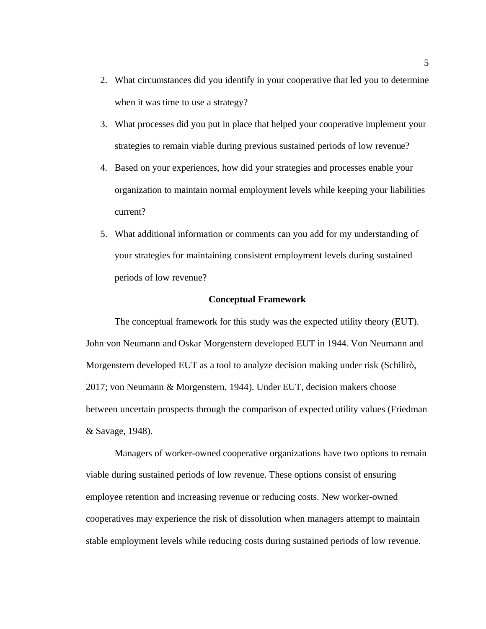- 2. What circumstances did you identify in your cooperative that led you to determine when it was time to use a strategy?
- 3. What processes did you put in place that helped your cooperative implement your strategies to remain viable during previous sustained periods of low revenue?
- 4. Based on your experiences, how did your strategies and processes enable your organization to maintain normal employment levels while keeping your liabilities current?
- 5. What additional information or comments can you add for my understanding of your strategies for maintaining consistent employment levels during sustained periods of low revenue?

#### **Conceptual Framework**

<span id="page-15-0"></span>The conceptual framework for this study was the expected utility theory (EUT). John von Neumann and Oskar Morgenstern developed EUT in 1944. Von Neumann and Morgenstern developed EUT as a tool to analyze decision making under risk (Schilirò, 2017; von Neumann & Morgenstern, 1944). Under EUT, decision makers choose between uncertain prospects through the comparison of expected utility values (Friedman & Savage, 1948).

Managers of worker-owned cooperative organizations have two options to remain viable during sustained periods of low revenue. These options consist of ensuring employee retention and increasing revenue or reducing costs. New worker-owned cooperatives may experience the risk of dissolution when managers attempt to maintain stable employment levels while reducing costs during sustained periods of low revenue.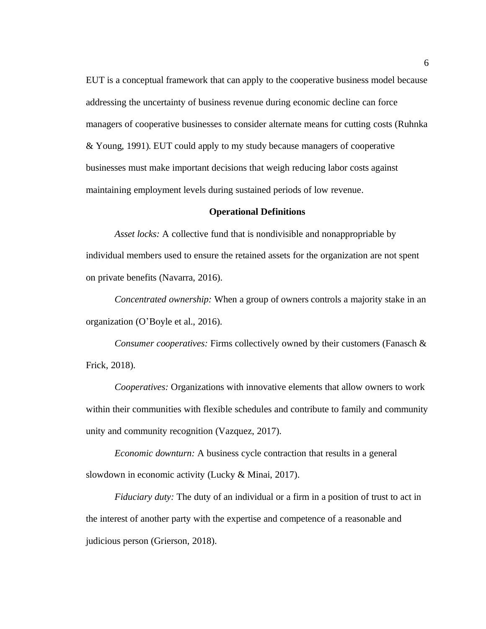EUT is a conceptual framework that can apply to the cooperative business model because addressing the uncertainty of business revenue during economic decline can force managers of cooperative businesses to consider alternate means for cutting costs (Ruhnka & Young, 1991). EUT could apply to my study because managers of cooperative businesses must make important decisions that weigh reducing labor costs against maintaining employment levels during sustained periods of low revenue.

#### **Operational Definitions**

<span id="page-16-0"></span>*Asset locks:* A collective fund that is nondivisible and nonappropriable by individual members used to ensure the retained assets for the organization are not spent on private benefits (Navarra, 2016).

*Concentrated ownership:* When a group of owners controls a majority stake in an organization (O'Boyle et al., 2016).

*Consumer cooperatives:* Firms collectively owned by their customers (Fanasch & Frick, 2018).

*Cooperatives:* Organizations with innovative elements that allow owners to work within their communities with flexible schedules and contribute to family and community unity and community recognition (Vazquez, 2017).

*Economic downturn:* A business cycle contraction that results in a general slowdown in economic activity (Lucky & Minai, 2017).

*Fiduciary duty:* The duty of an individual or a firm in a position of trust to act in the interest of another party with the expertise and competence of a reasonable and judicious person (Grierson, 2018).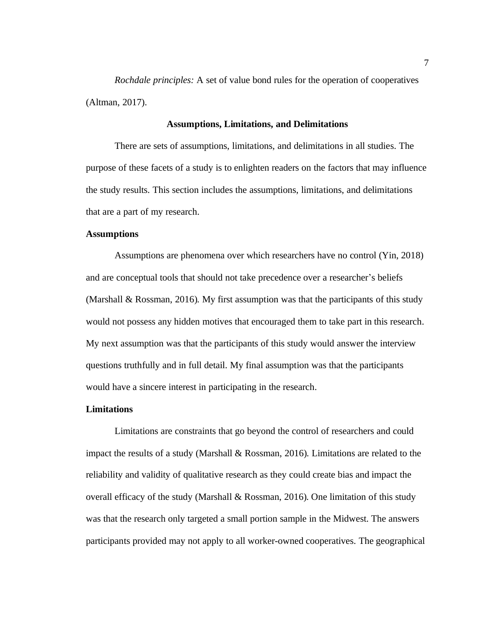*Rochdale principles:* A set of value bond rules for the operation of cooperatives (Altman, 2017).

## **Assumptions, Limitations, and Delimitations**

<span id="page-17-0"></span>There are sets of assumptions, limitations, and delimitations in all studies. The purpose of these facets of a study is to enlighten readers on the factors that may influence the study results. This section includes the assumptions, limitations, and delimitations that are a part of my research.

# <span id="page-17-1"></span>**Assumptions**

Assumptions are phenomena over which researchers have no control (Yin, 2018) and are conceptual tools that should not take precedence over a researcher's beliefs (Marshall & Rossman, 2016). My first assumption was that the participants of this study would not possess any hidden motives that encouraged them to take part in this research. My next assumption was that the participants of this study would answer the interview questions truthfully and in full detail. My final assumption was that the participants would have a sincere interest in participating in the research.

#### <span id="page-17-2"></span>**Limitations**

Limitations are constraints that go beyond the control of researchers and could impact the results of a study (Marshall & Rossman, 2016). Limitations are related to the reliability and validity of qualitative research as they could create bias and impact the overall efficacy of the study (Marshall & Rossman, 2016). One limitation of this study was that the research only targeted a small portion sample in the Midwest. The answers participants provided may not apply to all worker-owned cooperatives. The geographical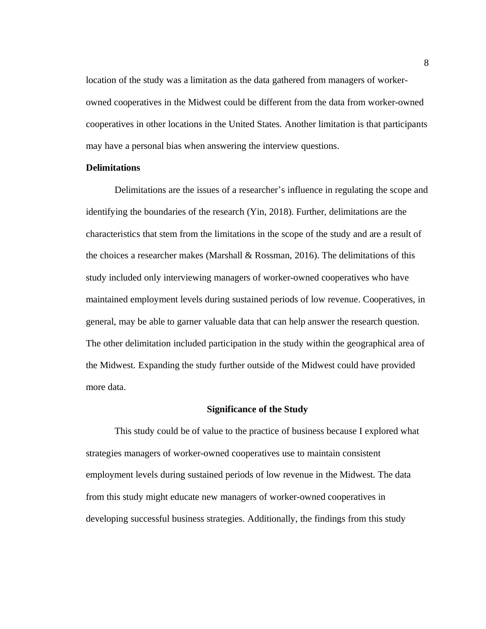location of the study was a limitation as the data gathered from managers of workerowned cooperatives in the Midwest could be different from the data from worker-owned cooperatives in other locations in the United States. Another limitation is that participants may have a personal bias when answering the interview questions.

## <span id="page-18-0"></span>**Delimitations**

Delimitations are the issues of a researcher's influence in regulating the scope and identifying the boundaries of the research (Yin, 2018). Further, delimitations are the characteristics that stem from the limitations in the scope of the study and are a result of the choices a researcher makes (Marshall  $\&$  Rossman, 2016). The delimitations of this study included only interviewing managers of worker-owned cooperatives who have maintained employment levels during sustained periods of low revenue. Cooperatives, in general, may be able to garner valuable data that can help answer the research question. The other delimitation included participation in the study within the geographical area of the Midwest. Expanding the study further outside of the Midwest could have provided more data.

#### **Significance of the Study**

<span id="page-18-1"></span>This study could be of value to the practice of business because I explored what strategies managers of worker-owned cooperatives use to maintain consistent employment levels during sustained periods of low revenue in the Midwest. The data from this study might educate new managers of worker-owned cooperatives in developing successful business strategies. Additionally, the findings from this study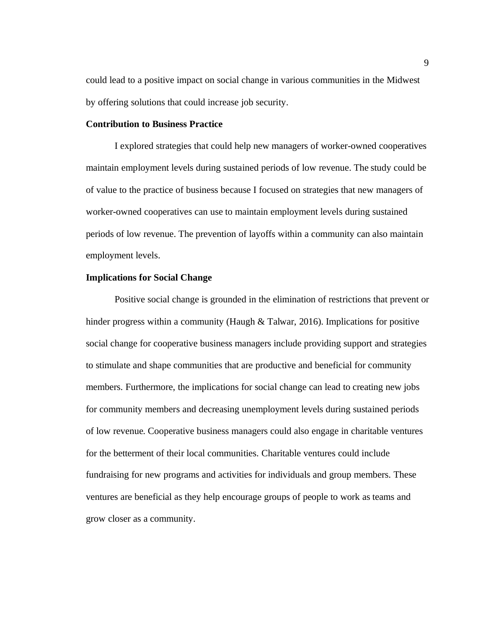could lead to a positive impact on social change in various communities in the Midwest by offering solutions that could increase job security.

## <span id="page-19-0"></span>**Contribution to Business Practice**

I explored strategies that could help new managers of worker-owned cooperatives maintain employment levels during sustained periods of low revenue. The study could be of value to the practice of business because I focused on strategies that new managers of worker-owned cooperatives can use to maintain employment levels during sustained periods of low revenue. The prevention of layoffs within a community can also maintain employment levels.

# <span id="page-19-1"></span>**Implications for Social Change**

Positive social change is grounded in the elimination of restrictions that prevent or hinder progress within a community (Haugh & Talwar, 2016). Implications for positive social change for cooperative business managers include providing support and strategies to stimulate and shape communities that are productive and beneficial for community members. Furthermore, the implications for social change can lead to creating new jobs for community members and decreasing unemployment levels during sustained periods of low revenue. Cooperative business managers could also engage in charitable ventures for the betterment of their local communities. Charitable ventures could include fundraising for new programs and activities for individuals and group members. These ventures are beneficial as they help encourage groups of people to work as teams and grow closer as a community.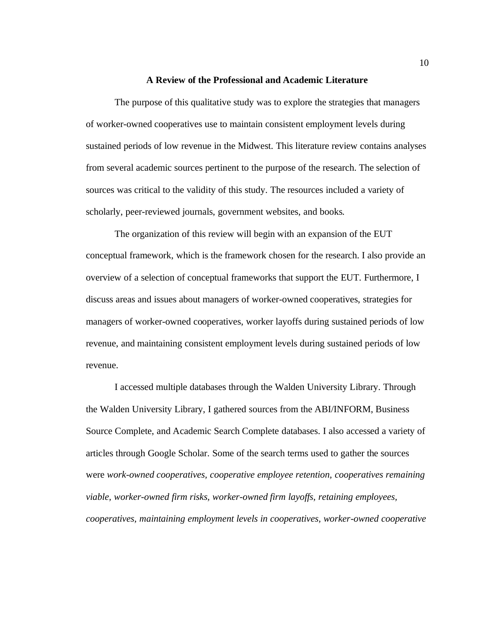#### **A Review of the Professional and Academic Literature**

<span id="page-20-0"></span>The purpose of this qualitative study was to explore the strategies that managers of worker-owned cooperatives use to maintain consistent employment levels during sustained periods of low revenue in the Midwest. This literature review contains analyses from several academic sources pertinent to the purpose of the research. The selection of sources was critical to the validity of this study. The resources included a variety of scholarly, peer-reviewed journals, government websites, and books.

The organization of this review will begin with an expansion of the EUT conceptual framework, which is the framework chosen for the research. I also provide an overview of a selection of conceptual frameworks that support the EUT. Furthermore, I discuss areas and issues about managers of worker-owned cooperatives, strategies for managers of worker-owned cooperatives, worker layoffs during sustained periods of low revenue, and maintaining consistent employment levels during sustained periods of low revenue.

I accessed multiple databases through the Walden University Library. Through the Walden University Library, I gathered sources from the ABI/INFORM, Business Source Complete, and Academic Search Complete databases. I also accessed a variety of articles through Google Scholar. Some of the search terms used to gather the sources were *work-owned cooperatives, cooperative employee retention, cooperatives remaining viable, worker-owned firm risks, worker-owned firm layoffs, retaining employees, cooperatives, maintaining employment levels in cooperatives, worker-owned cooperative*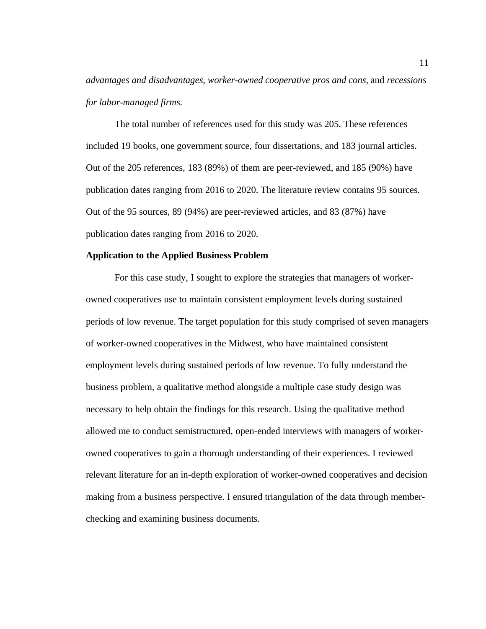*advantages and disadvantages, worker-owned cooperative pros and cons,* and *recessions for labor-managed firms.*

The total number of references used for this study was 205. These references included 19 books, one government source, four dissertations, and 183 journal articles. Out of the 205 references, 183 (89%) of them are peer-reviewed, and 185 (90%) have publication dates ranging from 2016 to 2020. The literature review contains 95 sources. Out of the 95 sources, 89 (94%) are peer-reviewed articles, and 83 (87%) have publication dates ranging from 2016 to 2020.

#### <span id="page-21-0"></span>**Application to the Applied Business Problem**

For this case study, I sought to explore the strategies that managers of workerowned cooperatives use to maintain consistent employment levels during sustained periods of low revenue. The target population for this study comprised of seven managers of worker-owned cooperatives in the Midwest, who have maintained consistent employment levels during sustained periods of low revenue. To fully understand the business problem, a qualitative method alongside a multiple case study design was necessary to help obtain the findings for this research. Using the qualitative method allowed me to conduct semistructured, open-ended interviews with managers of workerowned cooperatives to gain a thorough understanding of their experiences. I reviewed relevant literature for an in-depth exploration of worker-owned cooperatives and decision making from a business perspective. I ensured triangulation of the data through memberchecking and examining business documents.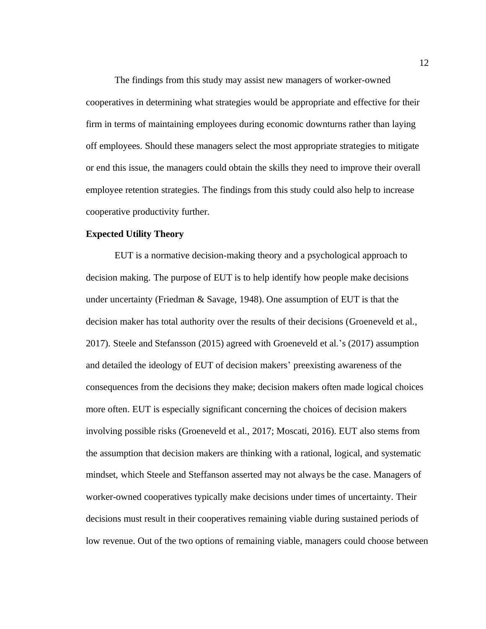The findings from this study may assist new managers of worker-owned cooperatives in determining what strategies would be appropriate and effective for their firm in terms of maintaining employees during economic downturns rather than laying off employees. Should these managers select the most appropriate strategies to mitigate or end this issue, the managers could obtain the skills they need to improve their overall employee retention strategies. The findings from this study could also help to increase cooperative productivity further.

# <span id="page-22-0"></span>**Expected Utility Theory**

EUT is a normative decision-making theory and a psychological approach to decision making. The purpose of EUT is to help identify how people make decisions under uncertainty (Friedman & Savage, 1948). One assumption of EUT is that the decision maker has total authority over the results of their decisions (Groeneveld et al., 2017). Steele and Stefansson (2015) agreed with Groeneveld et al.'s (2017) assumption and detailed the ideology of EUT of decision makers' preexisting awareness of the consequences from the decisions they make; decision makers often made logical choices more often. EUT is especially significant concerning the choices of decision makers involving possible risks (Groeneveld et al., 2017; Moscati, 2016). EUT also stems from the assumption that decision makers are thinking with a rational, logical, and systematic mindset, which Steele and Steffanson asserted may not always be the case. Managers of worker-owned cooperatives typically make decisions under times of uncertainty. Their decisions must result in their cooperatives remaining viable during sustained periods of low revenue. Out of the two options of remaining viable, managers could choose between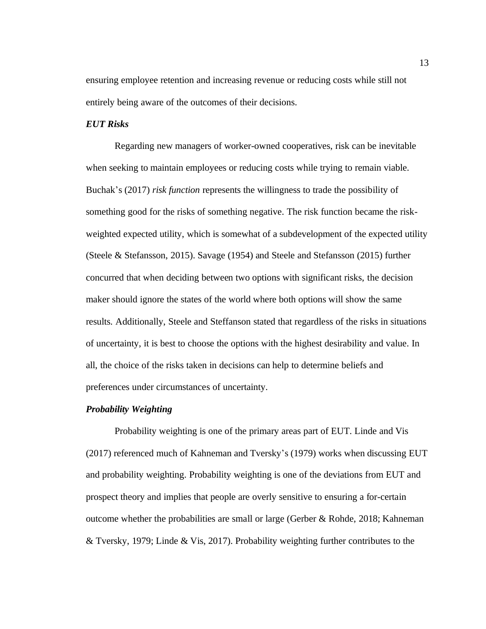ensuring employee retention and increasing revenue or reducing costs while still not entirely being aware of the outcomes of their decisions.

## *EUT Risks*

Regarding new managers of worker-owned cooperatives, risk can be inevitable when seeking to maintain employees or reducing costs while trying to remain viable. Buchak's (2017) *risk function* represents the willingness to trade the possibility of something good for the risks of something negative. The risk function became the riskweighted expected utility, which is somewhat of a subdevelopment of the expected utility (Steele & Stefansson, 2015). Savage (1954) and Steele and Stefansson (2015) further concurred that when deciding between two options with significant risks, the decision maker should ignore the states of the world where both options will show the same results. Additionally, Steele and Steffanson stated that regardless of the risks in situations of uncertainty, it is best to choose the options with the highest desirability and value. In all, the choice of the risks taken in decisions can help to determine beliefs and preferences under circumstances of uncertainty.

#### *Probability Weighting*

Probability weighting is one of the primary areas part of EUT. Linde and Vis (2017) referenced much of Kahneman and Tversky's (1979) works when discussing EUT and probability weighting. Probability weighting is one of the deviations from EUT and prospect theory and implies that people are overly sensitive to ensuring a for-certain outcome whether the probabilities are small or large (Gerber & Rohde, 2018; Kahneman & Tversky, 1979; Linde & Vis, 2017). Probability weighting further contributes to the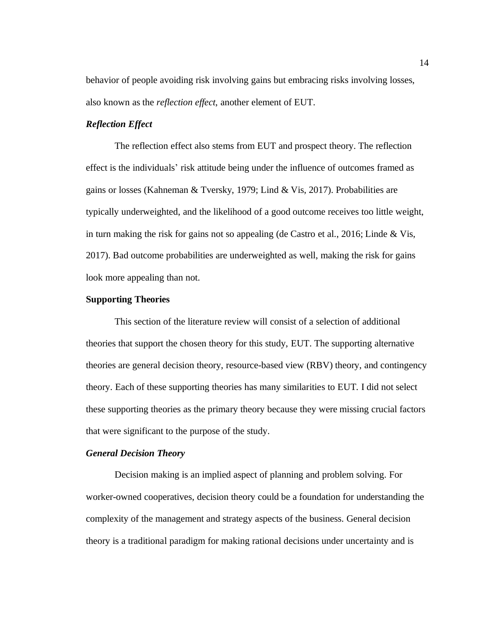behavior of people avoiding risk involving gains but embracing risks involving losses, also known as the *reflection effect*, another element of EUT.

# *Reflection Effect*

The reflection effect also stems from EUT and prospect theory. The reflection effect is the individuals' risk attitude being under the influence of outcomes framed as gains or losses (Kahneman & Tversky, 1979; Lind & Vis, 2017). Probabilities are typically underweighted, and the likelihood of a good outcome receives too little weight, in turn making the risk for gains not so appealing (de Castro et al., 2016; Linde & Vis, 2017). Bad outcome probabilities are underweighted as well, making the risk for gains look more appealing than not.

## <span id="page-24-0"></span>**Supporting Theories**

This section of the literature review will consist of a selection of additional theories that support the chosen theory for this study, EUT. The supporting alternative theories are general decision theory, resource-based view (RBV) theory, and contingency theory. Each of these supporting theories has many similarities to EUT. I did not select these supporting theories as the primary theory because they were missing crucial factors that were significant to the purpose of the study.

## *General Decision Theory*

Decision making is an implied aspect of planning and problem solving. For worker-owned cooperatives, decision theory could be a foundation for understanding the complexity of the management and strategy aspects of the business. General decision theory is a traditional paradigm for making rational decisions under uncertainty and is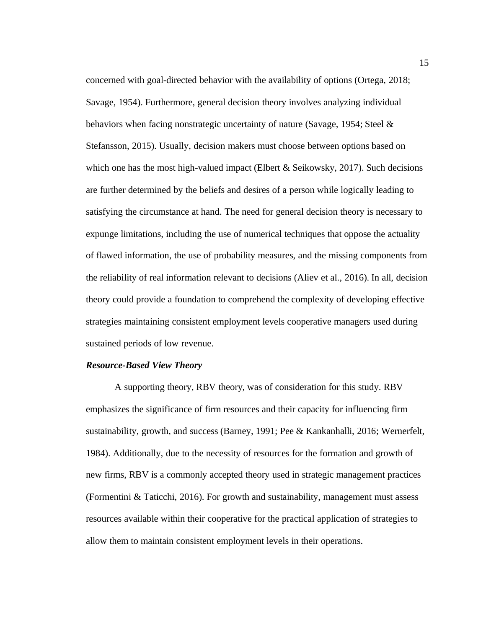concerned with goal-directed behavior with the availability of options (Ortega, 2018; Savage, 1954). Furthermore, general decision theory involves analyzing individual behaviors when facing nonstrategic uncertainty of nature (Savage, 1954; Steel & Stefansson, 2015). Usually, decision makers must choose between options based on which one has the most high-valued impact (Elbert  $\&$  Seikowsky, 2017). Such decisions are further determined by the beliefs and desires of a person while logically leading to satisfying the circumstance at hand. The need for general decision theory is necessary to expunge limitations, including the use of numerical techniques that oppose the actuality of flawed information, the use of probability measures, and the missing components from the reliability of real information relevant to decisions (Aliev et al., 2016). In all, decision theory could provide a foundation to comprehend the complexity of developing effective strategies maintaining consistent employment levels cooperative managers used during sustained periods of low revenue.

#### *Resource-Based View Theory*

A supporting theory, RBV theory, was of consideration for this study. RBV emphasizes the significance of firm resources and their capacity for influencing firm sustainability, growth, and success (Barney, 1991; Pee & Kankanhalli, 2016; Wernerfelt, 1984). Additionally, due to the necessity of resources for the formation and growth of new firms, RBV is a commonly accepted theory used in strategic management practices (Formentini & Taticchi, 2016). For growth and sustainability, management must assess resources available within their cooperative for the practical application of strategies to allow them to maintain consistent employment levels in their operations.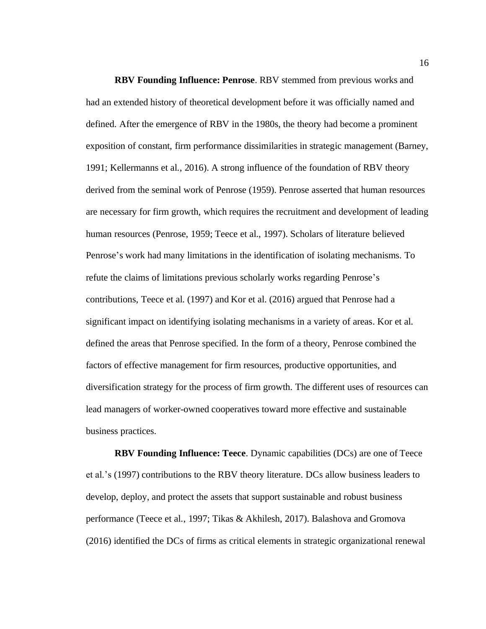**RBV Founding Influence: Penrose**. RBV stemmed from previous works and had an extended history of theoretical development before it was officially named and defined. After the emergence of RBV in the 1980s, the theory had become a prominent exposition of constant, firm performance dissimilarities in strategic management (Barney, 1991; Kellermanns et al., 2016). A strong influence of the foundation of RBV theory derived from the seminal work of Penrose (1959). Penrose asserted that human resources are necessary for firm growth, which requires the recruitment and development of leading human resources (Penrose, 1959; Teece et al., 1997). Scholars of literature believed Penrose's work had many limitations in the identification of isolating mechanisms. To refute the claims of limitations previous scholarly works regarding Penrose's contributions, Teece et al. (1997) and Kor et al. (2016) argued that Penrose had a significant impact on identifying isolating mechanisms in a variety of areas. Kor et al. defined the areas that Penrose specified. In the form of a theory, Penrose combined the factors of effective management for firm resources, productive opportunities, and diversification strategy for the process of firm growth. The different uses of resources can lead managers of worker-owned cooperatives toward more effective and sustainable business practices.

**RBV Founding Influence: Teece**. Dynamic capabilities (DCs) are one of Teece et al.'s (1997) contributions to the RBV theory literature. DCs allow business leaders to develop, deploy, and protect the assets that support sustainable and robust business performance (Teece et al., 1997; Tikas & Akhilesh, 2017). Balashova and Gromova (2016) identified the DCs of firms as critical elements in strategic organizational renewal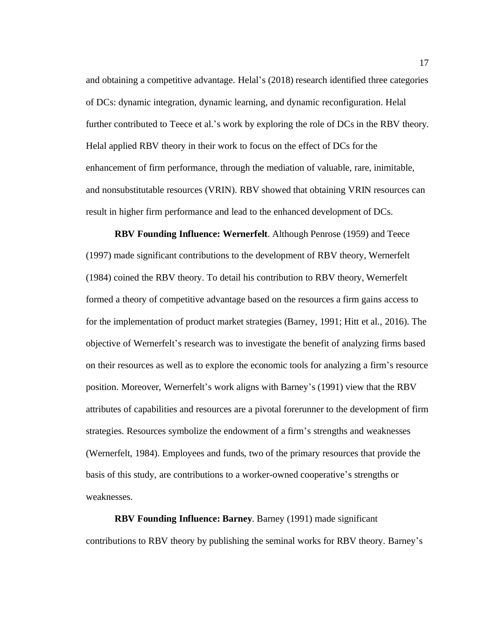and obtaining a competitive advantage. Helal's (2018) research identified three categories of DCs: dynamic integration, dynamic learning, and dynamic reconfiguration. Helal further contributed to Teece et al.'s work by exploring the role of DCs in the RBV theory. Helal applied RBV theory in their work to focus on the effect of DCs for the enhancement of firm performance, through the mediation of valuable, rare, inimitable, and nonsubstitutable resources (VRIN). RBV showed that obtaining VRIN resources can result in higher firm performance and lead to the enhanced development of DCs.

**RBV Founding Influence: Wernerfelt**. Although Penrose (1959) and Teece (1997) made significant contributions to the development of RBV theory, Wernerfelt (1984) coined the RBV theory. To detail his contribution to RBV theory, Wernerfelt formed a theory of competitive advantage based on the resources a firm gains access to for the implementation of product market strategies (Barney, 1991; Hitt et al., 2016). The objective of Wernerfelt's research was to investigate the benefit of analyzing firms based on their resources as well as to explore the economic tools for analyzing a firm's resource position. Moreover, Wernerfelt's work aligns with Barney's (1991) view that the RBV attributes of capabilities and resources are a pivotal forerunner to the development of firm strategies. Resources symbolize the endowment of a firm's strengths and weaknesses (Wernerfelt, 1984). Employees and funds, two of the primary resources that provide the basis of this study, are contributions to a worker-owned cooperative's strengths or weaknesses.

**RBV Founding Influence: Barney**. Barney (1991) made significant contributions to RBV theory by publishing the seminal works for RBV theory. Barney's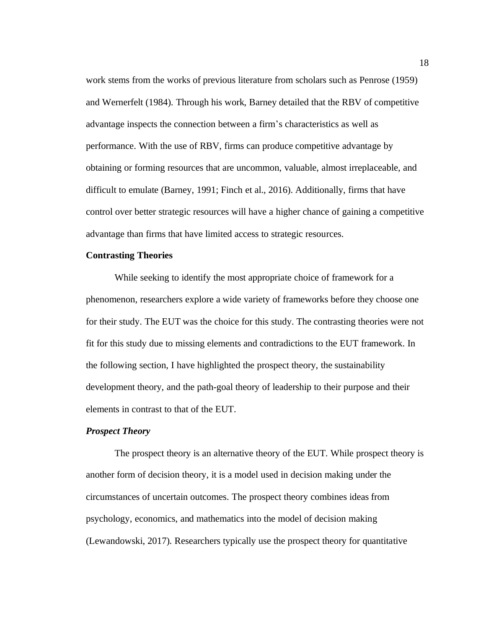work stems from the works of previous literature from scholars such as Penrose (1959) and Wernerfelt (1984). Through his work, Barney detailed that the RBV of competitive advantage inspects the connection between a firm's characteristics as well as performance. With the use of RBV, firms can produce competitive advantage by obtaining or forming resources that are uncommon, valuable, almost irreplaceable, and difficult to emulate (Barney, 1991; Finch et al., 2016). Additionally, firms that have control over better strategic resources will have a higher chance of gaining a competitive advantage than firms that have limited access to strategic resources.

#### <span id="page-28-0"></span>**Contrasting Theories**

While seeking to identify the most appropriate choice of framework for a phenomenon, researchers explore a wide variety of frameworks before they choose one for their study. The EUT was the choice for this study. The contrasting theories were not fit for this study due to missing elements and contradictions to the EUT framework. In the following section, I have highlighted the prospect theory, the sustainability development theory, and the path-goal theory of leadership to their purpose and their elements in contrast to that of the EUT.

#### *Prospect Theory*

The prospect theory is an alternative theory of the EUT. While prospect theory is another form of decision theory, it is a model used in decision making under the circumstances of uncertain outcomes. The prospect theory combines ideas from psychology, economics, and mathematics into the model of decision making (Lewandowski, 2017). Researchers typically use the prospect theory for quantitative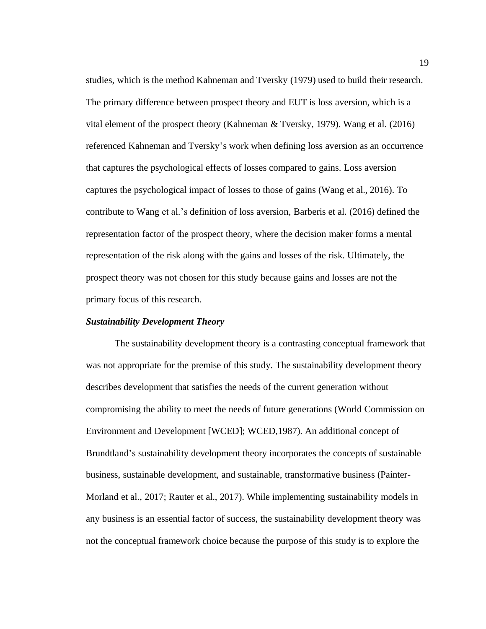studies, which is the method Kahneman and Tversky (1979) used to build their research. The primary difference between prospect theory and EUT is loss aversion, which is a vital element of the prospect theory (Kahneman & Tversky, 1979). Wang et al. (2016) referenced Kahneman and Tversky's work when defining loss aversion as an occurrence that captures the psychological effects of losses compared to gains. Loss aversion captures the psychological impact of losses to those of gains (Wang et al., 2016). To contribute to Wang et al.'s definition of loss aversion, Barberis et al. (2016) defined the representation factor of the prospect theory, where the decision maker forms a mental representation of the risk along with the gains and losses of the risk. Ultimately, the prospect theory was not chosen for this study because gains and losses are not the primary focus of this research.

#### *Sustainability Development Theory*

The sustainability development theory is a contrasting conceptual framework that was not appropriate for the premise of this study. The sustainability development theory describes development that satisfies the needs of the current generation without compromising the ability to meet the needs of future generations (World Commission on Environment and Development [WCED]; WCED,1987). An additional concept of Brundtland's sustainability development theory incorporates the concepts of sustainable business, sustainable development, and sustainable, transformative business (Painter-Morland et al., 2017; Rauter et al., 2017). While implementing sustainability models in any business is an essential factor of success, the sustainability development theory was not the conceptual framework choice because the purpose of this study is to explore the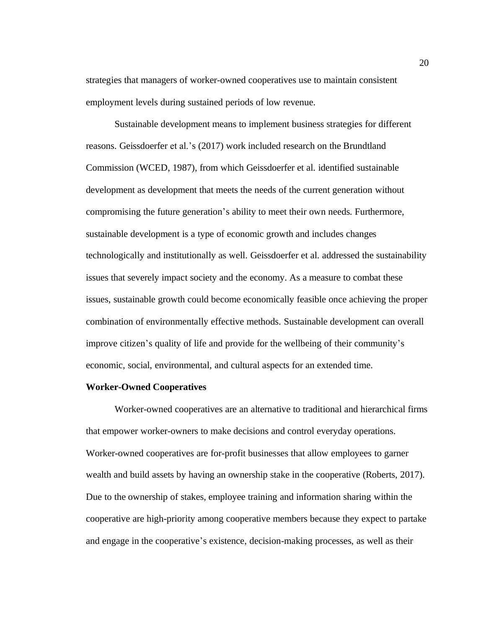strategies that managers of worker-owned cooperatives use to maintain consistent employment levels during sustained periods of low revenue.

Sustainable development means to implement business strategies for different reasons. Geissdoerfer et al.'s (2017) work included research on the Brundtland Commission (WCED, 1987), from which Geissdoerfer et al. identified sustainable development as development that meets the needs of the current generation without compromising the future generation's ability to meet their own needs. Furthermore, sustainable development is a type of economic growth and includes changes technologically and institutionally as well. Geissdoerfer et al. addressed the sustainability issues that severely impact society and the economy. As a measure to combat these issues, sustainable growth could become economically feasible once achieving the proper combination of environmentally effective methods. Sustainable development can overall improve citizen's quality of life and provide for the wellbeing of their community's economic, social, environmental, and cultural aspects for an extended time.

#### <span id="page-30-0"></span>**Worker-Owned Cooperatives**

Worker-owned cooperatives are an alternative to traditional and hierarchical firms that empower worker-owners to make decisions and control everyday operations. Worker-owned cooperatives are for-profit businesses that allow employees to garner wealth and build assets by having an ownership stake in the cooperative (Roberts, 2017). Due to the ownership of stakes, employee training and information sharing within the cooperative are high-priority among cooperative members because they expect to partake and engage in the cooperative's existence, decision-making processes, as well as their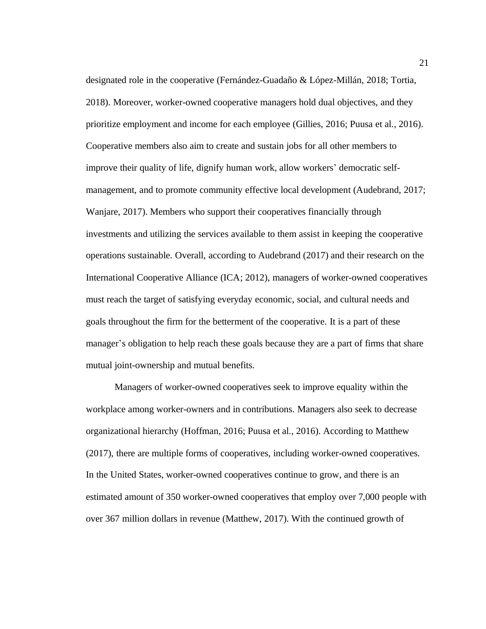designated role in the cooperative (Fernández-Guadaño & López-Millán, 2018; Tortia, 2018). Moreover, worker-owned cooperative managers hold dual objectives, and they prioritize employment and income for each employee (Gillies, 2016; Puusa et al., 2016). Cooperative members also aim to create and sustain jobs for all other members to improve their quality of life, dignify human work, allow workers' democratic selfmanagement, and to promote community effective local development (Audebrand, 2017; Wanjare, 2017). Members who support their cooperatives financially through investments and utilizing the services available to them assist in keeping the cooperative operations sustainable. Overall, according to Audebrand (2017) and their research on the International Cooperative Alliance (ICA; 2012), managers of worker-owned cooperatives must reach the target of satisfying everyday economic, social, and cultural needs and goals throughout the firm for the betterment of the cooperative. It is a part of these manager's obligation to help reach these goals because they are a part of firms that share mutual joint-ownership and mutual benefits.

Managers of worker-owned cooperatives seek to improve equality within the workplace among worker-owners and in contributions. Managers also seek to decrease organizational hierarchy (Hoffman, 2016; Puusa et al., 2016). According to Matthew (2017), there are multiple forms of cooperatives, including worker-owned cooperatives. In the United States, worker-owned cooperatives continue to grow, and there is an estimated amount of 350 worker-owned cooperatives that employ over 7,000 people with over 367 million dollars in revenue (Matthew, 2017). With the continued growth of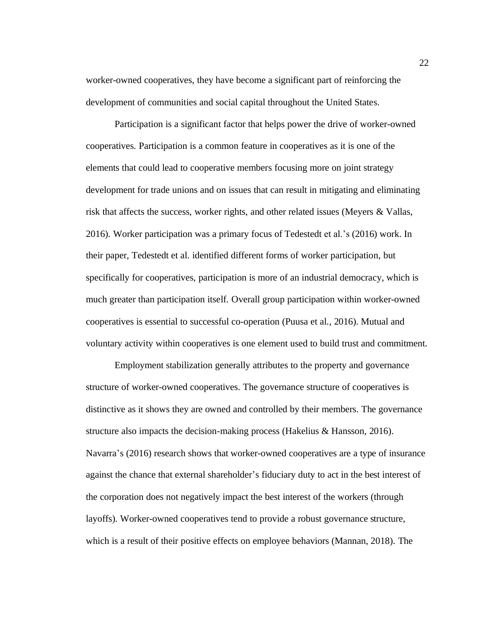worker-owned cooperatives, they have become a significant part of reinforcing the development of communities and social capital throughout the United States.

Participation is a significant factor that helps power the drive of worker-owned cooperatives. Participation is a common feature in cooperatives as it is one of the elements that could lead to cooperative members focusing more on joint strategy development for trade unions and on issues that can result in mitigating and eliminating risk that affects the success, worker rights, and other related issues (Meyers & Vallas, 2016). Worker participation was a primary focus of Tedestedt et al.'s (2016) work. In their paper, Tedestedt et al. identified different forms of worker participation, but specifically for cooperatives, participation is more of an industrial democracy, which is much greater than participation itself. Overall group participation within worker-owned cooperatives is essential to successful co-operation (Puusa et al., 2016). Mutual and voluntary activity within cooperatives is one element used to build trust and commitment.

Employment stabilization generally attributes to the property and governance structure of worker-owned cooperatives. The governance structure of cooperatives is distinctive as it shows they are owned and controlled by their members. The governance structure also impacts the decision-making process (Hakelius & Hansson, 2016). Navarra's (2016) research shows that worker-owned cooperatives are a type of insurance against the chance that external shareholder's fiduciary duty to act in the best interest of the corporation does not negatively impact the best interest of the workers (through layoffs). Worker-owned cooperatives tend to provide a robust governance structure, which is a result of their positive effects on employee behaviors (Mannan, 2018). The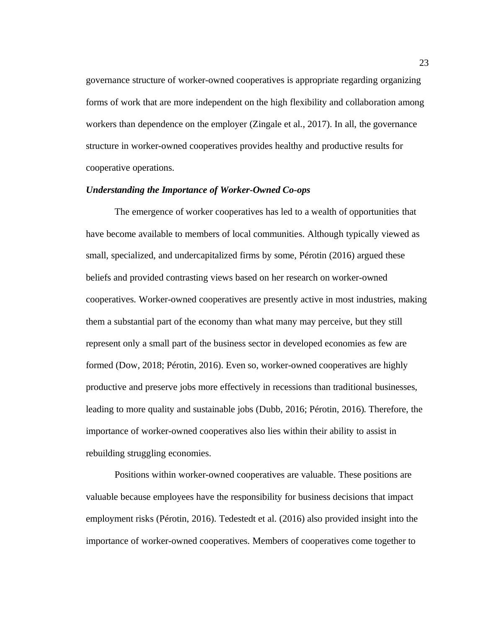governance structure of worker-owned cooperatives is appropriate regarding organizing forms of work that are more independent on the high flexibility and collaboration among workers than dependence on the employer (Zingale et al., 2017). In all, the governance structure in worker-owned cooperatives provides healthy and productive results for cooperative operations.

## *Understanding the Importance of Worker-Owned Co-ops*

The emergence of worker cooperatives has led to a wealth of opportunities that have become available to members of local communities. Although typically viewed as small, specialized, and undercapitalized firms by some, Pérotin (2016) argued these beliefs and provided contrasting views based on her research on worker-owned cooperatives. Worker-owned cooperatives are presently active in most industries, making them a substantial part of the economy than what many may perceive, but they still represent only a small part of the business sector in developed economies as few are formed (Dow, 2018; Pérotin, 2016). Even so, worker-owned cooperatives are highly productive and preserve jobs more effectively in recessions than traditional businesses, leading to more quality and sustainable jobs (Dubb, 2016; Pérotin, 2016). Therefore, the importance of worker-owned cooperatives also lies within their ability to assist in rebuilding struggling economies.

Positions within worker-owned cooperatives are valuable. These positions are valuable because employees have the responsibility for business decisions that impact employment risks (Pérotin, 2016). Tedestedt et al. (2016) also provided insight into the importance of worker-owned cooperatives. Members of cooperatives come together to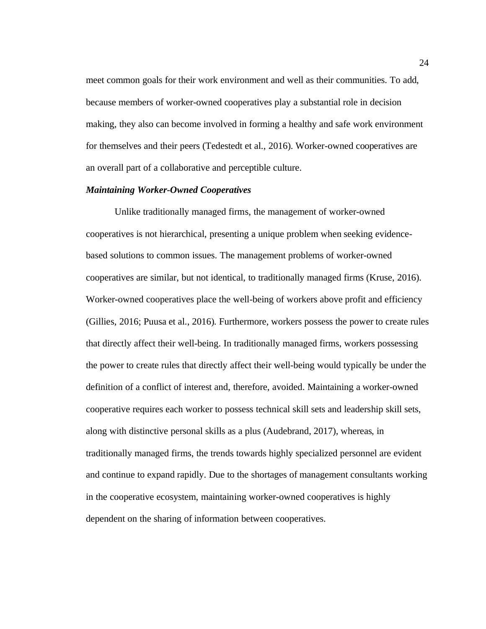meet common goals for their work environment and well as their communities. To add, because members of worker-owned cooperatives play a substantial role in decision making, they also can become involved in forming a healthy and safe work environment for themselves and their peers (Tedestedt et al., 2016). Worker-owned cooperatives are an overall part of a collaborative and perceptible culture.

## *Maintaining Worker-Owned Cooperatives*

Unlike traditionally managed firms, the management of worker-owned cooperatives is not hierarchical, presenting a unique problem when seeking evidencebased solutions to common issues. The management problems of worker-owned cooperatives are similar, but not identical, to traditionally managed firms (Kruse, 2016). Worker-owned cooperatives place the well-being of workers above profit and efficiency (Gillies, 2016; Puusa et al., 2016). Furthermore, workers possess the power to create rules that directly affect their well-being. In traditionally managed firms, workers possessing the power to create rules that directly affect their well-being would typically be under the definition of a conflict of interest and, therefore, avoided. Maintaining a worker-owned cooperative requires each worker to possess technical skill sets and leadership skill sets, along with distinctive personal skills as a plus (Audebrand, 2017), whereas, in traditionally managed firms, the trends towards highly specialized personnel are evident and continue to expand rapidly. Due to the shortages of management consultants working in the cooperative ecosystem, maintaining worker-owned cooperatives is highly dependent on the sharing of information between cooperatives.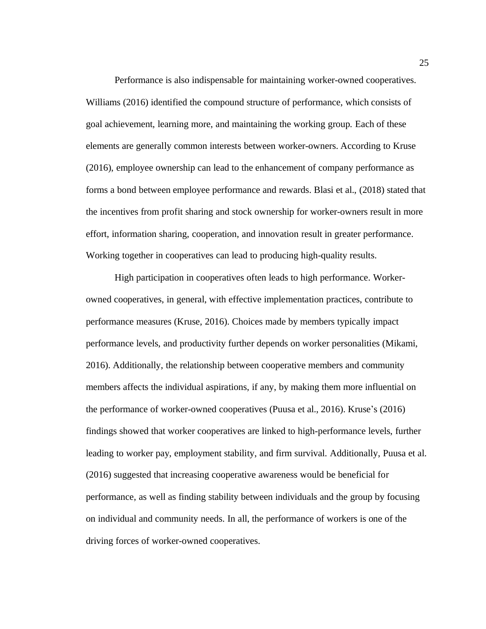Performance is also indispensable for maintaining worker-owned cooperatives. Williams (2016) identified the compound structure of performance, which consists of goal achievement, learning more, and maintaining the working group. Each of these elements are generally common interests between worker-owners. According to Kruse (2016), employee ownership can lead to the enhancement of company performance as forms a bond between employee performance and rewards. Blasi et al., (2018) stated that the incentives from profit sharing and stock ownership for worker-owners result in more effort, information sharing, cooperation, and innovation result in greater performance. Working together in cooperatives can lead to producing high-quality results.

High participation in cooperatives often leads to high performance. Workerowned cooperatives, in general, with effective implementation practices, contribute to performance measures (Kruse, 2016). Choices made by members typically impact performance levels, and productivity further depends on worker personalities (Mikami, 2016). Additionally, the relationship between cooperative members and community members affects the individual aspirations, if any, by making them more influential on the performance of worker-owned cooperatives (Puusa et al., 2016). Kruse's (2016) findings showed that worker cooperatives are linked to high-performance levels, further leading to worker pay, employment stability, and firm survival. Additionally, Puusa et al. (2016) suggested that increasing cooperative awareness would be beneficial for performance, as well as finding stability between individuals and the group by focusing on individual and community needs. In all, the performance of workers is one of the driving forces of worker-owned cooperatives.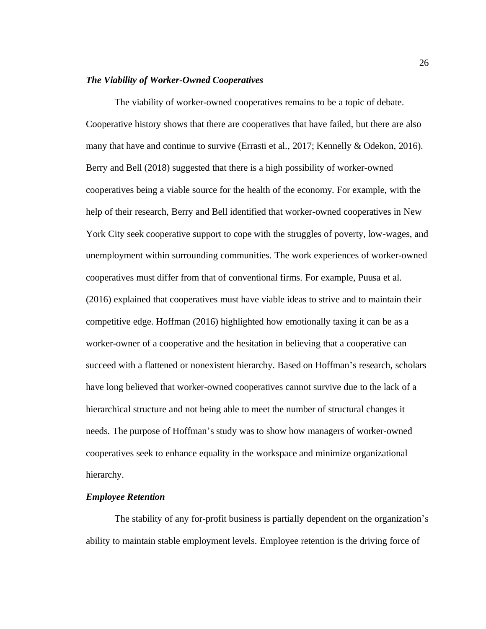### *The Viability of Worker-Owned Cooperatives*

The viability of worker-owned cooperatives remains to be a topic of debate. Cooperative history shows that there are cooperatives that have failed, but there are also many that have and continue to survive (Errasti et al., 2017; Kennelly & Odekon, 2016). Berry and Bell (2018) suggested that there is a high possibility of worker-owned cooperatives being a viable source for the health of the economy. For example, with the help of their research, Berry and Bell identified that worker-owned cooperatives in New York City seek cooperative support to cope with the struggles of poverty, low-wages, and unemployment within surrounding communities. The work experiences of worker-owned cooperatives must differ from that of conventional firms. For example, Puusa et al. (2016) explained that cooperatives must have viable ideas to strive and to maintain their competitive edge. Hoffman (2016) highlighted how emotionally taxing it can be as a worker-owner of a cooperative and the hesitation in believing that a cooperative can succeed with a flattened or nonexistent hierarchy. Based on Hoffman's research, scholars have long believed that worker-owned cooperatives cannot survive due to the lack of a hierarchical structure and not being able to meet the number of structural changes it needs. The purpose of Hoffman's study was to show how managers of worker-owned cooperatives seek to enhance equality in the workspace and minimize organizational hierarchy.

# *Employee Retention*

The stability of any for-profit business is partially dependent on the organization's ability to maintain stable employment levels. Employee retention is the driving force of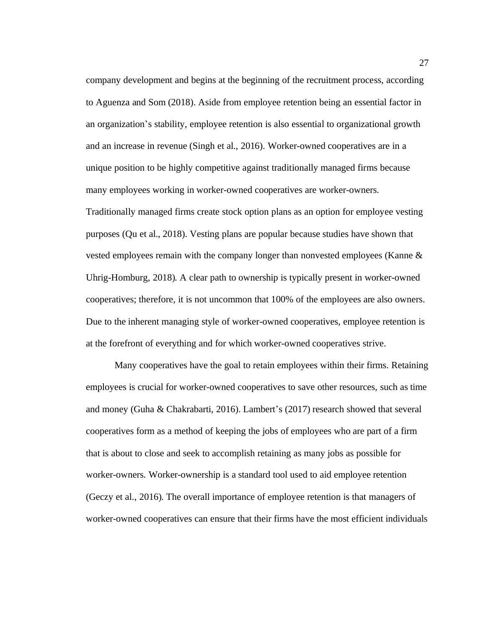company development and begins at the beginning of the recruitment process, according to Aguenza and Som (2018). Aside from employee retention being an essential factor in an organization's stability, employee retention is also essential to organizational growth and an increase in revenue (Singh et al., 2016). Worker-owned cooperatives are in a unique position to be highly competitive against traditionally managed firms because many employees working in worker-owned cooperatives are worker-owners. Traditionally managed firms create stock option plans as an option for employee vesting purposes (Qu et al., 2018). Vesting plans are popular because studies have shown that vested employees remain with the company longer than nonvested employees (Kanne & Uhrig-Homburg, 2018). A clear path to ownership is typically present in worker-owned cooperatives; therefore, it is not uncommon that 100% of the employees are also owners. Due to the inherent managing style of worker-owned cooperatives, employee retention is at the forefront of everything and for which worker-owned cooperatives strive.

Many cooperatives have the goal to retain employees within their firms. Retaining employees is crucial for worker-owned cooperatives to save other resources, such as time and money (Guha & Chakrabarti, 2016). Lambert's (2017) research showed that several cooperatives form as a method of keeping the jobs of employees who are part of a firm that is about to close and seek to accomplish retaining as many jobs as possible for worker-owners. Worker-ownership is a standard tool used to aid employee retention (Geczy et al., 2016). The overall importance of employee retention is that managers of worker-owned cooperatives can ensure that their firms have the most efficient individuals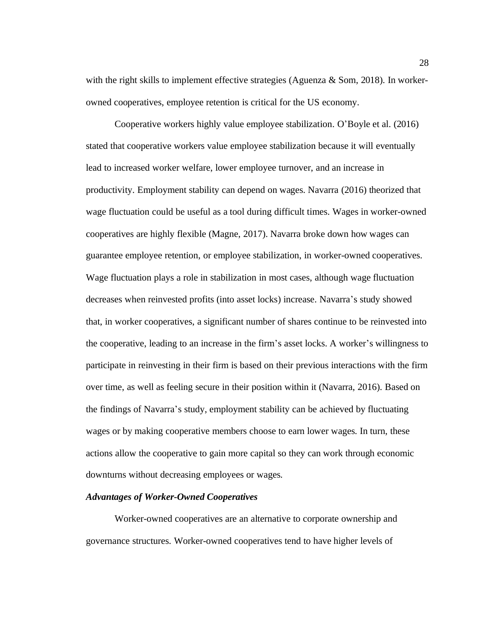with the right skills to implement effective strategies (Aguenza & Som, 2018). In workerowned cooperatives, employee retention is critical for the US economy.

Cooperative workers highly value employee stabilization. O'Boyle et al. (2016) stated that cooperative workers value employee stabilization because it will eventually lead to increased worker welfare, lower employee turnover, and an increase in productivity. Employment stability can depend on wages. Navarra (2016) theorized that wage fluctuation could be useful as a tool during difficult times. Wages in worker-owned cooperatives are highly flexible (Magne, 2017). Navarra broke down how wages can guarantee employee retention, or employee stabilization, in worker-owned cooperatives. Wage fluctuation plays a role in stabilization in most cases, although wage fluctuation decreases when reinvested profits (into asset locks) increase. Navarra's study showed that, in worker cooperatives, a significant number of shares continue to be reinvested into the cooperative, leading to an increase in the firm's asset locks. A worker's willingness to participate in reinvesting in their firm is based on their previous interactions with the firm over time, as well as feeling secure in their position within it (Navarra, 2016). Based on the findings of Navarra's study, employment stability can be achieved by fluctuating wages or by making cooperative members choose to earn lower wages. In turn, these actions allow the cooperative to gain more capital so they can work through economic downturns without decreasing employees or wages.

#### *Advantages of Worker-Owned Cooperatives*

Worker-owned cooperatives are an alternative to corporate ownership and governance structures. Worker-owned cooperatives tend to have higher levels of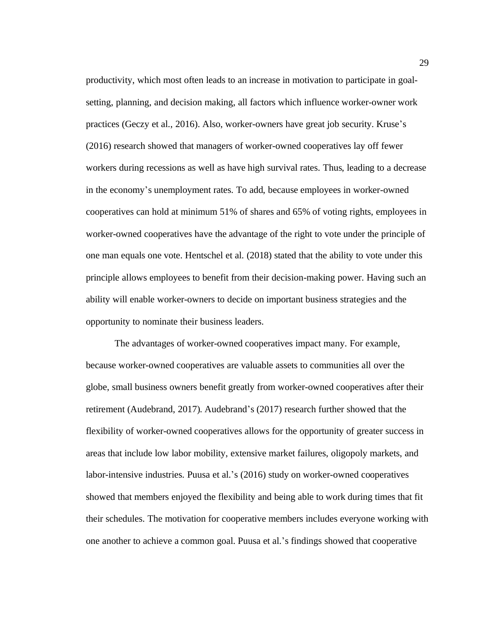productivity, which most often leads to an increase in motivation to participate in goalsetting, planning, and decision making, all factors which influence worker-owner work practices (Geczy et al., 2016). Also, worker-owners have great job security. Kruse's (2016) research showed that managers of worker-owned cooperatives lay off fewer workers during recessions as well as have high survival rates. Thus, leading to a decrease in the economy's unemployment rates. To add, because employees in worker-owned cooperatives can hold at minimum 51% of shares and 65% of voting rights, employees in worker-owned cooperatives have the advantage of the right to vote under the principle of one man equals one vote. Hentschel et al. (2018) stated that the ability to vote under this principle allows employees to benefit from their decision-making power. Having such an ability will enable worker-owners to decide on important business strategies and the opportunity to nominate their business leaders.

The advantages of worker-owned cooperatives impact many. For example, because worker-owned cooperatives are valuable assets to communities all over the globe, small business owners benefit greatly from worker-owned cooperatives after their retirement (Audebrand, 2017). Audebrand's (2017) research further showed that the flexibility of worker-owned cooperatives allows for the opportunity of greater success in areas that include low labor mobility, extensive market failures, oligopoly markets, and labor-intensive industries. Puusa et al.'s (2016) study on worker-owned cooperatives showed that members enjoyed the flexibility and being able to work during times that fit their schedules. The motivation for cooperative members includes everyone working with one another to achieve a common goal. Puusa et al.'s findings showed that cooperative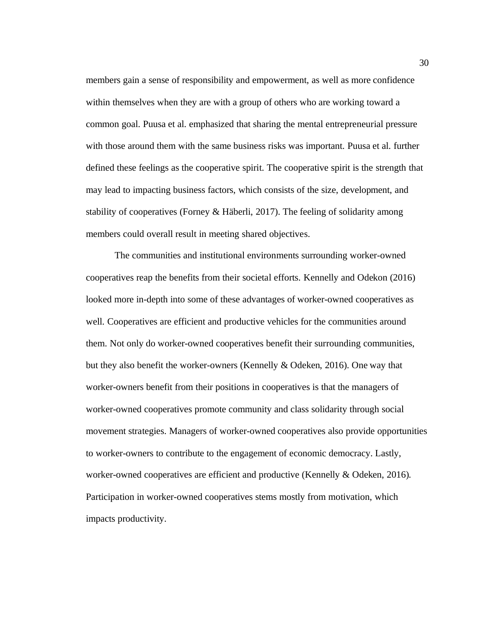members gain a sense of responsibility and empowerment, as well as more confidence within themselves when they are with a group of others who are working toward a common goal. Puusa et al. emphasized that sharing the mental entrepreneurial pressure with those around them with the same business risks was important. Puusa et al. further defined these feelings as the cooperative spirit. The cooperative spirit is the strength that may lead to impacting business factors, which consists of the size, development, and stability of cooperatives (Forney & Häberli, 2017). The feeling of solidarity among members could overall result in meeting shared objectives.

The communities and institutional environments surrounding worker-owned cooperatives reap the benefits from their societal efforts. Kennelly and Odekon (2016) looked more in-depth into some of these advantages of worker-owned cooperatives as well. Cooperatives are efficient and productive vehicles for the communities around them. Not only do worker-owned cooperatives benefit their surrounding communities, but they also benefit the worker-owners (Kennelly & Odeken, 2016). One way that worker-owners benefit from their positions in cooperatives is that the managers of worker-owned cooperatives promote community and class solidarity through social movement strategies. Managers of worker-owned cooperatives also provide opportunities to worker-owners to contribute to the engagement of economic democracy. Lastly, worker-owned cooperatives are efficient and productive (Kennelly & Odeken, 2016). Participation in worker-owned cooperatives stems mostly from motivation, which impacts productivity.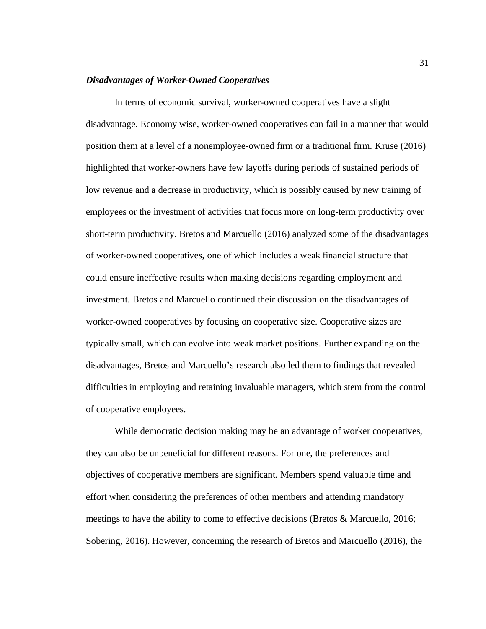### *Disadvantages of Worker-Owned Cooperatives*

In terms of economic survival, worker-owned cooperatives have a slight disadvantage. Economy wise, worker-owned cooperatives can fail in a manner that would position them at a level of a nonemployee-owned firm or a traditional firm. Kruse (2016) highlighted that worker-owners have few layoffs during periods of sustained periods of low revenue and a decrease in productivity, which is possibly caused by new training of employees or the investment of activities that focus more on long-term productivity over short-term productivity. Bretos and Marcuello (2016) analyzed some of the disadvantages of worker-owned cooperatives, one of which includes a weak financial structure that could ensure ineffective results when making decisions regarding employment and investment. Bretos and Marcuello continued their discussion on the disadvantages of worker-owned cooperatives by focusing on cooperative size. Cooperative sizes are typically small, which can evolve into weak market positions. Further expanding on the disadvantages, Bretos and Marcuello's research also led them to findings that revealed difficulties in employing and retaining invaluable managers, which stem from the control of cooperative employees.

While democratic decision making may be an advantage of worker cooperatives, they can also be unbeneficial for different reasons. For one, the preferences and objectives of cooperative members are significant. Members spend valuable time and effort when considering the preferences of other members and attending mandatory meetings to have the ability to come to effective decisions (Bretos & Marcuello, 2016; Sobering, 2016). However, concerning the research of Bretos and Marcuello (2016), the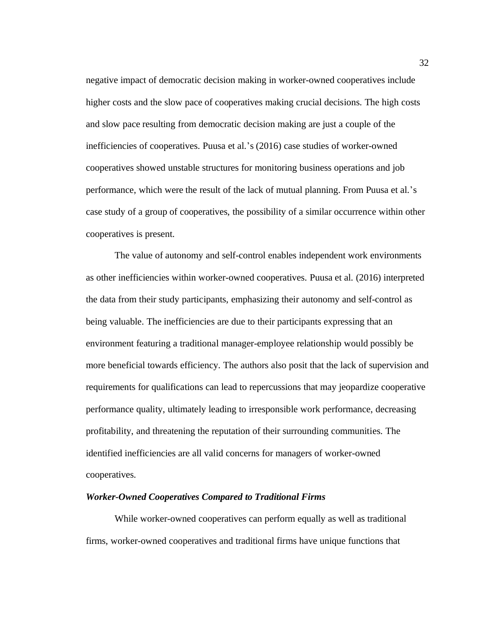negative impact of democratic decision making in worker-owned cooperatives include higher costs and the slow pace of cooperatives making crucial decisions. The high costs and slow pace resulting from democratic decision making are just a couple of the inefficiencies of cooperatives. Puusa et al.'s (2016) case studies of worker-owned cooperatives showed unstable structures for monitoring business operations and job performance, which were the result of the lack of mutual planning. From Puusa et al.'s case study of a group of cooperatives, the possibility of a similar occurrence within other cooperatives is present.

The value of autonomy and self-control enables independent work environments as other inefficiencies within worker-owned cooperatives. Puusa et al. (2016) interpreted the data from their study participants, emphasizing their autonomy and self-control as being valuable. The inefficiencies are due to their participants expressing that an environment featuring a traditional manager-employee relationship would possibly be more beneficial towards efficiency. The authors also posit that the lack of supervision and requirements for qualifications can lead to repercussions that may jeopardize cooperative performance quality, ultimately leading to irresponsible work performance, decreasing profitability, and threatening the reputation of their surrounding communities. The identified inefficiencies are all valid concerns for managers of worker-owned cooperatives.

#### *Worker-Owned Cooperatives Compared to Traditional Firms*

While worker-owned cooperatives can perform equally as well as traditional firms, worker-owned cooperatives and traditional firms have unique functions that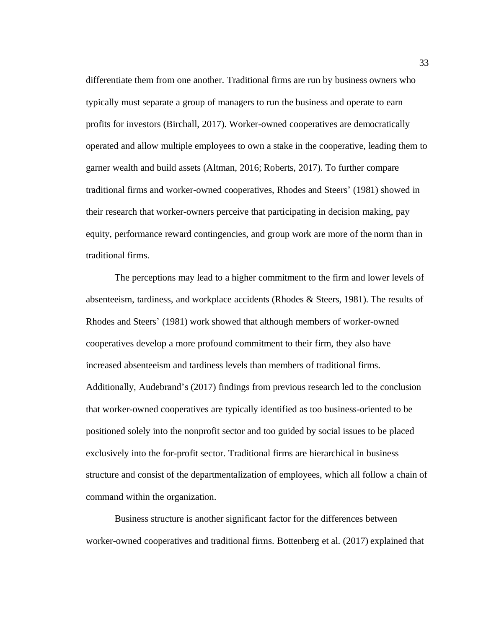differentiate them from one another. Traditional firms are run by business owners who typically must separate a group of managers to run the business and operate to earn profits for investors (Birchall, 2017). Worker-owned cooperatives are democratically operated and allow multiple employees to own a stake in the cooperative, leading them to garner wealth and build assets (Altman, 2016; Roberts, 2017). To further compare traditional firms and worker-owned cooperatives, Rhodes and Steers' (1981) showed in their research that worker-owners perceive that participating in decision making, pay equity, performance reward contingencies, and group work are more of the norm than in traditional firms.

The perceptions may lead to a higher commitment to the firm and lower levels of absenteeism, tardiness, and workplace accidents (Rhodes & Steers, 1981). The results of Rhodes and Steers' (1981) work showed that although members of worker-owned cooperatives develop a more profound commitment to their firm, they also have increased absenteeism and tardiness levels than members of traditional firms. Additionally, Audebrand's (2017) findings from previous research led to the conclusion that worker-owned cooperatives are typically identified as too business-oriented to be positioned solely into the nonprofit sector and too guided by social issues to be placed exclusively into the for-profit sector. Traditional firms are hierarchical in business structure and consist of the departmentalization of employees, which all follow a chain of command within the organization.

Business structure is another significant factor for the differences between worker-owned cooperatives and traditional firms. Bottenberg et al. (2017) explained that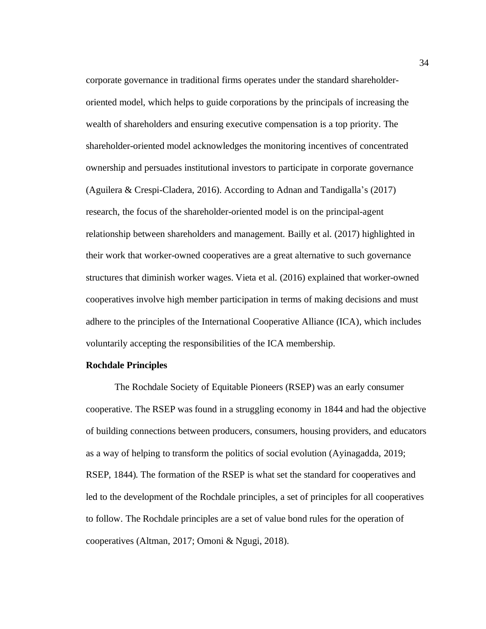corporate governance in traditional firms operates under the standard shareholderoriented model, which helps to guide corporations by the principals of increasing the wealth of shareholders and ensuring executive compensation is a top priority. The shareholder-oriented model acknowledges the monitoring incentives of concentrated ownership and persuades institutional investors to participate in corporate governance (Aguilera & Crespi-Cladera, 2016). According to Adnan and Tandigalla's (2017) research, the focus of the shareholder-oriented model is on the principal-agent relationship between shareholders and management. Bailly et al. (2017) highlighted in their work that worker-owned cooperatives are a great alternative to such governance structures that diminish worker wages. Vieta et al. (2016) explained that worker-owned cooperatives involve high member participation in terms of making decisions and must adhere to the principles of the International Cooperative Alliance (ICA), which includes voluntarily accepting the responsibilities of the ICA membership.

### **Rochdale Principles**

The Rochdale Society of Equitable Pioneers (RSEP) was an early consumer cooperative. The RSEP was found in a struggling economy in 1844 and had the objective of building connections between producers, consumers, housing providers, and educators as a way of helping to transform the politics of social evolution (Ayinagadda, 2019; RSEP, 1844). The formation of the RSEP is what set the standard for cooperatives and led to the development of the Rochdale principles, a set of principles for all cooperatives to follow. The Rochdale principles are a set of value bond rules for the operation of cooperatives (Altman, 2017; Omoni & Ngugi, 2018).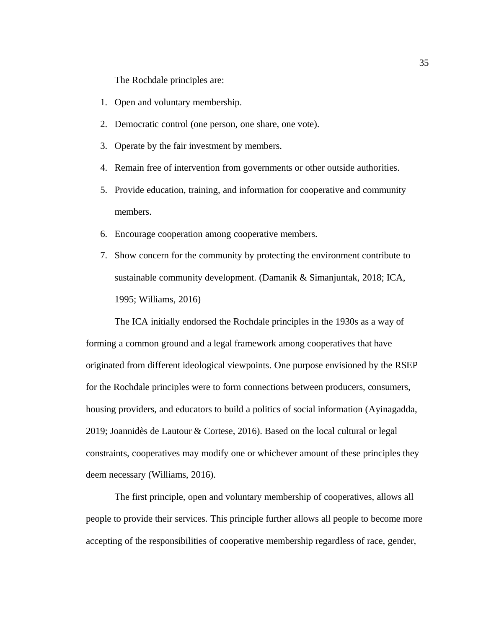The Rochdale principles are:

- 1. Open and voluntary membership.
- 2. Democratic control (one person, one share, one vote).
- 3. Operate by the fair investment by members.
- 4. Remain free of intervention from governments or other outside authorities.
- 5. Provide education, training, and information for cooperative and community members.
- 6. Encourage cooperation among cooperative members.
- 7. Show concern for the community by protecting the environment contribute to sustainable community development. (Damanik & Simanjuntak, 2018; ICA, 1995; Williams, 2016)

The ICA initially endorsed the Rochdale principles in the 1930s as a way of forming a common ground and a legal framework among cooperatives that have originated from different ideological viewpoints. One purpose envisioned by the RSEP for the Rochdale principles were to form connections between producers, consumers, housing providers, and educators to build a politics of social information (Ayinagadda, 2019; Joannidès de Lautour & Cortese, 2016). Based on the local cultural or legal constraints, cooperatives may modify one or whichever amount of these principles they deem necessary (Williams, 2016).

The first principle, open and voluntary membership of cooperatives, allows all people to provide their services. This principle further allows all people to become more accepting of the responsibilities of cooperative membership regardless of race, gender,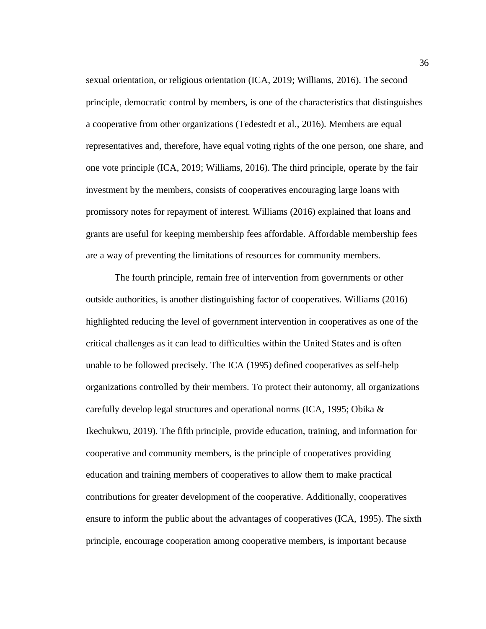sexual orientation, or religious orientation (ICA, 2019; Williams, 2016). The second principle, democratic control by members, is one of the characteristics that distinguishes a cooperative from other organizations (Tedestedt et al., 2016). Members are equal representatives and, therefore, have equal voting rights of the one person, one share, and one vote principle (ICA, 2019; Williams, 2016). The third principle, operate by the fair investment by the members, consists of cooperatives encouraging large loans with promissory notes for repayment of interest. Williams (2016) explained that loans and grants are useful for keeping membership fees affordable. Affordable membership fees are a way of preventing the limitations of resources for community members.

The fourth principle, remain free of intervention from governments or other outside authorities, is another distinguishing factor of cooperatives. Williams (2016) highlighted reducing the level of government intervention in cooperatives as one of the critical challenges as it can lead to difficulties within the United States and is often unable to be followed precisely. The ICA (1995) defined cooperatives as self-help organizations controlled by their members. To protect their autonomy, all organizations carefully develop legal structures and operational norms (ICA, 1995; Obika & Ikechukwu, 2019). The fifth principle, provide education, training, and information for cooperative and community members, is the principle of cooperatives providing education and training members of cooperatives to allow them to make practical contributions for greater development of the cooperative. Additionally, cooperatives ensure to inform the public about the advantages of cooperatives (ICA, 1995). The sixth principle, encourage cooperation among cooperative members, is important because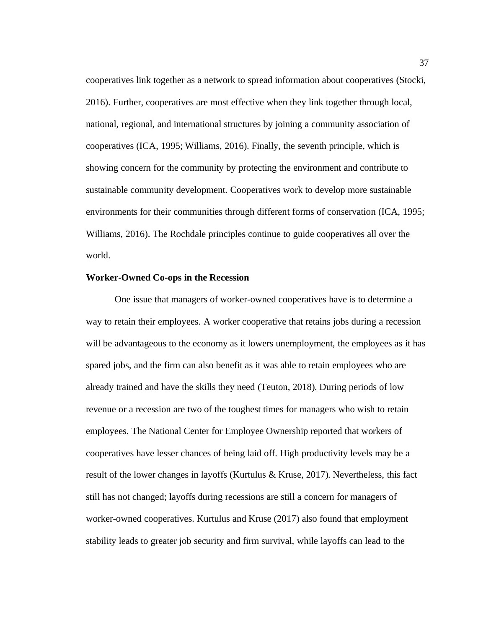cooperatives link together as a network to spread information about cooperatives (Stocki, 2016). Further, cooperatives are most effective when they link together through local, national, regional, and international structures by joining a community association of cooperatives (ICA, 1995; Williams, 2016). Finally, the seventh principle, which is showing concern for the community by protecting the environment and contribute to sustainable community development. Cooperatives work to develop more sustainable environments for their communities through different forms of conservation (ICA, 1995; Williams, 2016). The Rochdale principles continue to guide cooperatives all over the world.

# **Worker-Owned Co-ops in the Recession**

One issue that managers of worker-owned cooperatives have is to determine a way to retain their employees. A worker cooperative that retains jobs during a recession will be advantageous to the economy as it lowers unemployment, the employees as it has spared jobs, and the firm can also benefit as it was able to retain employees who are already trained and have the skills they need (Teuton, 2018). During periods of low revenue or a recession are two of the toughest times for managers who wish to retain employees. The National Center for Employee Ownership reported that workers of cooperatives have lesser chances of being laid off. High productivity levels may be a result of the lower changes in layoffs (Kurtulus & Kruse, 2017). Nevertheless, this fact still has not changed; layoffs during recessions are still a concern for managers of worker-owned cooperatives. Kurtulus and Kruse (2017) also found that employment stability leads to greater job security and firm survival, while layoffs can lead to the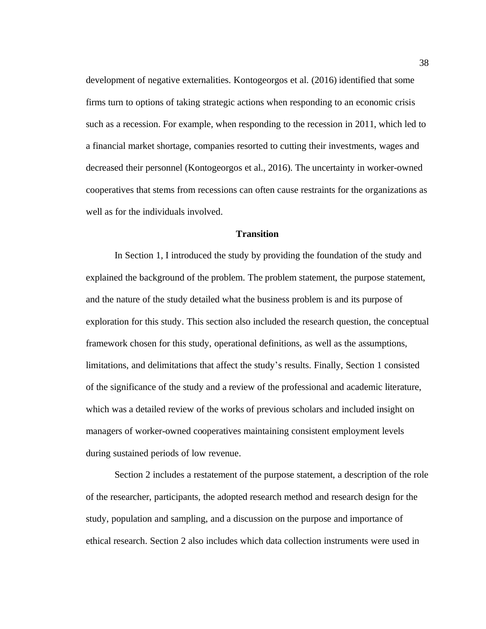development of negative externalities. Kontogeorgos et al. (2016) identified that some firms turn to options of taking strategic actions when responding to an economic crisis such as a recession. For example, when responding to the recession in 2011, which led to a financial market shortage, companies resorted to cutting their investments, wages and decreased their personnel (Kontogeorgos et al., 2016). The uncertainty in worker-owned cooperatives that stems from recessions can often cause restraints for the organizations as well as for the individuals involved.

### **Transition**

In Section 1, I introduced the study by providing the foundation of the study and explained the background of the problem. The problem statement, the purpose statement, and the nature of the study detailed what the business problem is and its purpose of exploration for this study. This section also included the research question, the conceptual framework chosen for this study, operational definitions, as well as the assumptions, limitations, and delimitations that affect the study's results. Finally, Section 1 consisted of the significance of the study and a review of the professional and academic literature, which was a detailed review of the works of previous scholars and included insight on managers of worker-owned cooperatives maintaining consistent employment levels during sustained periods of low revenue.

Section 2 includes a restatement of the purpose statement, a description of the role of the researcher, participants, the adopted research method and research design for the study, population and sampling, and a discussion on the purpose and importance of ethical research. Section 2 also includes which data collection instruments were used in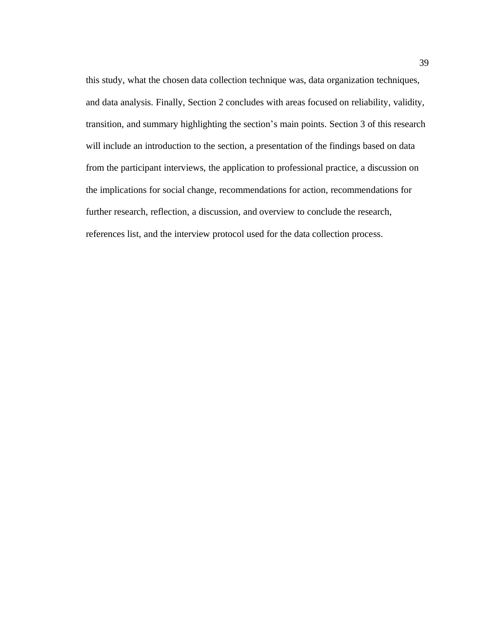this study, what the chosen data collection technique was, data organization techniques, and data analysis. Finally, Section 2 concludes with areas focused on reliability, validity, transition, and summary highlighting the section's main points. Section 3 of this research will include an introduction to the section, a presentation of the findings based on data from the participant interviews, the application to professional practice, a discussion on the implications for social change, recommendations for action, recommendations for further research, reflection, a discussion, and overview to conclude the research, references list, and the interview protocol used for the data collection process.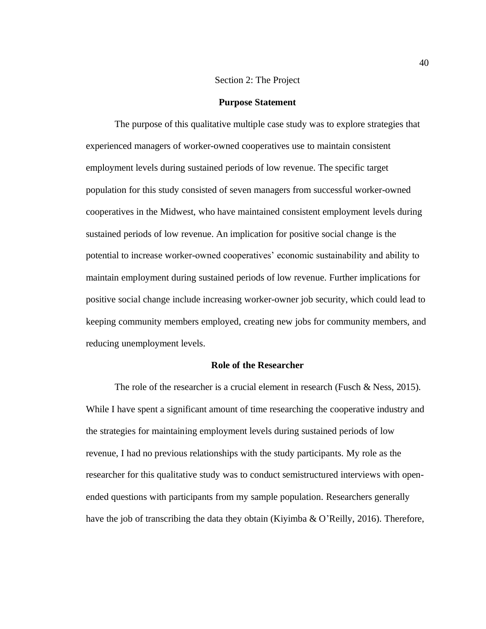# Section 2: The Project

#### **Purpose Statement**

The purpose of this qualitative multiple case study was to explore strategies that experienced managers of worker-owned cooperatives use to maintain consistent employment levels during sustained periods of low revenue. The specific target population for this study consisted of seven managers from successful worker-owned cooperatives in the Midwest, who have maintained consistent employment levels during sustained periods of low revenue. An implication for positive social change is the potential to increase worker-owned cooperatives' economic sustainability and ability to maintain employment during sustained periods of low revenue. Further implications for positive social change include increasing worker-owner job security, which could lead to keeping community members employed, creating new jobs for community members, and reducing unemployment levels.

### **Role of the Researcher**

The role of the researcher is a crucial element in research (Fusch & Ness, 2015). While I have spent a significant amount of time researching the cooperative industry and the strategies for maintaining employment levels during sustained periods of low revenue, I had no previous relationships with the study participants. My role as the researcher for this qualitative study was to conduct semistructured interviews with openended questions with participants from my sample population. Researchers generally have the job of transcribing the data they obtain (Kiyimba & O'Reilly, 2016). Therefore,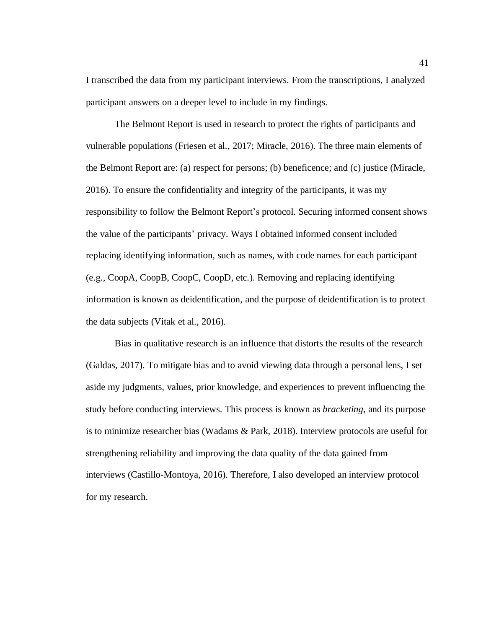I transcribed the data from my participant interviews. From the transcriptions, I analyzed participant answers on a deeper level to include in my findings.

The Belmont Report is used in research to protect the rights of participants and vulnerable populations (Friesen et al., 2017; Miracle, 2016). The three main elements of the Belmont Report are: (a) respect for persons; (b) beneficence; and (c) justice (Miracle, 2016). To ensure the confidentiality and integrity of the participants, it was my responsibility to follow the Belmont Report's protocol. Securing informed consent shows the value of the participants' privacy. Ways I obtained informed consent included replacing identifying information, such as names, with code names for each participant (e.g., CoopA, CoopB, CoopC, CoopD, etc.). Removing and replacing identifying information is known as deidentification, and the purpose of deidentification is to protect the data subjects (Vitak et al., 2016).

Bias in qualitative research is an influence that distorts the results of the research (Galdas, 2017). To mitigate bias and to avoid viewing data through a personal lens, I set aside my judgments, values, prior knowledge, and experiences to prevent influencing the study before conducting interviews. This process is known as *bracketing*, and its purpose is to minimize researcher bias (Wadams & Park, 2018). Interview protocols are useful for strengthening reliability and improving the data quality of the data gained from interviews (Castillo-Montoya, 2016). Therefore, I also developed an interview protocol for my research.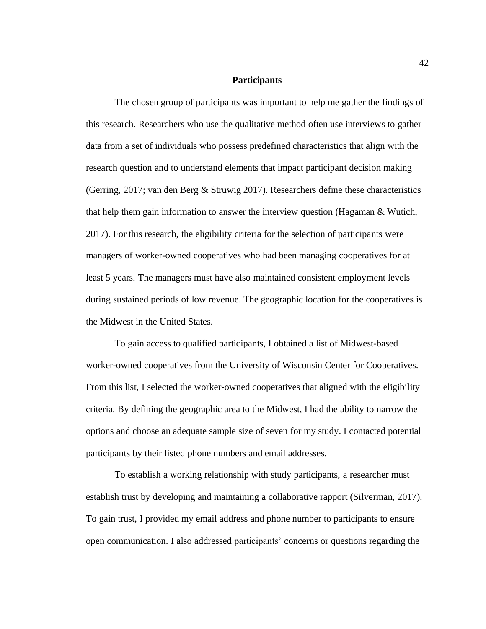### **Participants**

The chosen group of participants was important to help me gather the findings of this research. Researchers who use the qualitative method often use interviews to gather data from a set of individuals who possess predefined characteristics that align with the research question and to understand elements that impact participant decision making (Gerring, 2017; van den Berg & Struwig 2017). Researchers define these characteristics that help them gain information to answer the interview question (Hagaman & Wutich, 2017). For this research, the eligibility criteria for the selection of participants were managers of worker-owned cooperatives who had been managing cooperatives for at least 5 years. The managers must have also maintained consistent employment levels during sustained periods of low revenue. The geographic location for the cooperatives is the Midwest in the United States.

To gain access to qualified participants, I obtained a list of Midwest-based worker-owned cooperatives from the University of Wisconsin Center for Cooperatives. From this list, I selected the worker-owned cooperatives that aligned with the eligibility criteria. By defining the geographic area to the Midwest, I had the ability to narrow the options and choose an adequate sample size of seven for my study. I contacted potential participants by their listed phone numbers and email addresses.

To establish a working relationship with study participants, a researcher must establish trust by developing and maintaining a collaborative rapport (Silverman, 2017). To gain trust, I provided my email address and phone number to participants to ensure open communication. I also addressed participants' concerns or questions regarding the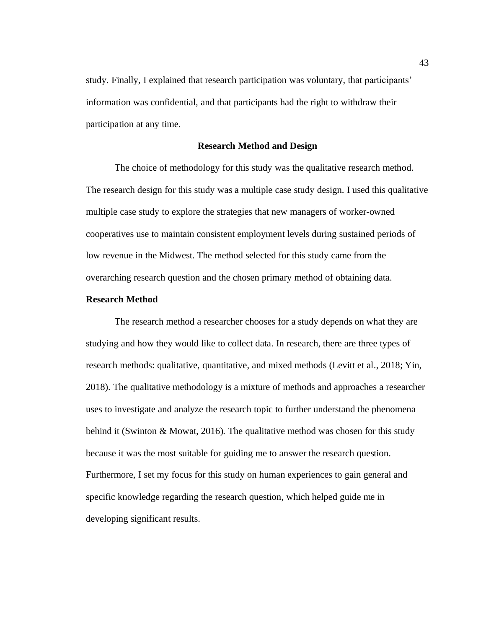study. Finally, I explained that research participation was voluntary, that participants' information was confidential, and that participants had the right to withdraw their participation at any time.

# **Research Method and Design**

The choice of methodology for this study was the qualitative research method. The research design for this study was a multiple case study design. I used this qualitative multiple case study to explore the strategies that new managers of worker-owned cooperatives use to maintain consistent employment levels during sustained periods of low revenue in the Midwest. The method selected for this study came from the overarching research question and the chosen primary method of obtaining data.

## **Research Method**

The research method a researcher chooses for a study depends on what they are studying and how they would like to collect data. In research, there are three types of research methods: qualitative, quantitative, and mixed methods (Levitt et al., 2018; Yin, 2018). The qualitative methodology is a mixture of methods and approaches a researcher uses to investigate and analyze the research topic to further understand the phenomena behind it (Swinton & Mowat, 2016). The qualitative method was chosen for this study because it was the most suitable for guiding me to answer the research question. Furthermore, I set my focus for this study on human experiences to gain general and specific knowledge regarding the research question, which helped guide me in developing significant results.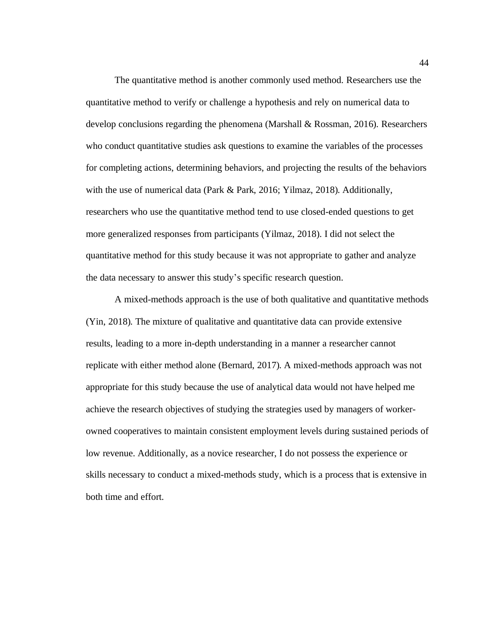The quantitative method is another commonly used method. Researchers use the quantitative method to verify or challenge a hypothesis and rely on numerical data to develop conclusions regarding the phenomena (Marshall & Rossman, 2016). Researchers who conduct quantitative studies ask questions to examine the variables of the processes for completing actions, determining behaviors, and projecting the results of the behaviors with the use of numerical data (Park & Park, 2016; Yilmaz, 2018). Additionally, researchers who use the quantitative method tend to use closed-ended questions to get more generalized responses from participants (Yilmaz, 2018). I did not select the quantitative method for this study because it was not appropriate to gather and analyze the data necessary to answer this study's specific research question.

A mixed-methods approach is the use of both qualitative and quantitative methods (Yin, 2018). The mixture of qualitative and quantitative data can provide extensive results, leading to a more in-depth understanding in a manner a researcher cannot replicate with either method alone (Bernard, 2017). A mixed-methods approach was not appropriate for this study because the use of analytical data would not have helped me achieve the research objectives of studying the strategies used by managers of workerowned cooperatives to maintain consistent employment levels during sustained periods of low revenue. Additionally, as a novice researcher, I do not possess the experience or skills necessary to conduct a mixed-methods study, which is a process that is extensive in both time and effort.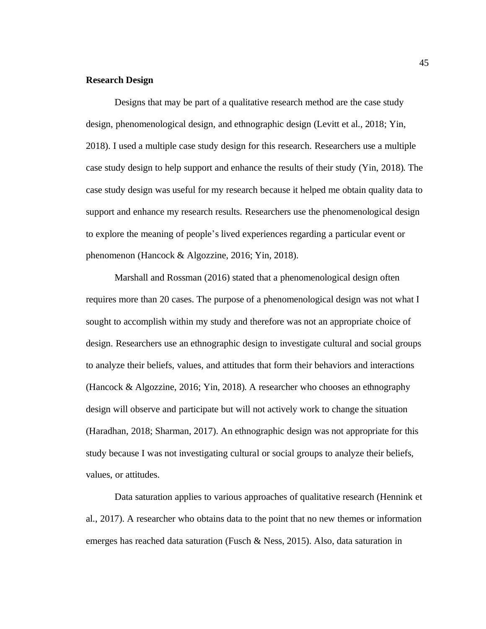# **Research Design**

Designs that may be part of a qualitative research method are the case study design, phenomenological design, and ethnographic design (Levitt et al., 2018; Yin, 2018). I used a multiple case study design for this research. Researchers use a multiple case study design to help support and enhance the results of their study (Yin, 2018). The case study design was useful for my research because it helped me obtain quality data to support and enhance my research results. Researchers use the phenomenological design to explore the meaning of people's lived experiences regarding a particular event or phenomenon (Hancock & Algozzine, 2016; Yin, 2018).

Marshall and Rossman (2016) stated that a phenomenological design often requires more than 20 cases. The purpose of a phenomenological design was not what I sought to accomplish within my study and therefore was not an appropriate choice of design. Researchers use an ethnographic design to investigate cultural and social groups to analyze their beliefs, values, and attitudes that form their behaviors and interactions (Hancock & Algozzine, 2016; Yin, 2018). A researcher who chooses an ethnography design will observe and participate but will not actively work to change the situation (Haradhan, 2018; Sharman, 2017). An ethnographic design was not appropriate for this study because I was not investigating cultural or social groups to analyze their beliefs, values, or attitudes.

Data saturation applies to various approaches of qualitative research (Hennink et al., 2017). A researcher who obtains data to the point that no new themes or information emerges has reached data saturation (Fusch & Ness, 2015). Also, data saturation in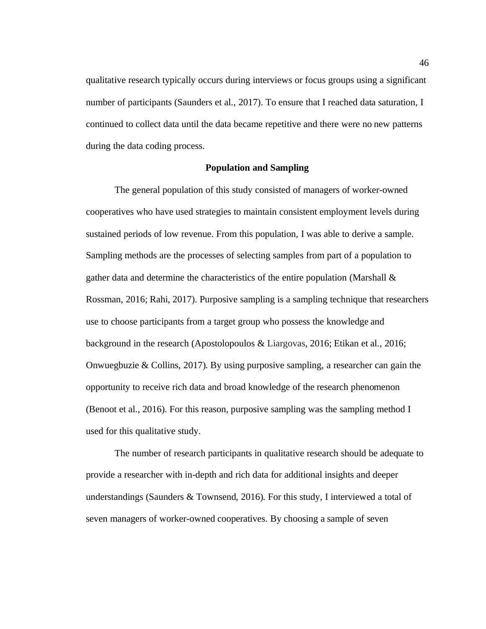qualitative research typically occurs during interviews or focus groups using a significant number of participants (Saunders et al., 2017). To ensure that I reached data saturation, I continued to collect data until the data became repetitive and there were no new patterns during the data coding process.

### **Population and Sampling**

The general population of this study consisted of managers of worker-owned cooperatives who have used strategies to maintain consistent employment levels during sustained periods of low revenue. From this population, I was able to derive a sample. Sampling methods are the processes of selecting samples from part of a population to gather data and determine the characteristics of the entire population (Marshall & Rossman, 2016; Rahi, 2017). Purposive sampling is a sampling technique that researchers use to choose participants from a target group who possess the knowledge and background in the research (Apostolopoulos & Liargovas, 2016; Etikan et al., 2016; Onwuegbuzie  $&$  Collins, 2017). By using purposive sampling, a researcher can gain the opportunity to receive rich data and broad knowledge of the research phenomenon (Benoot et al., 2016). For this reason, purposive sampling was the sampling method I used for this qualitative study.

The number of research participants in qualitative research should be adequate to provide a researcher with in-depth and rich data for additional insights and deeper understandings (Saunders  $&$  Townsend, 2016). For this study, I interviewed a total of seven managers of worker-owned cooperatives. By choosing a sample of seven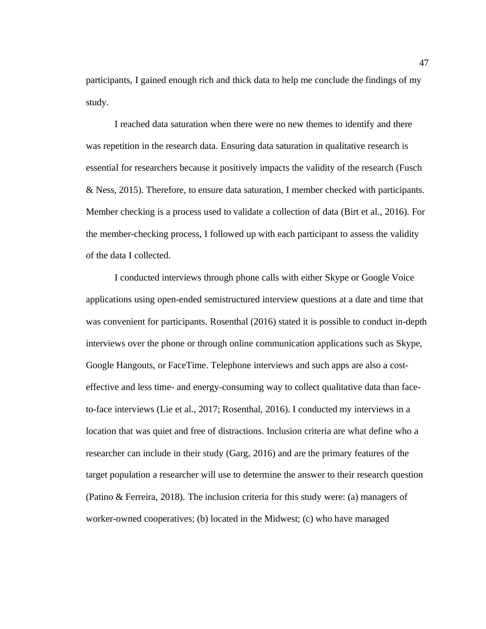participants, I gained enough rich and thick data to help me conclude the findings of my study.

I reached data saturation when there were no new themes to identify and there was repetition in the research data. Ensuring data saturation in qualitative research is essential for researchers because it positively impacts the validity of the research (Fusch & Ness, 2015). Therefore, to ensure data saturation, I member checked with participants. Member checking is a process used to validate a collection of data (Birt et al., 2016). For the member-checking process, I followed up with each participant to assess the validity of the data I collected.

I conducted interviews through phone calls with either Skype or Google Voice applications using open-ended semistructured interview questions at a date and time that was convenient for participants. Rosenthal (2016) stated it is possible to conduct in-depth interviews over the phone or through online communication applications such as Skype, Google Hangouts, or FaceTime. Telephone interviews and such apps are also a costeffective and less time- and energy-consuming way to collect qualitative data than faceto-face interviews (Lie et al., 2017; Rosenthal, 2016). I conducted my interviews in a location that was quiet and free of distractions. Inclusion criteria are what define who a researcher can include in their study (Garg, 2016) and are the primary features of the target population a researcher will use to determine the answer to their research question (Patino & Ferreira, 2018). The inclusion criteria for this study were: (a) managers of worker-owned cooperatives; (b) located in the Midwest; (c) who have managed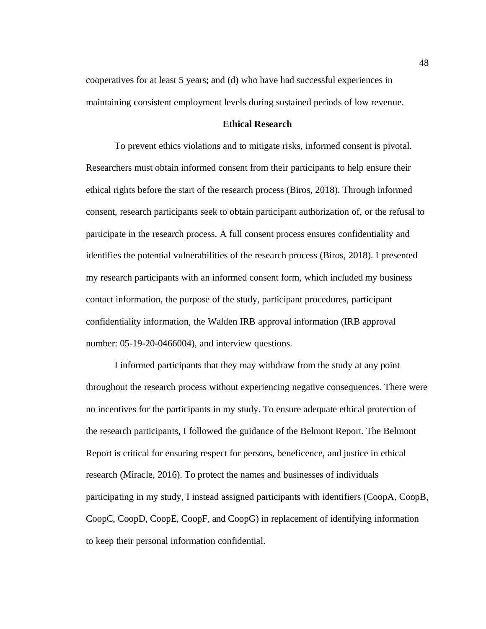cooperatives for at least 5 years; and (d) who have had successful experiences in maintaining consistent employment levels during sustained periods of low revenue.

## **Ethical Research**

To prevent ethics violations and to mitigate risks, informed consent is pivotal. Researchers must obtain informed consent from their participants to help ensure their ethical rights before the start of the research process (Biros, 2018). Through informed consent, research participants seek to obtain participant authorization of, or the refusal to participate in the research process. A full consent process ensures confidentiality and identifies the potential vulnerabilities of the research process (Biros, 2018). I presented my research participants with an informed consent form, which included my business contact information, the purpose of the study, participant procedures, participant confidentiality information, the Walden IRB approval information (IRB approval number: 05-19-20-0466004), and interview questions.

I informed participants that they may withdraw from the study at any point throughout the research process without experiencing negative consequences. There were no incentives for the participants in my study. To ensure adequate ethical protection of the research participants, I followed the guidance of the Belmont Report. The Belmont Report is critical for ensuring respect for persons, beneficence, and justice in ethical research (Miracle, 2016). To protect the names and businesses of individuals participating in my study, I instead assigned participants with identifiers (CoopA, CoopB, CoopC, CoopD, CoopE, CoopF, and CoopG) in replacement of identifying information to keep their personal information confidential.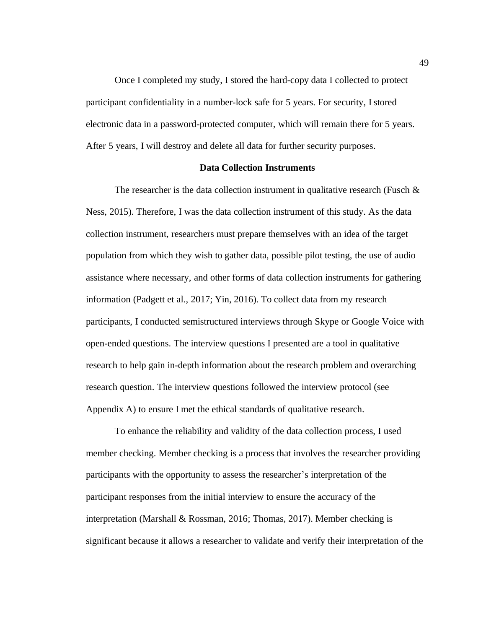Once I completed my study, I stored the hard-copy data I collected to protect participant confidentiality in a number-lock safe for 5 years. For security, I stored electronic data in a password-protected computer, which will remain there for 5 years. After 5 years, I will destroy and delete all data for further security purposes.

#### **Data Collection Instruments**

The researcher is the data collection instrument in qualitative research (Fusch  $\&$ Ness, 2015). Therefore, I was the data collection instrument of this study. As the data collection instrument, researchers must prepare themselves with an idea of the target population from which they wish to gather data, possible pilot testing, the use of audio assistance where necessary, and other forms of data collection instruments for gathering information (Padgett et al., 2017; Yin, 2016). To collect data from my research participants, I conducted semistructured interviews through Skype or Google Voice with open-ended questions. The interview questions I presented are a tool in qualitative research to help gain in-depth information about the research problem and overarching research question. The interview questions followed the interview protocol (see Appendix A) to ensure I met the ethical standards of qualitative research.

To enhance the reliability and validity of the data collection process, I used member checking. Member checking is a process that involves the researcher providing participants with the opportunity to assess the researcher's interpretation of the participant responses from the initial interview to ensure the accuracy of the interpretation (Marshall & Rossman, 2016; Thomas, 2017). Member checking is significant because it allows a researcher to validate and verify their interpretation of the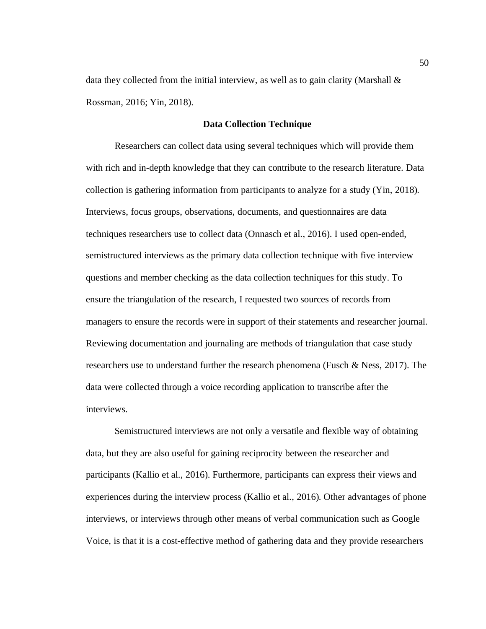data they collected from the initial interview, as well as to gain clarity (Marshall  $\&$ Rossman, 2016; Yin, 2018).

# **Data Collection Technique**

Researchers can collect data using several techniques which will provide them with rich and in-depth knowledge that they can contribute to the research literature. Data collection is gathering information from participants to analyze for a study (Yin, 2018). Interviews, focus groups, observations, documents, and questionnaires are data techniques researchers use to collect data (Onnasch et al., 2016). I used open-ended, semistructured interviews as the primary data collection technique with five interview questions and member checking as the data collection techniques for this study. To ensure the triangulation of the research, I requested two sources of records from managers to ensure the records were in support of their statements and researcher journal. Reviewing documentation and journaling are methods of triangulation that case study researchers use to understand further the research phenomena (Fusch & Ness, 2017). The data were collected through a voice recording application to transcribe after the interviews.

Semistructured interviews are not only a versatile and flexible way of obtaining data, but they are also useful for gaining reciprocity between the researcher and participants (Kallio et al., 2016). Furthermore, participants can express their views and experiences during the interview process (Kallio et al., 2016). Other advantages of phone interviews, or interviews through other means of verbal communication such as Google Voice, is that it is a cost-effective method of gathering data and they provide researchers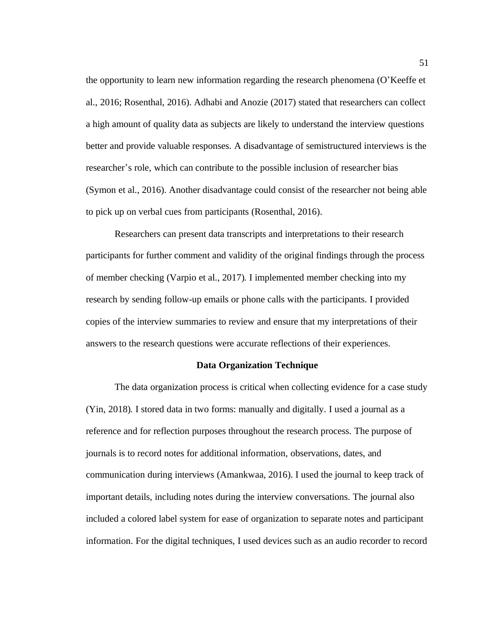the opportunity to learn new information regarding the research phenomena (O'Keeffe et al., 2016; Rosenthal, 2016). Adhabi and Anozie (2017) stated that researchers can collect a high amount of quality data as subjects are likely to understand the interview questions better and provide valuable responses. A disadvantage of semistructured interviews is the researcher's role, which can contribute to the possible inclusion of researcher bias (Symon et al., 2016). Another disadvantage could consist of the researcher not being able to pick up on verbal cues from participants (Rosenthal, 2016).

Researchers can present data transcripts and interpretations to their research participants for further comment and validity of the original findings through the process of member checking (Varpio et al., 2017). I implemented member checking into my research by sending follow-up emails or phone calls with the participants. I provided copies of the interview summaries to review and ensure that my interpretations of their answers to the research questions were accurate reflections of their experiences.

### **Data Organization Technique**

The data organization process is critical when collecting evidence for a case study (Yin, 2018). I stored data in two forms: manually and digitally. I used a journal as a reference and for reflection purposes throughout the research process. The purpose of journals is to record notes for additional information, observations, dates, and communication during interviews (Amankwaa, 2016). I used the journal to keep track of important details, including notes during the interview conversations. The journal also included a colored label system for ease of organization to separate notes and participant information. For the digital techniques, I used devices such as an audio recorder to record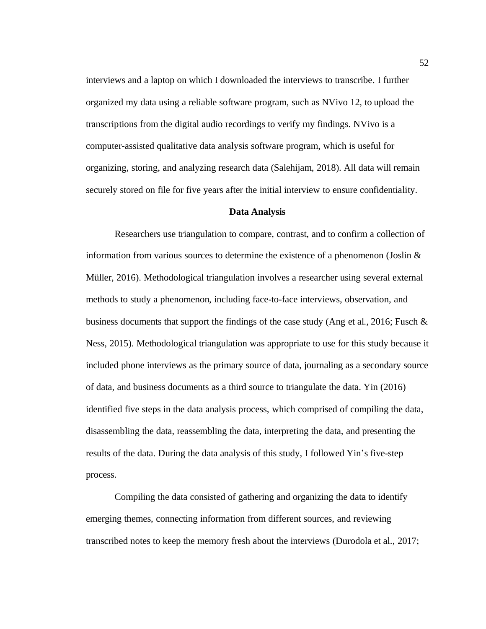interviews and a laptop on which I downloaded the interviews to transcribe. I further organized my data using a reliable software program, such as NVivo 12, to upload the transcriptions from the digital audio recordings to verify my findings. NVivo is a computer-assisted qualitative data analysis software program, which is useful for organizing, storing, and analyzing research data (Salehijam, 2018). All data will remain securely stored on file for five years after the initial interview to ensure confidentiality.

#### **Data Analysis**

Researchers use triangulation to compare, contrast, and to confirm a collection of information from various sources to determine the existence of a phenomenon (Joslin  $\&$ Müller, 2016). Methodological triangulation involves a researcher using several external methods to study a phenomenon, including face-to-face interviews, observation, and business documents that support the findings of the case study (Ang et al., 2016; Fusch  $\&$ Ness, 2015). Methodological triangulation was appropriate to use for this study because it included phone interviews as the primary source of data, journaling as a secondary source of data, and business documents as a third source to triangulate the data. Yin (2016) identified five steps in the data analysis process, which comprised of compiling the data, disassembling the data, reassembling the data, interpreting the data, and presenting the results of the data. During the data analysis of this study, I followed Yin's five-step process.

Compiling the data consisted of gathering and organizing the data to identify emerging themes, connecting information from different sources, and reviewing transcribed notes to keep the memory fresh about the interviews (Durodola et al., 2017;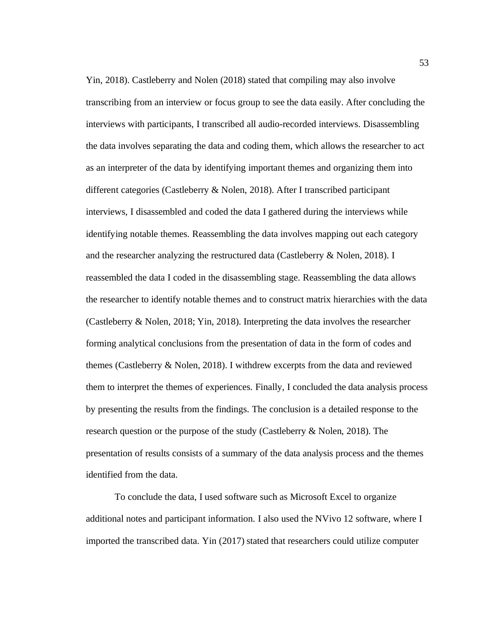Yin, 2018). Castleberry and Nolen (2018) stated that compiling may also involve transcribing from an interview or focus group to see the data easily. After concluding the interviews with participants, I transcribed all audio-recorded interviews. Disassembling the data involves separating the data and coding them, which allows the researcher to act as an interpreter of the data by identifying important themes and organizing them into different categories (Castleberry & Nolen, 2018). After I transcribed participant interviews, I disassembled and coded the data I gathered during the interviews while identifying notable themes. Reassembling the data involves mapping out each category and the researcher analyzing the restructured data (Castleberry & Nolen, 2018). I reassembled the data I coded in the disassembling stage. Reassembling the data allows the researcher to identify notable themes and to construct matrix hierarchies with the data (Castleberry & Nolen, 2018; Yin, 2018). Interpreting the data involves the researcher forming analytical conclusions from the presentation of data in the form of codes and themes (Castleberry & Nolen, 2018). I withdrew excerpts from the data and reviewed them to interpret the themes of experiences. Finally, I concluded the data analysis process by presenting the results from the findings. The conclusion is a detailed response to the research question or the purpose of the study (Castleberry & Nolen, 2018). The presentation of results consists of a summary of the data analysis process and the themes identified from the data.

To conclude the data, I used software such as Microsoft Excel to organize additional notes and participant information. I also used the NVivo 12 software, where I imported the transcribed data. Yin (2017) stated that researchers could utilize computer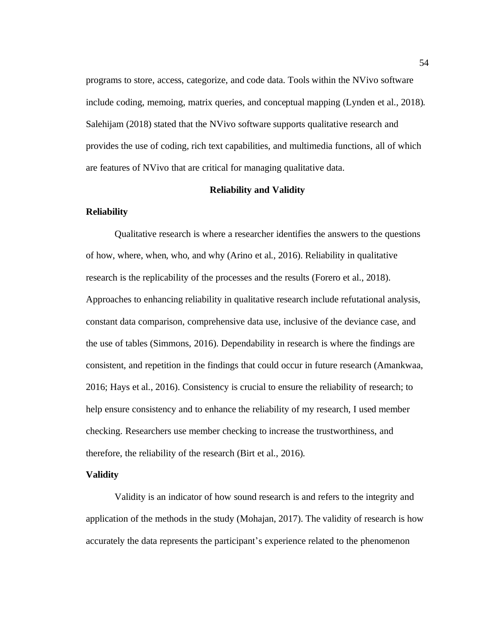programs to store, access, categorize, and code data. Tools within the NVivo software include coding, memoing, matrix queries, and conceptual mapping (Lynden et al., 2018). Salehijam (2018) stated that the NVivo software supports qualitative research and provides the use of coding, rich text capabilities, and multimedia functions, all of which are features of NVivo that are critical for managing qualitative data.

# **Reliability and Validity**

#### **Reliability**

Qualitative research is where a researcher identifies the answers to the questions of how, where, when, who, and why (Arino et al., 2016). Reliability in qualitative research is the replicability of the processes and the results (Forero et al., 2018). Approaches to enhancing reliability in qualitative research include refutational analysis, constant data comparison, comprehensive data use, inclusive of the deviance case, and the use of tables (Simmons, 2016). Dependability in research is where the findings are consistent, and repetition in the findings that could occur in future research (Amankwaa, 2016; Hays et al., 2016). Consistency is crucial to ensure the reliability of research; to help ensure consistency and to enhance the reliability of my research, I used member checking. Researchers use member checking to increase the trustworthiness, and therefore, the reliability of the research (Birt et al., 2016)*.*

#### **Validity**

Validity is an indicator of how sound research is and refers to the integrity and application of the methods in the study (Mohajan, 2017). The validity of research is how accurately the data represents the participant's experience related to the phenomenon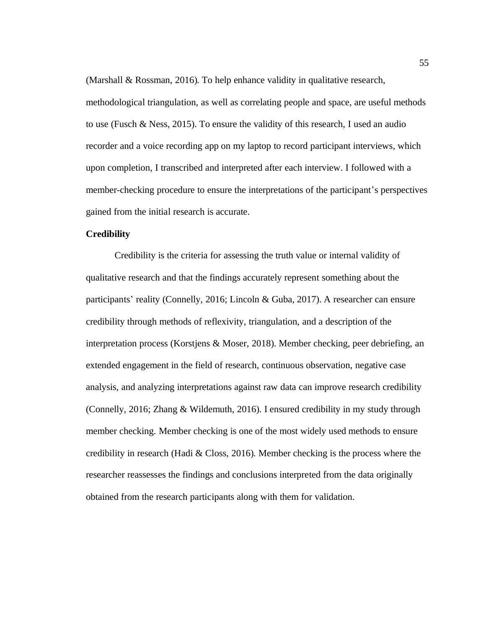(Marshall & Rossman, 2016). To help enhance validity in qualitative research,

methodological triangulation, as well as correlating people and space, are useful methods to use (Fusch & Ness, 2015). To ensure the validity of this research, I used an audio recorder and a voice recording app on my laptop to record participant interviews, which upon completion, I transcribed and interpreted after each interview. I followed with a member-checking procedure to ensure the interpretations of the participant's perspectives gained from the initial research is accurate.

# **Credibility**

Credibility is the criteria for assessing the truth value or internal validity of qualitative research and that the findings accurately represent something about the participants' reality (Connelly, 2016; Lincoln & Guba, 2017). A researcher can ensure credibility through methods of reflexivity, triangulation, and a description of the interpretation process (Korstjens & Moser, 2018). Member checking, peer debriefing, an extended engagement in the field of research, continuous observation, negative case analysis, and analyzing interpretations against raw data can improve research credibility (Connelly, 2016; Zhang & Wildemuth, 2016). I ensured credibility in my study through member checking. Member checking is one of the most widely used methods to ensure credibility in research (Hadi & Closs, 2016). Member checking is the process where the researcher reassesses the findings and conclusions interpreted from the data originally obtained from the research participants along with them for validation.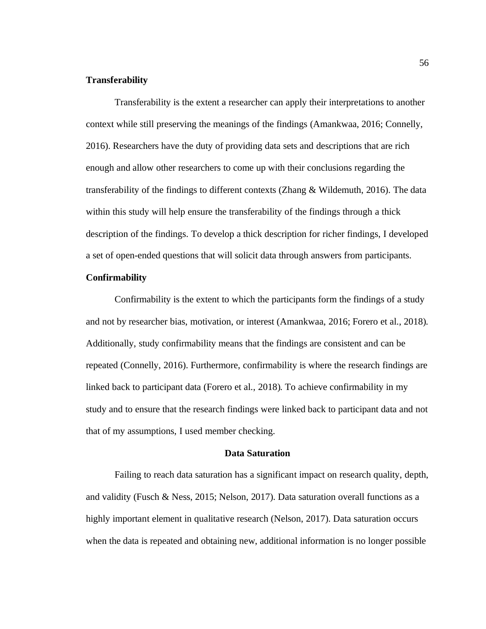# **Transferability**

Transferability is the extent a researcher can apply their interpretations to another context while still preserving the meanings of the findings (Amankwaa, 2016; Connelly, 2016). Researchers have the duty of providing data sets and descriptions that are rich enough and allow other researchers to come up with their conclusions regarding the transferability of the findings to different contexts (Zhang & Wildemuth, 2016). The data within this study will help ensure the transferability of the findings through a thick description of the findings. To develop a thick description for richer findings, I developed a set of open-ended questions that will solicit data through answers from participants.

# **Confirmability**

Confirmability is the extent to which the participants form the findings of a study and not by researcher bias, motivation, or interest (Amankwaa, 2016; Forero et al., 2018). Additionally, study confirmability means that the findings are consistent and can be repeated (Connelly, 2016). Furthermore, confirmability is where the research findings are linked back to participant data (Forero et al., 2018). To achieve confirmability in my study and to ensure that the research findings were linked back to participant data and not that of my assumptions, I used member checking.

### **Data Saturation**

Failing to reach data saturation has a significant impact on research quality, depth, and validity (Fusch & Ness, 2015; Nelson, 2017). Data saturation overall functions as a highly important element in qualitative research (Nelson, 2017). Data saturation occurs when the data is repeated and obtaining new, additional information is no longer possible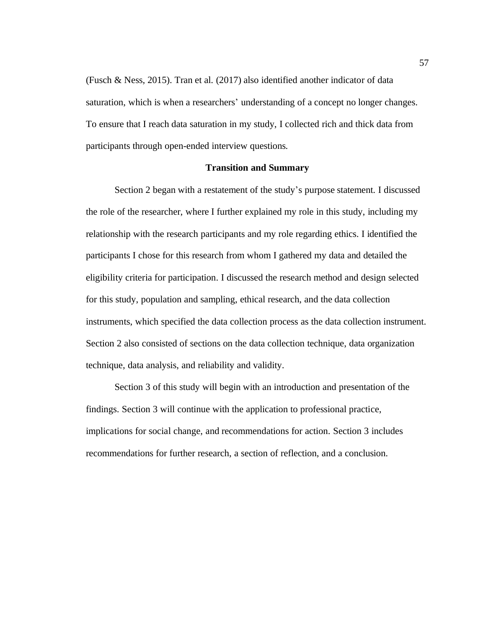(Fusch & Ness, 2015). Tran et al. (2017) also identified another indicator of data saturation, which is when a researchers' understanding of a concept no longer changes. To ensure that I reach data saturation in my study, I collected rich and thick data from participants through open-ended interview questions*.*

#### **Transition and Summary**

Section 2 began with a restatement of the study's purpose statement. I discussed the role of the researcher, where I further explained my role in this study, including my relationship with the research participants and my role regarding ethics. I identified the participants I chose for this research from whom I gathered my data and detailed the eligibility criteria for participation. I discussed the research method and design selected for this study, population and sampling, ethical research, and the data collection instruments, which specified the data collection process as the data collection instrument. Section 2 also consisted of sections on the data collection technique, data organization technique, data analysis, and reliability and validity.

Section 3 of this study will begin with an introduction and presentation of the findings. Section 3 will continue with the application to professional practice, implications for social change, and recommendations for action. Section 3 includes recommendations for further research, a section of reflection, and a conclusion.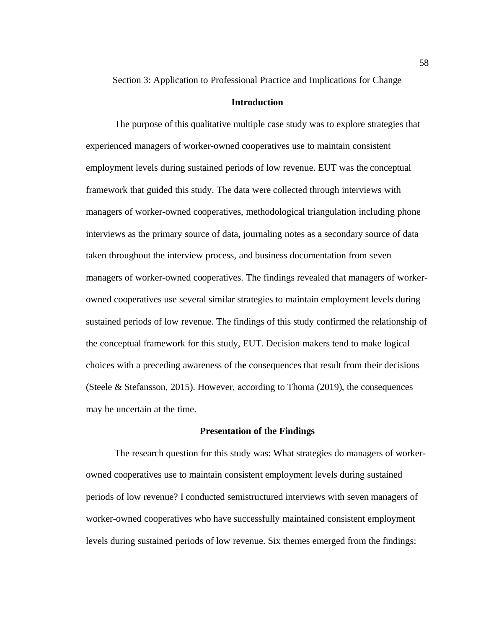Section 3: Application to Professional Practice and Implications for Change

### **Introduction**

The purpose of this qualitative multiple case study was to explore strategies that experienced managers of worker-owned cooperatives use to maintain consistent employment levels during sustained periods of low revenue. EUT was the conceptual framework that guided this study. The data were collected through interviews with managers of worker-owned cooperatives, methodological triangulation including phone interviews as the primary source of data, journaling notes as a secondary source of data taken throughout the interview process, and business documentation from seven managers of worker-owned cooperatives. The findings revealed that managers of workerowned cooperatives use several similar strategies to maintain employment levels during sustained periods of low revenue. The findings of this study confirmed the relationship of the conceptual framework for this study, EUT. Decision makers tend to make logical choices with a preceding awareness of th**e** consequences that result from their decisions (Steele & Stefansson, 2015). However, according to Thoma (2019), the consequences may be uncertain at the time.

### **Presentation of the Findings**

The research question for this study was: What strategies do managers of workerowned cooperatives use to maintain consistent employment levels during sustained periods of low revenue? I conducted semistructured interviews with seven managers of worker-owned cooperatives who have successfully maintained consistent employment levels during sustained periods of low revenue. Six themes emerged from the findings: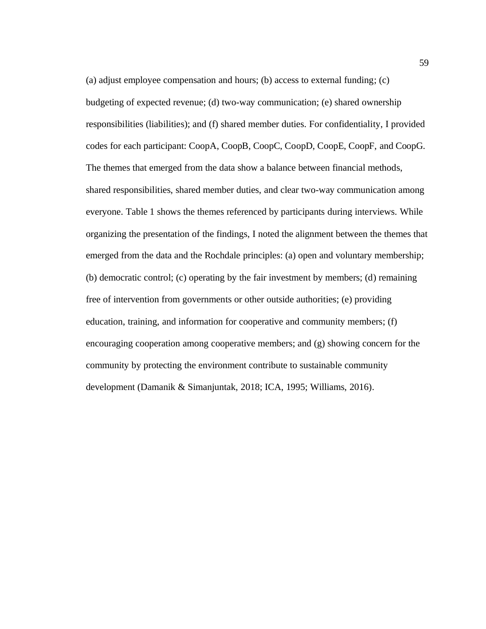(a) adjust employee compensation and hours; (b) access to external funding; (c) budgeting of expected revenue; (d) two-way communication; (e) shared ownership responsibilities (liabilities); and (f) shared member duties. For confidentiality, I provided codes for each participant: CoopA, CoopB, CoopC, CoopD, CoopE, CoopF, and CoopG. The themes that emerged from the data show a balance between financial methods, shared responsibilities, shared member duties, and clear two-way communication among everyone. Table 1 shows the themes referenced by participants during interviews. While organizing the presentation of the findings, I noted the alignment between the themes that emerged from the data and the Rochdale principles: (a) open and voluntary membership; (b) democratic control; (c) operating by the fair investment by members; (d) remaining free of intervention from governments or other outside authorities; (e) providing education, training, and information for cooperative and community members; (f) encouraging cooperation among cooperative members; and (g) showing concern for the community by protecting the environment contribute to sustainable community development (Damanik & Simanjuntak, 2018; ICA, 1995; Williams, 2016).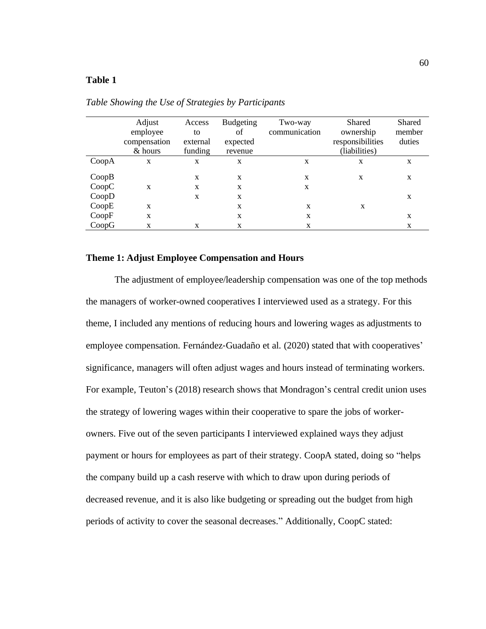# **Table 1**

|                | Adjust<br>employee<br>compensation<br>& hours | Access<br>to<br>external<br>funding | <b>Budgeting</b><br>of<br>expected<br>revenue | Two-way<br>communication | Shared<br>ownership<br>responsibilities<br>(liabilities) | Shared<br>member<br>duties |
|----------------|-----------------------------------------------|-------------------------------------|-----------------------------------------------|--------------------------|----------------------------------------------------------|----------------------------|
| CoopA          | X                                             | X                                   | X                                             | X                        | X                                                        | X                          |
| CoopB<br>CoopC | X                                             | X<br>X                              | X<br>X                                        | X<br>X                   | X                                                        | X                          |
| CoopD          |                                               | X                                   | X                                             |                          |                                                          | X                          |
| CoopE          | X                                             |                                     | X                                             | X                        | X                                                        |                            |
| CoopF          | X                                             |                                     | X                                             | X                        |                                                          | X                          |
| CoopG          | X                                             | X                                   | X                                             | X                        |                                                          | X                          |

*Table Showing the Use of Strategies by Participants*

# **Theme 1: Adjust Employee Compensation and Hours**

The adjustment of employee/leadership compensation was one of the top methods the managers of worker-owned cooperatives I interviewed used as a strategy. For this theme, I included any mentions of reducing hours and lowering wages as adjustments to employee compensation. Fernández‐Guadaño et al. (2020) stated that with cooperatives' significance, managers will often adjust wages and hours instead of terminating workers. For example, Teuton's (2018) research shows that Mondragon's central credit union uses the strategy of lowering wages within their cooperative to spare the jobs of workerowners. Five out of the seven participants I interviewed explained ways they adjust payment or hours for employees as part of their strategy. CoopA stated, doing so "helps the company build up a cash reserve with which to draw upon during periods of decreased revenue, and it is also like budgeting or spreading out the budget from high periods of activity to cover the seasonal decreases." Additionally, CoopC stated: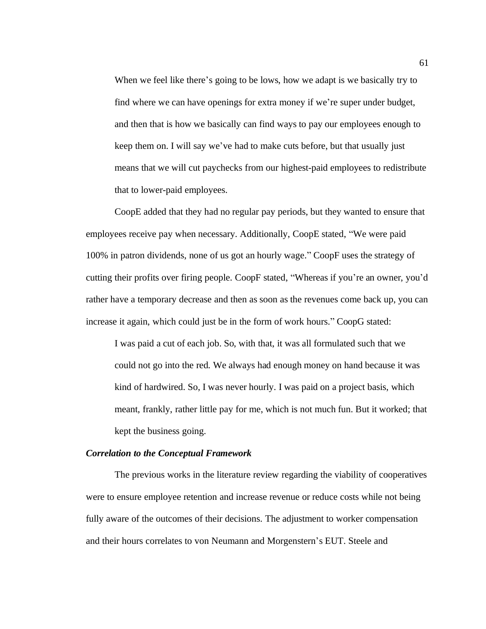When we feel like there's going to be lows, how we adapt is we basically try to find where we can have openings for extra money if we're super under budget, and then that is how we basically can find ways to pay our employees enough to keep them on. I will say we've had to make cuts before, but that usually just means that we will cut paychecks from our highest-paid employees to redistribute that to lower-paid employees.

CoopE added that they had no regular pay periods, but they wanted to ensure that employees receive pay when necessary. Additionally, CoopE stated, "We were paid 100% in patron dividends, none of us got an hourly wage." CoopF uses the strategy of cutting their profits over firing people. CoopF stated, "Whereas if you're an owner, you'd rather have a temporary decrease and then as soon as the revenues come back up, you can increase it again, which could just be in the form of work hours." CoopG stated:

I was paid a cut of each job. So, with that, it was all formulated such that we could not go into the red. We always had enough money on hand because it was kind of hardwired. So, I was never hourly. I was paid on a project basis, which meant, frankly, rather little pay for me, which is not much fun. But it worked; that kept the business going.

#### *Correlation to the Conceptual Framework*

The previous works in the literature review regarding the viability of cooperatives were to ensure employee retention and increase revenue or reduce costs while not being fully aware of the outcomes of their decisions. The adjustment to worker compensation and their hours correlates to von Neumann and Morgenstern's EUT. Steele and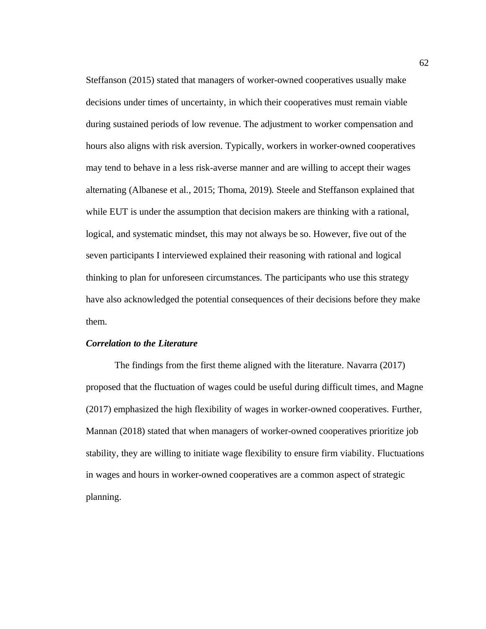Steffanson (2015) stated that managers of worker-owned cooperatives usually make decisions under times of uncertainty, in which their cooperatives must remain viable during sustained periods of low revenue. The adjustment to worker compensation and hours also aligns with risk aversion. Typically, workers in worker-owned cooperatives may tend to behave in a less risk-averse manner and are willing to accept their wages alternating (Albanese et al., 2015; Thoma, 2019). Steele and Steffanson explained that while EUT is under the assumption that decision makers are thinking with a rational, logical, and systematic mindset, this may not always be so. However, five out of the seven participants I interviewed explained their reasoning with rational and logical thinking to plan for unforeseen circumstances. The participants who use this strategy have also acknowledged the potential consequences of their decisions before they make them.

## *Correlation to the Literature*

The findings from the first theme aligned with the literature. Navarra (2017) proposed that the fluctuation of wages could be useful during difficult times, and Magne (2017) emphasized the high flexibility of wages in worker-owned cooperatives. Further, Mannan (2018) stated that when managers of worker-owned cooperatives prioritize job stability, they are willing to initiate wage flexibility to ensure firm viability. Fluctuations in wages and hours in worker-owned cooperatives are a common aspect of strategic planning.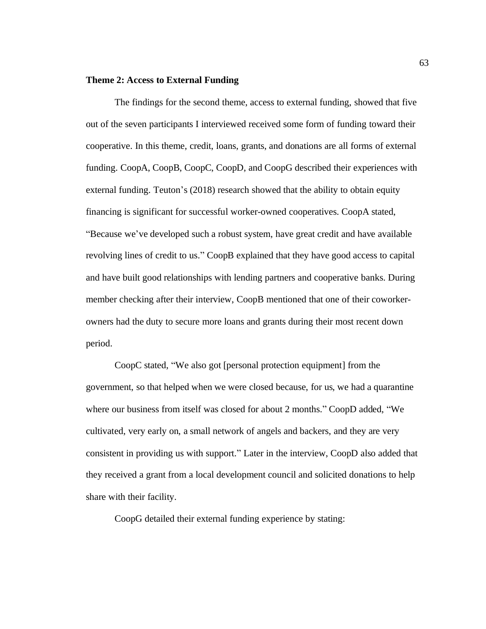# **Theme 2: Access to External Funding**

The findings for the second theme, access to external funding, showed that five out of the seven participants I interviewed received some form of funding toward their cooperative. In this theme, credit, loans, grants, and donations are all forms of external funding. CoopA, CoopB, CoopC, CoopD, and CoopG described their experiences with external funding. Teuton's (2018) research showed that the ability to obtain equity financing is significant for successful worker-owned cooperatives. CoopA stated, "Because we've developed such a robust system, have great credit and have available revolving lines of credit to us." CoopB explained that they have good access to capital and have built good relationships with lending partners and cooperative banks. During member checking after their interview, CoopB mentioned that one of their coworkerowners had the duty to secure more loans and grants during their most recent down period.

CoopC stated, "We also got [personal protection equipment] from the government, so that helped when we were closed because, for us, we had a quarantine where our business from itself was closed for about 2 months." CoopD added, "We cultivated, very early on, a small network of angels and backers, and they are very consistent in providing us with support." Later in the interview, CoopD also added that they received a grant from a local development council and solicited donations to help share with their facility.

CoopG detailed their external funding experience by stating: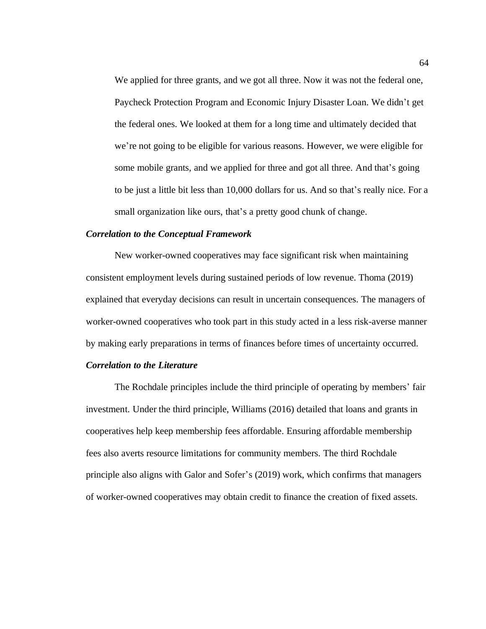We applied for three grants, and we got all three. Now it was not the federal one, Paycheck Protection Program and Economic Injury Disaster Loan. We didn't get the federal ones. We looked at them for a long time and ultimately decided that we're not going to be eligible for various reasons. However, we were eligible for some mobile grants, and we applied for three and got all three. And that's going to be just a little bit less than 10,000 dollars for us. And so that's really nice. For a small organization like ours, that's a pretty good chunk of change.

# *Correlation to the Conceptual Framework*

New worker-owned cooperatives may face significant risk when maintaining consistent employment levels during sustained periods of low revenue. Thoma (2019) explained that everyday decisions can result in uncertain consequences. The managers of worker-owned cooperatives who took part in this study acted in a less risk-averse manner by making early preparations in terms of finances before times of uncertainty occurred.

### *Correlation to the Literature*

The Rochdale principles include the third principle of operating by members' fair investment. Under the third principle, Williams (2016) detailed that loans and grants in cooperatives help keep membership fees affordable. Ensuring affordable membership fees also averts resource limitations for community members. The third Rochdale principle also aligns with Galor and Sofer's (2019) work, which confirms that managers of worker-owned cooperatives may obtain credit to finance the creation of fixed assets.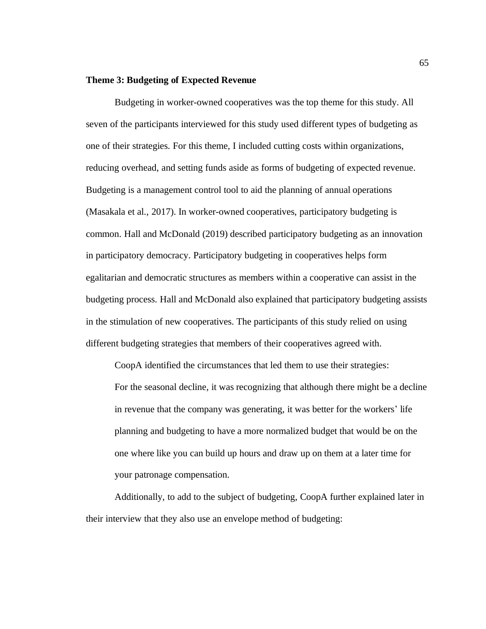# **Theme 3: Budgeting of Expected Revenue**

Budgeting in worker-owned cooperatives was the top theme for this study. All seven of the participants interviewed for this study used different types of budgeting as one of their strategies. For this theme, I included cutting costs within organizations, reducing overhead, and setting funds aside as forms of budgeting of expected revenue. Budgeting is a management control tool to aid the planning of annual operations (Masakala et al., 2017). In worker-owned cooperatives, participatory budgeting is common. Hall and McDonald (2019) described participatory budgeting as an innovation in participatory democracy. Participatory budgeting in cooperatives helps form egalitarian and democratic structures as members within a cooperative can assist in the budgeting process. Hall and McDonald also explained that participatory budgeting assists in the stimulation of new cooperatives. The participants of this study relied on using different budgeting strategies that members of their cooperatives agreed with.

CoopA identified the circumstances that led them to use their strategies: For the seasonal decline, it was recognizing that although there might be a decline in revenue that the company was generating, it was better for the workers' life planning and budgeting to have a more normalized budget that would be on the one where like you can build up hours and draw up on them at a later time for your patronage compensation.

Additionally, to add to the subject of budgeting, CoopA further explained later in their interview that they also use an envelope method of budgeting: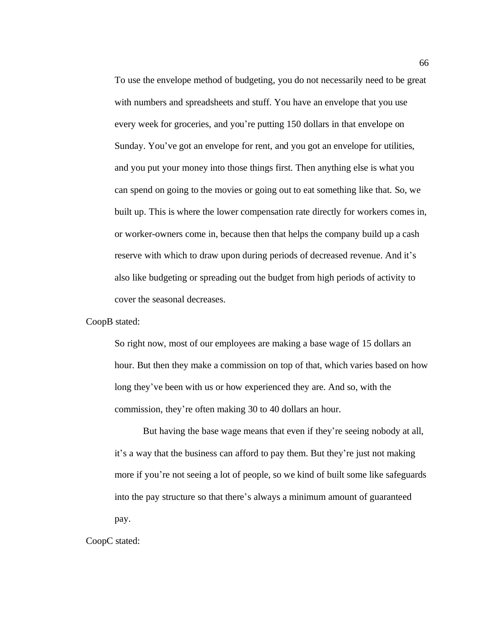To use the envelope method of budgeting, you do not necessarily need to be great with numbers and spreadsheets and stuff. You have an envelope that you use every week for groceries, and you're putting 150 dollars in that envelope on Sunday. You've got an envelope for rent, and you got an envelope for utilities, and you put your money into those things first. Then anything else is what you can spend on going to the movies or going out to eat something like that. So, we built up. This is where the lower compensation rate directly for workers comes in, or worker-owners come in, because then that helps the company build up a cash reserve with which to draw upon during periods of decreased revenue. And it's also like budgeting or spreading out the budget from high periods of activity to cover the seasonal decreases.

CoopB stated:

So right now, most of our employees are making a base wage of 15 dollars an hour. But then they make a commission on top of that, which varies based on how long they've been with us or how experienced they are. And so, with the commission, they're often making 30 to 40 dollars an hour.

But having the base wage means that even if they're seeing nobody at all, it's a way that the business can afford to pay them. But they're just not making more if you're not seeing a lot of people, so we kind of built some like safeguards into the pay structure so that there's always a minimum amount of guaranteed pay.

CoopC stated: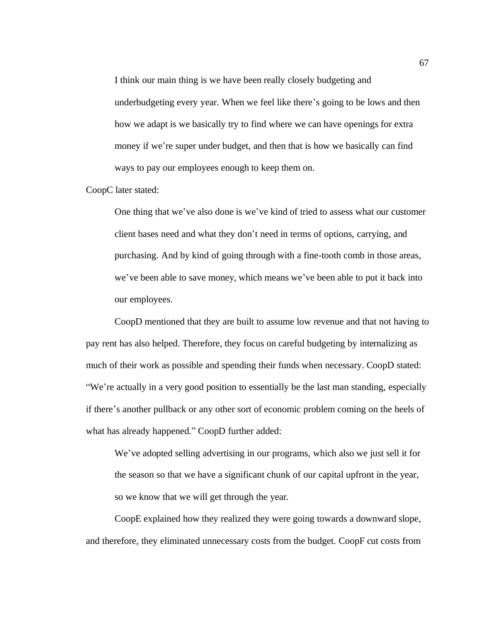I think our main thing is we have been really closely budgeting and underbudgeting every year. When we feel like there's going to be lows and then how we adapt is we basically try to find where we can have openings for extra money if we're super under budget, and then that is how we basically can find ways to pay our employees enough to keep them on.

CoopC later stated:

One thing that we've also done is we've kind of tried to assess what our customer client bases need and what they don't need in terms of options, carrying, and purchasing. And by kind of going through with a fine-tooth comb in those areas, we've been able to save money, which means we've been able to put it back into our employees.

CoopD mentioned that they are built to assume low revenue and that not having to pay rent has also helped. Therefore, they focus on careful budgeting by internalizing as much of their work as possible and spending their funds when necessary. CoopD stated: "We're actually in a very good position to essentially be the last man standing, especially if there's another pullback or any other sort of economic problem coming on the heels of what has already happened." CoopD further added:

We've adopted selling advertising in our programs, which also we just sell it for the season so that we have a significant chunk of our capital upfront in the year, so we know that we will get through the year.

CoopE explained how they realized they were going towards a downward slope, and therefore, they eliminated unnecessary costs from the budget. CoopF cut costs from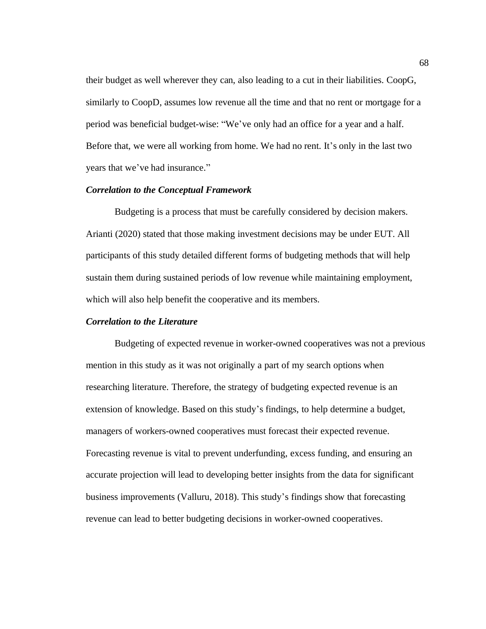their budget as well wherever they can, also leading to a cut in their liabilities. CoopG, similarly to CoopD, assumes low revenue all the time and that no rent or mortgage for a period was beneficial budget-wise: "We've only had an office for a year and a half. Before that, we were all working from home. We had no rent. It's only in the last two years that we've had insurance."

### *Correlation to the Conceptual Framework*

Budgeting is a process that must be carefully considered by decision makers. Arianti (2020) stated that those making investment decisions may be under EUT. All participants of this study detailed different forms of budgeting methods that will help sustain them during sustained periods of low revenue while maintaining employment, which will also help benefit the cooperative and its members.

## *Correlation to the Literature*

Budgeting of expected revenue in worker-owned cooperatives was not a previous mention in this study as it was not originally a part of my search options when researching literature. Therefore, the strategy of budgeting expected revenue is an extension of knowledge. Based on this study's findings, to help determine a budget, managers of workers-owned cooperatives must forecast their expected revenue. Forecasting revenue is vital to prevent underfunding, excess funding, and ensuring an accurate projection will lead to developing better insights from the data for significant business improvements (Valluru, 2018). This study's findings show that forecasting revenue can lead to better budgeting decisions in worker-owned cooperatives.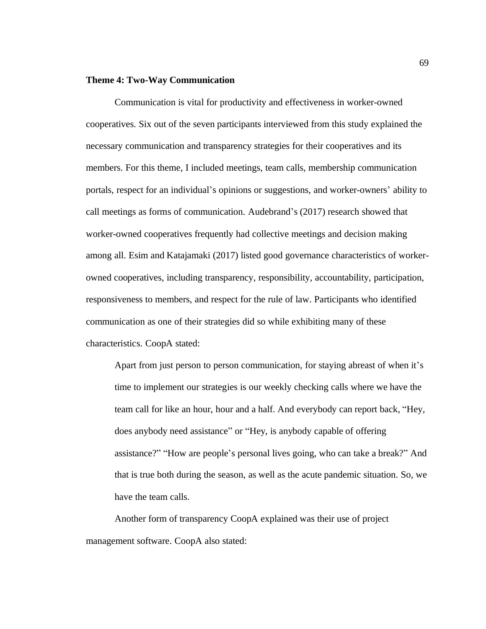# **Theme 4: Two-Way Communication**

Communication is vital for productivity and effectiveness in worker-owned cooperatives. Six out of the seven participants interviewed from this study explained the necessary communication and transparency strategies for their cooperatives and its members. For this theme, I included meetings, team calls, membership communication portals, respect for an individual's opinions or suggestions, and worker-owners' ability to call meetings as forms of communication. Audebrand's (2017) research showed that worker-owned cooperatives frequently had collective meetings and decision making among all. Esim and Katajamaki (2017) listed good governance characteristics of workerowned cooperatives, including transparency, responsibility, accountability, participation, responsiveness to members, and respect for the rule of law. Participants who identified communication as one of their strategies did so while exhibiting many of these characteristics. CoopA stated:

Apart from just person to person communication, for staying abreast of when it's time to implement our strategies is our weekly checking calls where we have the team call for like an hour, hour and a half. And everybody can report back, "Hey, does anybody need assistance" or "Hey, is anybody capable of offering assistance?" "How are people's personal lives going, who can take a break?" And that is true both during the season, as well as the acute pandemic situation. So, we have the team calls.

Another form of transparency CoopA explained was their use of project management software. CoopA also stated: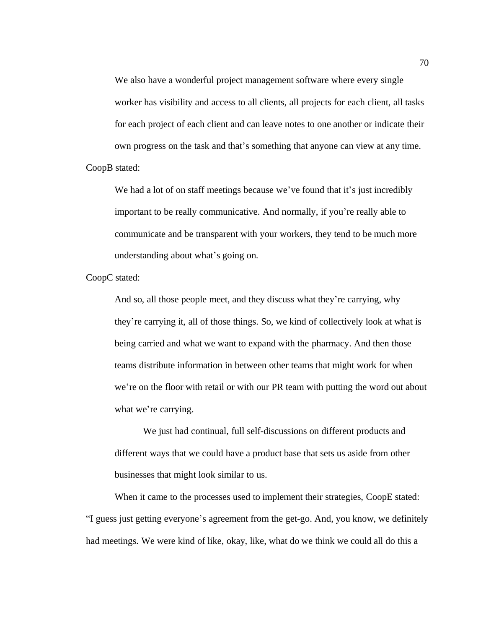We also have a wonderful project management software where every single worker has visibility and access to all clients, all projects for each client, all tasks for each project of each client and can leave notes to one another or indicate their own progress on the task and that's something that anyone can view at any time. CoopB stated:

We had a lot of on staff meetings because we've found that it's just incredibly important to be really communicative. And normally, if you're really able to communicate and be transparent with your workers, they tend to be much more understanding about what's going on.

CoopC stated:

And so, all those people meet, and they discuss what they're carrying, why they're carrying it, all of those things. So, we kind of collectively look at what is being carried and what we want to expand with the pharmacy. And then those teams distribute information in between other teams that might work for when we're on the floor with retail or with our PR team with putting the word out about what we're carrying.

We just had continual, full self-discussions on different products and different ways that we could have a product base that sets us aside from other businesses that might look similar to us.

When it came to the processes used to implement their strategies, CoopE stated: "I guess just getting everyone's agreement from the get-go. And, you know, we definitely had meetings. We were kind of like, okay, like, what do we think we could all do this a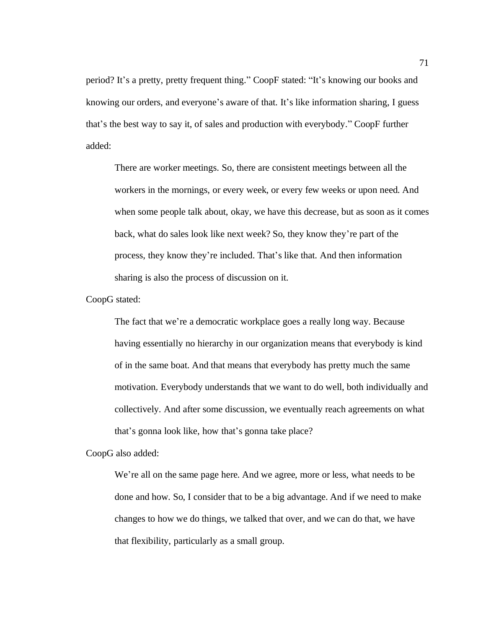period? It's a pretty, pretty frequent thing." CoopF stated: "It's knowing our books and knowing our orders, and everyone's aware of that. It's like information sharing, I guess that's the best way to say it, of sales and production with everybody." CoopF further added:

There are worker meetings. So, there are consistent meetings between all the workers in the mornings, or every week, or every few weeks or upon need. And when some people talk about, okay, we have this decrease, but as soon as it comes back, what do sales look like next week? So, they know they're part of the process, they know they're included. That's like that. And then information sharing is also the process of discussion on it.

CoopG stated:

The fact that we're a democratic workplace goes a really long way. Because having essentially no hierarchy in our organization means that everybody is kind of in the same boat. And that means that everybody has pretty much the same motivation. Everybody understands that we want to do well, both individually and collectively. And after some discussion, we eventually reach agreements on what that's gonna look like, how that's gonna take place?

CoopG also added:

We're all on the same page here. And we agree, more or less, what needs to be done and how. So, I consider that to be a big advantage. And if we need to make changes to how we do things, we talked that over, and we can do that, we have that flexibility, particularly as a small group.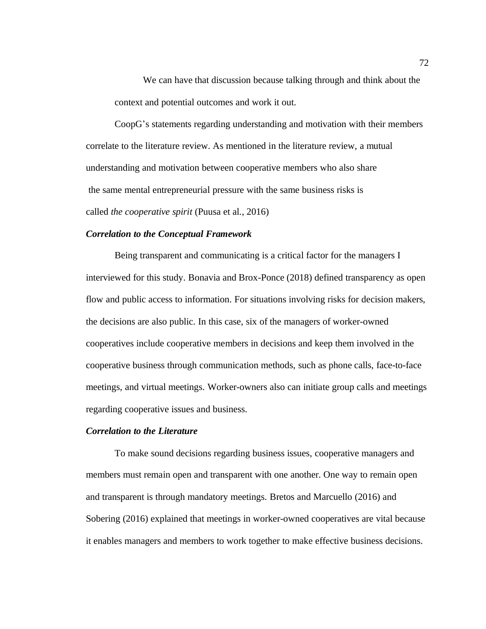We can have that discussion because talking through and think about the context and potential outcomes and work it out.

CoopG's statements regarding understanding and motivation with their members correlate to the literature review. As mentioned in the literature review, a mutual understanding and motivation between cooperative members who also share the same mental entrepreneurial pressure with the same business risks is called *the cooperative spirit* (Puusa et al., 2016)

# *Correlation to the Conceptual Framework*

Being transparent and communicating is a critical factor for the managers I interviewed for this study. Bonavia and Brox-Ponce (2018) defined transparency as open flow and public access to information. For situations involving risks for decision makers, the decisions are also public. In this case, six of the managers of worker-owned cooperatives include cooperative members in decisions and keep them involved in the cooperative business through communication methods, such as phone calls, face-to-face meetings, and virtual meetings. Worker-owners also can initiate group calls and meetings regarding cooperative issues and business.

# *Correlation to the Literature*

To make sound decisions regarding business issues, cooperative managers and members must remain open and transparent with one another. One way to remain open and transparent is through mandatory meetings. Bretos and Marcuello (2016) and Sobering (2016) explained that meetings in worker-owned cooperatives are vital because it enables managers and members to work together to make effective business decisions.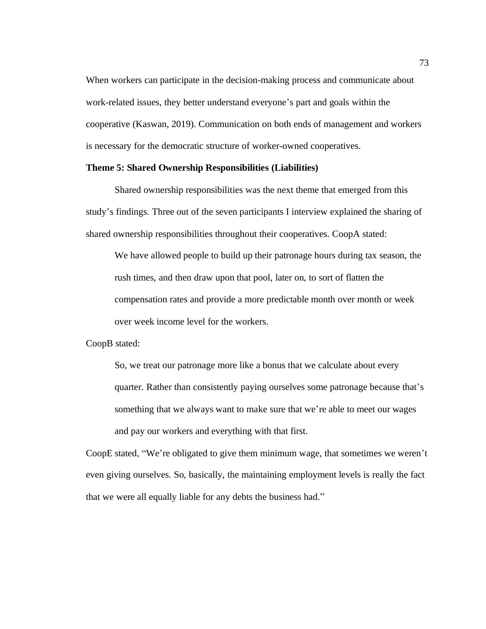When workers can participate in the decision-making process and communicate about work-related issues, they better understand everyone's part and goals within the cooperative (Kaswan, 2019). Communication on both ends of management and workers is necessary for the democratic structure of worker-owned cooperatives.

#### **Theme 5: Shared Ownership Responsibilities (Liabilities)**

Shared ownership responsibilities was the next theme that emerged from this study's findings. Three out of the seven participants I interview explained the sharing of shared ownership responsibilities throughout their cooperatives. CoopA stated:

We have allowed people to build up their patronage hours during tax season, the rush times, and then draw upon that pool, later on, to sort of flatten the compensation rates and provide a more predictable month over month or week over week income level for the workers.

CoopB stated:

So, we treat our patronage more like a bonus that we calculate about every quarter. Rather than consistently paying ourselves some patronage because that's something that we always want to make sure that we're able to meet our wages and pay our workers and everything with that first.

CoopE stated, "We're obligated to give them minimum wage, that sometimes we weren't even giving ourselves. So, basically, the maintaining employment levels is really the fact that we were all equally liable for any debts the business had."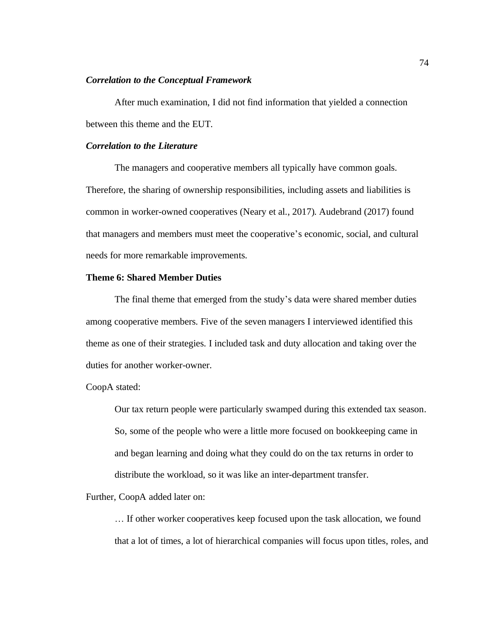# *Correlation to the Conceptual Framework*

After much examination, I did not find information that yielded a connection between this theme and the EUT.

# *Correlation to the Literature*

The managers and cooperative members all typically have common goals. Therefore, the sharing of ownership responsibilities, including assets and liabilities is common in worker-owned cooperatives (Neary et al., 2017). Audebrand (2017) found that managers and members must meet the cooperative's economic, social, and cultural needs for more remarkable improvements.

# **Theme 6: Shared Member Duties**

The final theme that emerged from the study's data were shared member duties among cooperative members. Five of the seven managers I interviewed identified this theme as one of their strategies. I included task and duty allocation and taking over the duties for another worker-owner.

CoopA stated:

Our tax return people were particularly swamped during this extended tax season. So, some of the people who were a little more focused on bookkeeping came in and began learning and doing what they could do on the tax returns in order to distribute the workload, so it was like an inter-department transfer.

Further, CoopA added later on:

… If other worker cooperatives keep focused upon the task allocation, we found that a lot of times, a lot of hierarchical companies will focus upon titles, roles, and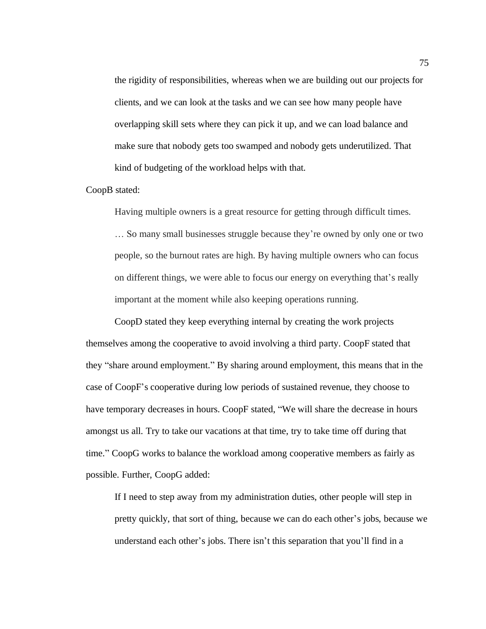the rigidity of responsibilities, whereas when we are building out our projects for clients, and we can look at the tasks and we can see how many people have overlapping skill sets where they can pick it up, and we can load balance and make sure that nobody gets too swamped and nobody gets underutilized. That kind of budgeting of the workload helps with that.

CoopB stated:

Having multiple owners is a great resource for getting through difficult times.

… So many small businesses struggle because they're owned by only one or two people, so the burnout rates are high. By having multiple owners who can focus on different things, we were able to focus our energy on everything that's really important at the moment while also keeping operations running.

CoopD stated they keep everything internal by creating the work projects themselves among the cooperative to avoid involving a third party. CoopF stated that they "share around employment." By sharing around employment, this means that in the case of CoopF's cooperative during low periods of sustained revenue, they choose to have temporary decreases in hours. CoopF stated, "We will share the decrease in hours amongst us all. Try to take our vacations at that time, try to take time off during that time." CoopG works to balance the workload among cooperative members as fairly as possible. Further, CoopG added:

If I need to step away from my administration duties, other people will step in pretty quickly, that sort of thing, because we can do each other's jobs, because we understand each other's jobs. There isn't this separation that you'll find in a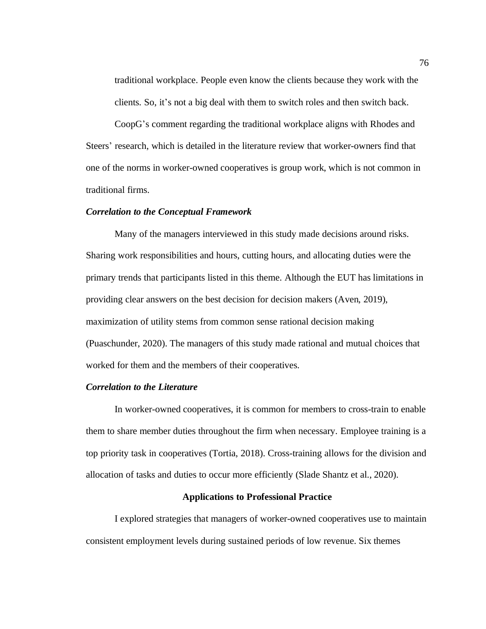traditional workplace. People even know the clients because they work with the

clients. So, it's not a big deal with them to switch roles and then switch back.

CoopG's comment regarding the traditional workplace aligns with Rhodes and Steers' research, which is detailed in the literature review that worker-owners find that one of the norms in worker-owned cooperatives is group work, which is not common in traditional firms.

#### *Correlation to the Conceptual Framework*

Many of the managers interviewed in this study made decisions around risks. Sharing work responsibilities and hours, cutting hours, and allocating duties were the primary trends that participants listed in this theme. Although the EUT has limitations in providing clear answers on the best decision for decision makers (Aven, 2019), maximization of utility stems from common sense rational decision making (Puaschunder, 2020). The managers of this study made rational and mutual choices that worked for them and the members of their cooperatives.

### *Correlation to the Literature*

In worker-owned cooperatives, it is common for members to cross-train to enable them to share member duties throughout the firm when necessary. Employee training is a top priority task in cooperatives (Tortia, 2018). Cross-training allows for the division and allocation of tasks and duties to occur more efficiently (Slade Shantz et al., 2020).

### **Applications to Professional Practice**

I explored strategies that managers of worker-owned cooperatives use to maintain consistent employment levels during sustained periods of low revenue. Six themes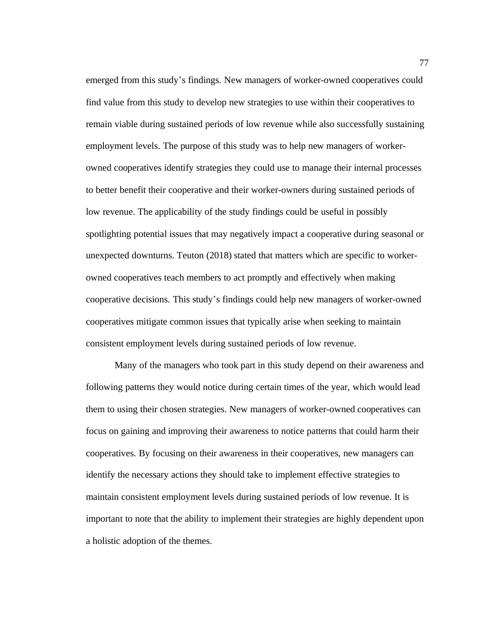emerged from this study's findings. New managers of worker-owned cooperatives could find value from this study to develop new strategies to use within their cooperatives to remain viable during sustained periods of low revenue while also successfully sustaining employment levels. The purpose of this study was to help new managers of workerowned cooperatives identify strategies they could use to manage their internal processes to better benefit their cooperative and their worker-owners during sustained periods of low revenue. The applicability of the study findings could be useful in possibly spotlighting potential issues that may negatively impact a cooperative during seasonal or unexpected downturns. Teuton (2018) stated that matters which are specific to workerowned cooperatives teach members to act promptly and effectively when making cooperative decisions. This study's findings could help new managers of worker-owned cooperatives mitigate common issues that typically arise when seeking to maintain consistent employment levels during sustained periods of low revenue.

Many of the managers who took part in this study depend on their awareness and following patterns they would notice during certain times of the year, which would lead them to using their chosen strategies. New managers of worker-owned cooperatives can focus on gaining and improving their awareness to notice patterns that could harm their cooperatives. By focusing on their awareness in their cooperatives, new managers can identify the necessary actions they should take to implement effective strategies to maintain consistent employment levels during sustained periods of low revenue. It is important to note that the ability to implement their strategies are highly dependent upon a holistic adoption of the themes.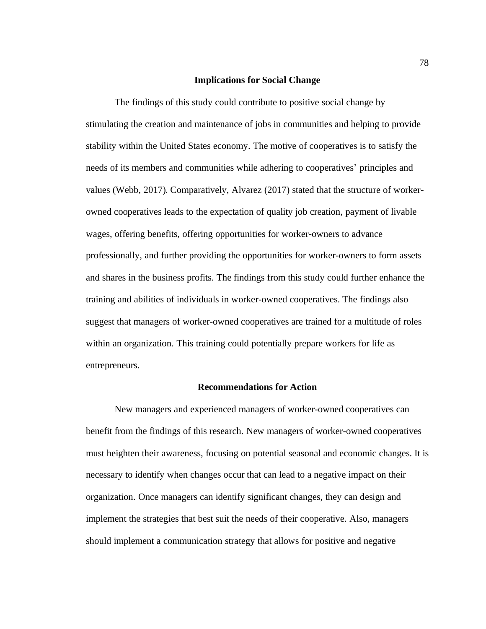## **Implications for Social Change**

The findings of this study could contribute to positive social change by stimulating the creation and maintenance of jobs in communities and helping to provide stability within the United States economy. The motive of cooperatives is to satisfy the needs of its members and communities while adhering to cooperatives' principles and values (Webb, 2017). Comparatively, Alvarez (2017) stated that the structure of workerowned cooperatives leads to the expectation of quality job creation, payment of livable wages, offering benefits, offering opportunities for worker-owners to advance professionally, and further providing the opportunities for worker-owners to form assets and shares in the business profits. The findings from this study could further enhance the training and abilities of individuals in worker-owned cooperatives. The findings also suggest that managers of worker-owned cooperatives are trained for a multitude of roles within an organization. This training could potentially prepare workers for life as entrepreneurs.

# **Recommendations for Action**

New managers and experienced managers of worker-owned cooperatives can benefit from the findings of this research. New managers of worker-owned cooperatives must heighten their awareness, focusing on potential seasonal and economic changes. It is necessary to identify when changes occur that can lead to a negative impact on their organization. Once managers can identify significant changes, they can design and implement the strategies that best suit the needs of their cooperative. Also, managers should implement a communication strategy that allows for positive and negative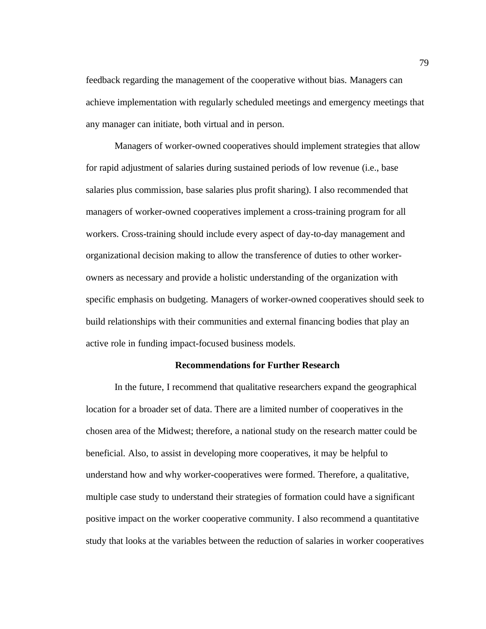feedback regarding the management of the cooperative without bias. Managers can achieve implementation with regularly scheduled meetings and emergency meetings that any manager can initiate, both virtual and in person.

Managers of worker-owned cooperatives should implement strategies that allow for rapid adjustment of salaries during sustained periods of low revenue (i.e., base salaries plus commission, base salaries plus profit sharing). I also recommended that managers of worker-owned cooperatives implement a cross-training program for all workers. Cross-training should include every aspect of day-to-day management and organizational decision making to allow the transference of duties to other workerowners as necessary and provide a holistic understanding of the organization with specific emphasis on budgeting. Managers of worker-owned cooperatives should seek to build relationships with their communities and external financing bodies that play an active role in funding impact-focused business models.

### **Recommendations for Further Research**

In the future, I recommend that qualitative researchers expand the geographical location for a broader set of data. There are a limited number of cooperatives in the chosen area of the Midwest; therefore, a national study on the research matter could be beneficial. Also, to assist in developing more cooperatives, it may be helpful to understand how and why worker-cooperatives were formed. Therefore, a qualitative, multiple case study to understand their strategies of formation could have a significant positive impact on the worker cooperative community. I also recommend a quantitative study that looks at the variables between the reduction of salaries in worker cooperatives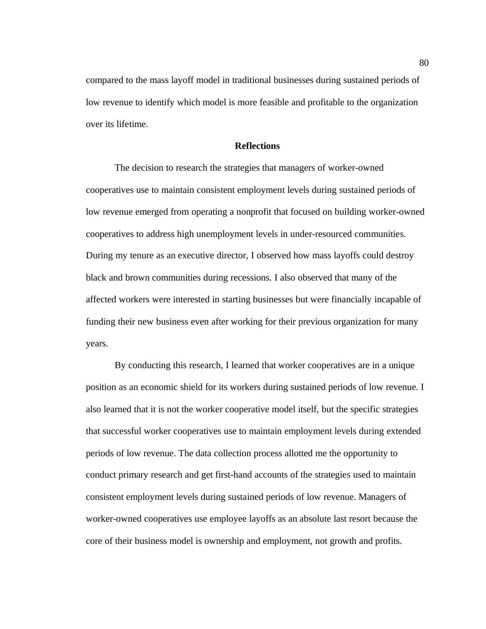compared to the mass layoff model in traditional businesses during sustained periods of low revenue to identify which model is more feasible and profitable to the organization over its lifetime.

# **Reflections**

The decision to research the strategies that managers of worker-owned cooperatives use to maintain consistent employment levels during sustained periods of low revenue emerged from operating a nonprofit that focused on building worker-owned cooperatives to address high unemployment levels in under-resourced communities. During my tenure as an executive director, I observed how mass layoffs could destroy black and brown communities during recessions. I also observed that many of the affected workers were interested in starting businesses but were financially incapable of funding their new business even after working for their previous organization for many years.

By conducting this research, I learned that worker cooperatives are in a unique position as an economic shield for its workers during sustained periods of low revenue. I also learned that it is not the worker cooperative model itself, but the specific strategies that successful worker cooperatives use to maintain employment levels during extended periods of low revenue. The data collection process allotted me the opportunity to conduct primary research and get first-hand accounts of the strategies used to maintain consistent employment levels during sustained periods of low revenue. Managers of worker-owned cooperatives use employee layoffs as an absolute last resort because the core of their business model is ownership and employment, not growth and profits.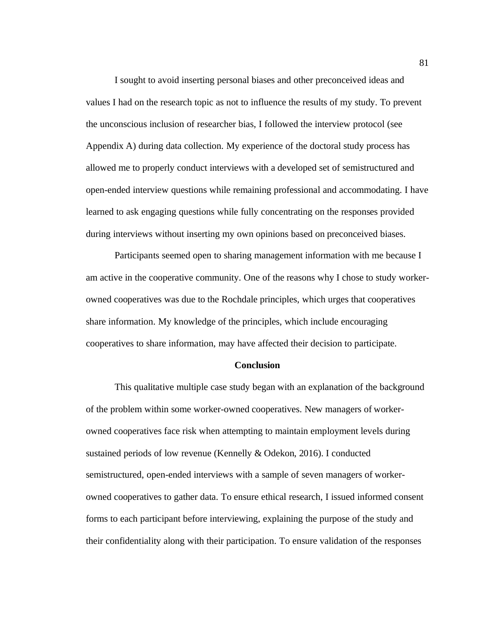I sought to avoid inserting personal biases and other preconceived ideas and values I had on the research topic as not to influence the results of my study. To prevent the unconscious inclusion of researcher bias, I followed the interview protocol (see Appendix A) during data collection. My experience of the doctoral study process has allowed me to properly conduct interviews with a developed set of semistructured and open-ended interview questions while remaining professional and accommodating. I have learned to ask engaging questions while fully concentrating on the responses provided during interviews without inserting my own opinions based on preconceived biases.

Participants seemed open to sharing management information with me because I am active in the cooperative community. One of the reasons why I chose to study workerowned cooperatives was due to the Rochdale principles, which urges that cooperatives share information. My knowledge of the principles, which include encouraging cooperatives to share information, may have affected their decision to participate.

#### **Conclusion**

This qualitative multiple case study began with an explanation of the background of the problem within some worker-owned cooperatives. New managers of workerowned cooperatives face risk when attempting to maintain employment levels during sustained periods of low revenue (Kennelly & Odekon, 2016). I conducted semistructured, open-ended interviews with a sample of seven managers of workerowned cooperatives to gather data. To ensure ethical research, I issued informed consent forms to each participant before interviewing, explaining the purpose of the study and their confidentiality along with their participation. To ensure validation of the responses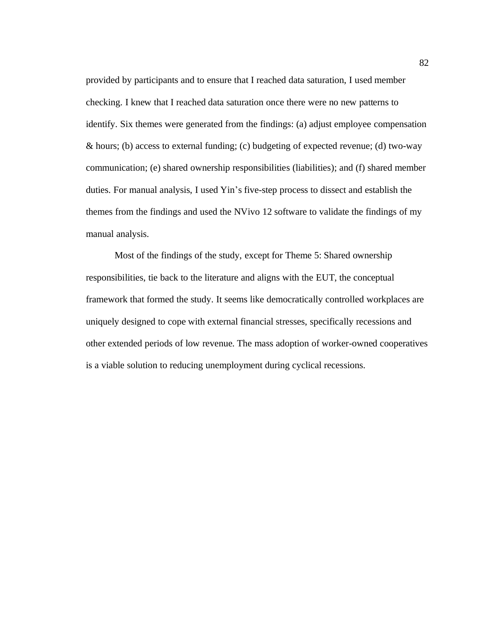provided by participants and to ensure that I reached data saturation, I used member checking. I knew that I reached data saturation once there were no new patterns to identify. Six themes were generated from the findings: (a) adjust employee compensation & hours; (b) access to external funding; (c) budgeting of expected revenue; (d) two-way communication; (e) shared ownership responsibilities (liabilities); and (f) shared member duties. For manual analysis, I used Yin's five-step process to dissect and establish the themes from the findings and used the NVivo 12 software to validate the findings of my manual analysis.

Most of the findings of the study, except for Theme 5: Shared ownership responsibilities, tie back to the literature and aligns with the EUT, the conceptual framework that formed the study. It seems like democratically controlled workplaces are uniquely designed to cope with external financial stresses, specifically recessions and other extended periods of low revenue. The mass adoption of worker-owned cooperatives is a viable solution to reducing unemployment during cyclical recessions.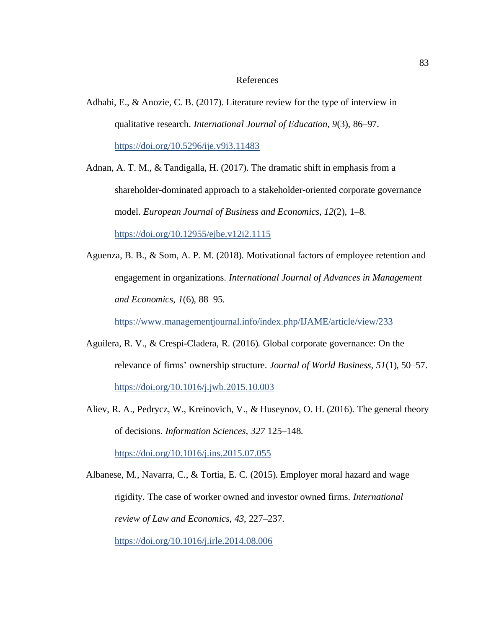## References

Adhabi, E., & Anozie, C. B. (2017). Literature review for the type of interview in qualitative research. *International Journal of Education, 9*(3), 86–97. <https://doi.org/10.5296/ije.v9i3.11483>

Adnan, A. T. M., & Tandigalla, H. (2017). The dramatic shift in emphasis from a shareholder-dominated approach to a stakeholder-oriented corporate governance model. *European Journal of Business and Economics, 12*(2), 1–8. <https://doi.org/10.12955/ejbe.v12i2.1115>

Aguenza, B. B., & Som, A. P. M. (2018). Motivational factors of employee retention and engagement in organizations. *International Journal of Advances in Management and Economics, 1*(6), 88–95.

<https://www.managementjournal.info/index.php/IJAME/article/view/233>

- Aguilera, R. V., & Crespi-Cladera, R. (2016). Global corporate governance: On the relevance of firms' ownership structure. *Journal of World Business, 51*(1), 50–57. <https://doi.org/10.1016/j.jwb.2015.10.003>
- Aliev, R. A., Pedrycz, W., Kreinovich, V., & Huseynov, O. H. (2016). The general theory of decisions. *Information Sciences, 327* 125–148.

Albanese, M., Navarra, C., & Tortia, E. C. (2015). Employer moral hazard and wage rigidity. The case of worker owned and investor owned firms. *International review of Law and Economics, 43*, 227–237.

<https://doi.org/10.1016/j.irle.2014.08.006>

<https://doi.org/10.1016/j.ins.2015.07.055>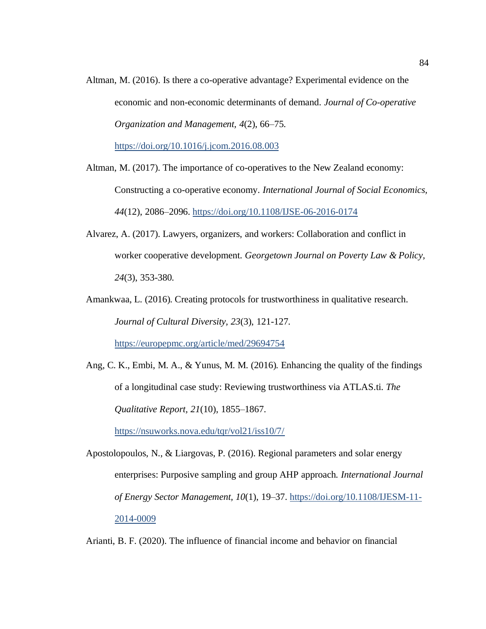Altman, M. (2016). Is there a co-operative advantage? Experimental evidence on the economic and non-economic determinants of demand. *Journal of Co-operative Organization and Management, 4*(2), 66–75.

<https://doi.org/10.1016/j.jcom.2016.08.003>

Altman, M. (2017). The importance of co-operatives to the New Zealand economy: Constructing a co-operative economy. *International Journal of Social Economics, 44*(12), 2086–2096.<https://doi.org/10.1108/IJSE-06-2016-0174>

- Alvarez, A. (2017). Lawyers, organizers, and workers: Collaboration and conflict in worker cooperative development. *Georgetown Journal on Poverty Law & Policy, 24*(3), 353-380.
- Amankwaa, L. (2016). Creating protocols for trustworthiness in qualitative research. *Journal of Cultural Diversity, 23*(3), 121-127.

<https://europepmc.org/article/med/29694754>

Ang, C. K., Embi, M. A., & Yunus, M. M. (2016). Enhancing the quality of the findings of a longitudinal case study: Reviewing trustworthiness via ATLAS.ti. *The Qualitative Report, 21*(10), 1855–1867.

<https://nsuworks.nova.edu/tqr/vol21/iss10/7/>

Apostolopoulos, N., & Liargovas, P. (2016). Regional parameters and solar energy enterprises: Purposive sampling and group AHP approach. *International Journal of Energy Sector Management, 10*(1), 19–37[. https://doi.org/10.1108/IJESM-11-](https://doi.org/10.1108/IJESM-11-2014-0009) [2014-0009](https://doi.org/10.1108/IJESM-11-2014-0009)

Arianti, B. F. (2020). The influence of financial income and behavior on financial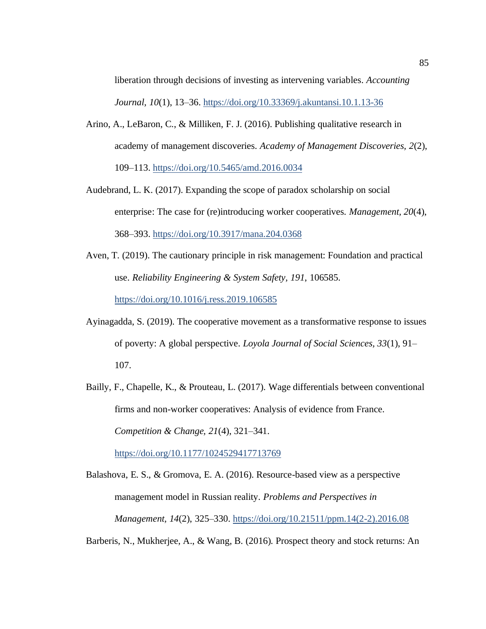liberation through decisions of investing as intervening variables. *Accounting Journal, 10*(1), 13–36. <https://doi.org/10.33369/j.akuntansi.10.1.13-36>

- Arino, A., LeBaron, C., & Milliken, F. J. (2016). Publishing qualitative research in academy of management discoveries. *Academy of Management Discoveries, 2*(2), 109–113.<https://doi.org/10.5465/amd.2016.0034>
- Audebrand, L. K. (2017). Expanding the scope of paradox scholarship on social enterprise: The case for (re)introducing worker cooperatives. *Management, 20*(4), 368–393. <https://doi.org/10.3917/mana.204.0368>
- Aven, T. (2019). The cautionary principle in risk management: Foundation and practical use. *Reliability Engineering & System Safety, 191*, 106585. <https://doi.org/10.1016/j.ress.2019.106585>
- Ayinagadda, S. (2019). The cooperative movement as a transformative response to issues of poverty: A global perspective. *Loyola Journal of Social Sciences, 33*(1), 91– 107.
- Bailly, F., Chapelle, K., & Prouteau, L. (2017). Wage differentials between conventional firms and non-worker cooperatives: Analysis of evidence from France. *Competition & Change, 21*(4), 321–341.

[https://doi.org/10.1177/1024529417713769](https://doi.org/10.1177%2F1024529417713769)

Balashova, E. S., & Gromova, E. A. (2016). Resource-based view as a perspective management model in Russian reality. *Problems and Perspectives in Management, 14*(2), 325–330[. https://doi.org/10.21511/ppm.14\(2-2\).2016.08](https://doi.org/10.21511/ppm.14(2-2).2016.08)

Barberis, N., Mukherjee, A., & Wang, B. (2016). Prospect theory and stock returns: An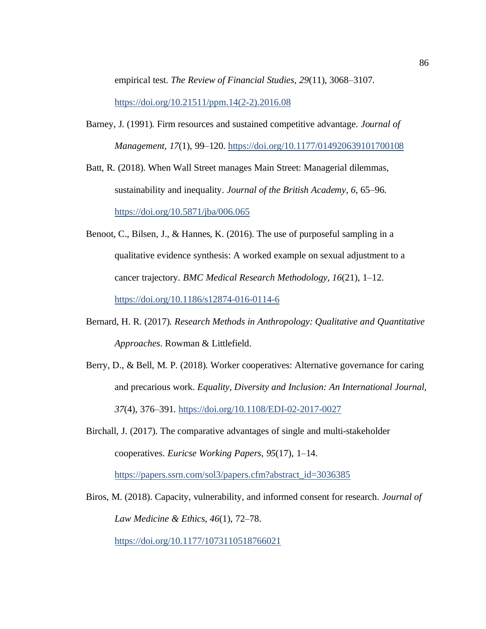empirical test. *The Review of Financial Studies, 29*(11), 3068–3107.

[https://doi.org/10.21511/ppm.14\(2-2\).2016.08](https://doi.org/10.21511/ppm.14(2-2).2016.08)

Barney, J. (1991). Firm resources and sustained competitive advantage. *Journal of Management, 17*(1), 99–120[. https://doi.org/10.1177/014920639101700108](https://doi.org/10.1177%2F014920639101700108)

Batt, R. (2018). When Wall Street manages Main Street: Managerial dilemmas, sustainability and inequality. *Journal of the British Academy, 6*, 65–96[.](https://doi.org/10.5871/jba/006.065) <https://doi.org/10.5871/jba/006.065>

- Benoot, C., Bilsen, J., & Hannes, K. (2016). The use of purposeful sampling in a qualitative evidence synthesis: A worked example on sexual adjustment to a cancer trajectory. *BMC Medical Research Methodology, 16*(21), 1–12. <https://doi.org/10.1186/s12874-016-0114-6>
- Bernard, H. R. (2017). *Research Methods in Anthropology: Qualitative and Quantitative Approaches*. Rowman & Littlefield.
- Berry, D., & Bell, M. P. (2018). Worker cooperatives: Alternative governance for caring and precarious work. *Equality, Diversity and Inclusion: An International Journal, 37*(4), 376–391.<https://doi.org/10.1108/EDI-02-2017-0027>
- Birchall, J. (2017). The comparative advantages of single and multi-stakeholder cooperatives. *Euricse Working Papers, 95*(17), 1–14. [https://papers.ssrn.com/sol3/papers.cfm?abstract\\_id=3036385](https://papers.ssrn.com/sol3/papers.cfm?abstract_id=3036385)

Biros, M. (2018). Capacity, vulnerability, and informed consent for research. *Journal of Law Medicine & Ethics, 46*(1), 72–78. <https://doi.org/10.1177/1073110518766021>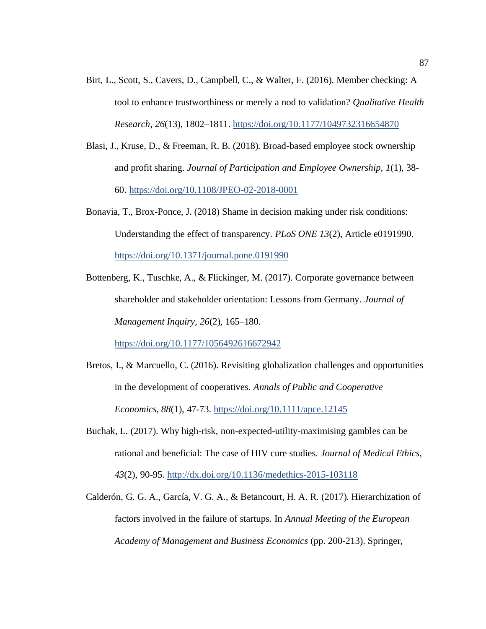- Birt, L., Scott, S., Cavers, D., Campbell, C., & Walter, F. (2016). Member checking: A tool to enhance trustworthiness or merely a nod to validation? *Qualitative Health Research, 26*(13), 1802–1811[. https://doi.org/10.1177/1049732316654870](https://doi.org/10.1177%2F1049732316654870)
- Blasi, J., Kruse, D., & Freeman, R. B. (2018). Broad-based employee stock ownership and profit sharing. *Journal of Participation and Employee Ownership, 1*(1), 38- 60.<https://doi.org/10.1108/JPEO-02-2018-0001>
- Bonavia, T., Brox-Ponce, J. (2018) Shame in decision making under risk conditions: Understanding the effect of transparency. *PLoS ONE 13*(2), Article e0191990. <https://doi.org/10.1371/journal.pone.0191990>
- Bottenberg, K., Tuschke, A., & Flickinger, M. (2017). Corporate governance between shareholder and stakeholder orientation: Lessons from Germany. *Journal of Management Inquiry, 26*(2), 165–180.

[https://doi.org/10.1177/1056492616672942](https://doi.org/10.1177%2F1056492616672942)

- Bretos, I., & Marcuello, C. (2016). Revisiting globalization challenges and opportunities in the development of cooperatives. *Annals of Public and Cooperative Economics, 88*(1), 47-73[. https://doi.org/10.1111/apce.12145](https://doi.org/10.1111/apce.12145)
- Buchak, L. (2017). Why high-risk, non-expected-utility-maximising gambles can be rational and beneficial: The case of HIV cure studies. *Journal of Medical Ethics, 43*(2), 90-95. <http://dx.doi.org/10.1136/medethics-2015-103118>
- Calderón, G. G. A., García, V. G. A., & Betancourt, H. A. R. (2017). Hierarchization of factors involved in the failure of startups. In *Annual Meeting of the European Academy of Management and Business Economics* (pp. 200-213). Springer,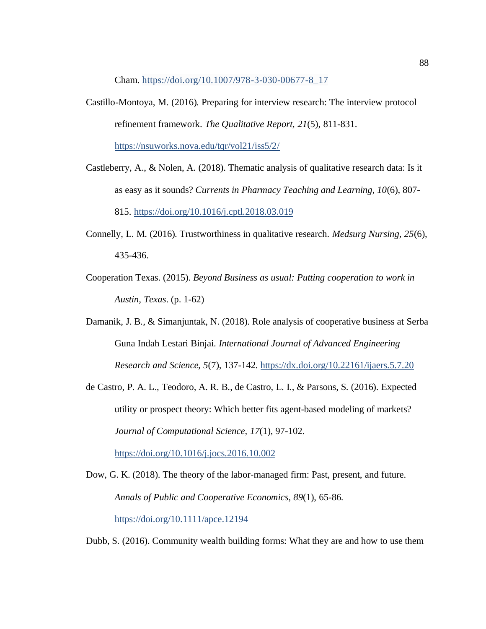Cham. [https://doi.org/10.1007/978-3-030-00677-8\\_17](https://doi.org/10.1007/978-3-030-00677-8_17)

- Castillo-Montoya, M. (2016). Preparing for interview research: The interview protocol refinement framework. *The Qualitative Report, 21*(5), 811-831. <https://nsuworks.nova.edu/tqr/vol21/iss5/2/>
- Castleberry, A., & Nolen, A. (2018). Thematic analysis of qualitative research data: Is it as easy as it sounds? *Currents in Pharmacy Teaching and Learning, 10*(6), 807- 815.<https://doi.org/10.1016/j.cptl.2018.03.019>
- Connelly, L. M. (2016). Trustworthiness in qualitative research. *Medsurg Nursing, 25*(6), 435-436.
- Cooperation Texas. (2015). *Beyond Business as usual: Putting cooperation to work in Austin, Texas*. (p. 1-62)
- Damanik, J. B., & Simanjuntak, N. (2018). Role analysis of cooperative business at Serba Guna Indah Lestari Binjai. *International Journal of Advanced Engineering Research and Science, 5*(7), 137-142.<https://dx.doi.org/10.22161/ijaers.5.7.20>
- de Castro, P. A. L., Teodoro, A. R. B., de Castro, L. I., & Parsons, S. (2016). Expected utility or prospect theory: Which better fits agent-based modeling of markets? *Journal of Computational Science, 17*(1), 97-102. <https://doi.org/10.1016/j.jocs.2016.10.002>
- Dow, G. K. (2018). The theory of the labor-managed firm: Past, present, and future. *Annals of Public and Cooperative Economics, 89*(1), 65-86. <https://doi.org/10.1111/apce.12194>

Dubb, S. (2016). Community wealth building forms: What they are and how to use them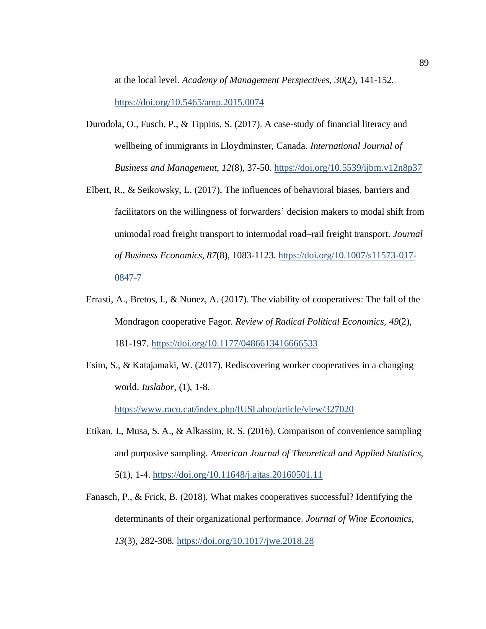at the local level. *Academy of Management Perspectives, 30*(2), 141-152. <https://doi.org/10.5465/amp.2015.0074>

- Durodola, O., Fusch, P., & Tippins, S. (2017). A case-study of financial literacy and wellbeing of immigrants in Lloydminster, Canada. *International Journal of Business and Management, 12*(8), 37-50. <https://doi.org/10.5539/ijbm.v12n8p37>
- Elbert, R., & Seikowsky, L. (2017). The influences of behavioral biases, barriers and facilitators on the willingness of forwarders' decision makers to modal shift from unimodal road freight transport to intermodal road–rail freight transport. *Journal of Business Economics, 87*(8), 1083-1123. [https://doi.org/10.1007/s11573-017-](https://doi.org/10.1007/s11573-017-0847-7) [0847-7](https://doi.org/10.1007/s11573-017-0847-7)
- Errasti, A., Bretos, I., & Nunez, A. (2017). The viability of cooperatives: The fall of the Mondragon cooperative Fagor. *Review of Radical Political Economics, 49*(2), 181-197. [https://doi.org/10.1177/0486613416666533](https://doi.org/10.1177%2F0486613416666533)
- Esim, S., & Katajamaki, W. (2017). Rediscovering worker cooperatives in a changing world. *Iuslabor*, (1), 1-8.

<https://www.raco.cat/index.php/IUSLabor/article/view/327020>

- Etikan, I., Musa, S. A., & Alkassim, R. S. (2016). Comparison of convenience sampling and purposive sampling. *American Journal of Theoretical and Applied Statistics, 5*(1), 1-4. [https://doi.org/10.11648/j.ajtas.20160501.11](https://nam04.safelinks.protection.outlook.com/?url=https%3A%2F%2Fdoi.org%2F10.11648%2Fj.ajtas.20160501.11%25C2%25A0&data=04%7C01%7Ctermaine.davis%40waldenu.edu%7Cb8641df57b0b46f9a23608d8c2bbf25b%7C7e53ec4ad32542289e0ea55a6b8892d5%7C0%7C0%7C637473459794624807%7CUnknown%7CTWFpbGZsb3d8eyJWIjoiMC4wLjAwMDAiLCJQIjoiV2luMzIiLCJBTiI6Ik1haWwiLCJXVCI6Mn0%3D%7C1000&sdata=3ptvsR71ojIEkw1V4Iwj10YSpZvtgvjYQkxGLnuB304%3D&reserved=0)
- Fanasch, P., & Frick, B. (2018). What makes cooperatives successful? Identifying the determinants of their organizational performance. *Journal of Wine Economics, 13*(3), 282-308.<https://doi.org/10.1017/jwe.2018.28>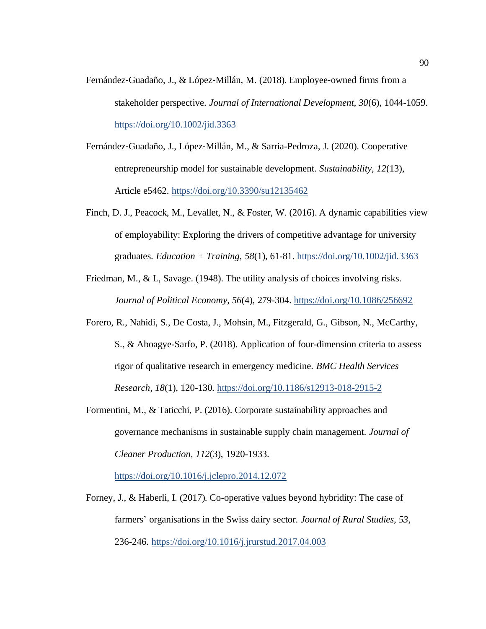- Fernández‐Guadaño, J., & López‐Millán, M. (2018). Employee‐owned firms from a stakeholder perspective. *Journal of International Development, 30*(6), 1044-1059. <https://doi.org/10.1002/jid.3363>
- Fernández‐Guadaño, J., López‐Millán, M., & Sarria-Pedroza, J. (2020). Cooperative entrepreneurship model for sustainable development. *Sustainability, 12*(13), Article e5462. <https://doi.org/10.3390/su12135462>
- Finch, D. J., Peacock, M., Levallet, N., & Foster, W. (2016). A dynamic capabilities view of employability: Exploring the drivers of competitive advantage for university graduates. *Education + Training, 58*(1), 61-81. <https://doi.org/10.1002/jid.3363>
- Friedman, M., & L, Savage. (1948). The utility analysis of choices involving risks. *Journal of Political Economy, 56*(4), 279-304. <https://doi.org/10.1086/256692>
- Forero, R., Nahidi, S., De Costa, J., Mohsin, M., Fitzgerald, G., Gibson, N., McCarthy, S., & Aboagye-Sarfo, P. (2018). Application of four-dimension criteria to assess rigor of qualitative research in emergency medicine. *BMC Health Services Research, 18*(1), 120-130[. https://doi.org/10.1186/s12913-018-2915-2](https://doi.org/10.1186/s12913-018-2915-2)
- Formentini, M., & Taticchi, P. (2016). Corporate sustainability approaches and governance mechanisms in sustainable supply chain management. *Journal of Cleaner Production, 112*(3), 1920-1933.

<https://doi.org/10.1016/j.jclepro.2014.12.072>

Forney, J., & Haberli, I. (2017). Co-operative values beyond hybridity: The case of farmers' organisations in the Swiss dairy sector. *Journal of Rural Studies, 53*, 236-246.<https://doi.org/10.1016/j.jrurstud.2017.04.003>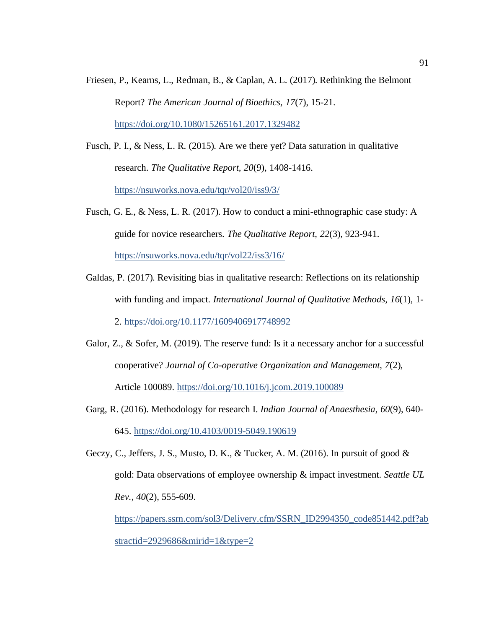Friesen, P., Kearns, L., Redman, B., & Caplan, A. L. (2017). Rethinking the Belmont Report? *The American Journal of Bioethics, 17*(7), 15-21. <https://doi.org/10.1080/15265161.2017.1329482>

Fusch, P. I., & Ness, L. R. (2015). Are we there yet? Data saturation in qualitative research. *The Qualitative Report, 20*(9), 1408-1416. <https://nsuworks.nova.edu/tqr/vol20/iss9/3/>

- Fusch, G. E., & Ness, L. R. (2017). How to conduct a mini-ethnographic case study: A guide for novice researchers. *The Qualitative Report, 22*(3), 923-941. <https://nsuworks.nova.edu/tqr/vol22/iss3/16/>
- Galdas, P. (2017). Revisiting bias in qualitative research: Reflections on its relationship with funding and impact. *International Journal of Qualitative Methods, 16*(1), 1- 2. [https://doi.org/10.1177/1609406917748992](https://doi.org/10.1177%2F1609406917748992)
- Galor, Z., & Sofer, M. (2019). The reserve fund: Is it a necessary anchor for a successful cooperative? *Journal of Co-operative Organization and Management, 7*(2), Article 100089.<https://doi.org/10.1016/j.jcom.2019.100089>
- Garg, R. (2016). Methodology for research I. *Indian Journal of Anaesthesia, 60*(9), 640- 645. [https://doi.org/10.4103/0019-5049.190619](https://dx.doi.org/10.4103%2F0019-5049.190619)
- Geczy, C., Jeffers, J. S., Musto, D. K., & Tucker, A. M. (2016). In pursuit of good  $\&$ gold: Data observations of employee ownership & impact investment. *Seattle UL Rev., 40*(2), 555-609.

[https://papers.ssrn.com/sol3/Delivery.cfm/SSRN\\_ID2994350\\_code851442.pdf?ab](https://papers.ssrn.com/sol3/Delivery.cfm/SSRN_ID2994350_code851442.pdf?abstractid=2929686&mirid=1&type=2) [stractid=2929686&mirid=1&type=2](https://papers.ssrn.com/sol3/Delivery.cfm/SSRN_ID2994350_code851442.pdf?abstractid=2929686&mirid=1&type=2)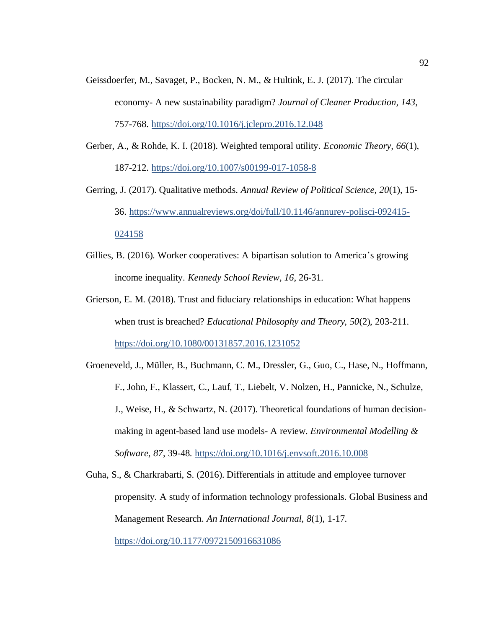- Geissdoerfer, M., Savaget, P., Bocken, N. M., & Hultink, E. J. (2017). The circular economy- A new sustainability paradigm? *Journal of Cleaner Production, 143*, 757-768. <https://doi.org/10.1016/j.jclepro.2016.12.048>
- Gerber, A., & Rohde, K. I. (2018). Weighted temporal utility. *Economic Theory, 66*(1), 187-212.<https://doi.org/10.1007/s00199-017-1058-8>
- Gerring, J. (2017). Qualitative methods. *Annual Review of Political Science, 20*(1), 15- 36. [https://www.annualreviews.org/doi/full/10.1146/annurev-polisci-092415-](https://www.annualreviews.org/doi/full/10.1146/annurev-polisci-092415-024158) [024158](https://www.annualreviews.org/doi/full/10.1146/annurev-polisci-092415-024158)
- Gillies, B. (2016). Worker cooperatives: A bipartisan solution to America's growing income inequality. *Kennedy School Review, 16*, 26-31.
- Grierson, E. M. (2018). Trust and fiduciary relationships in education: What happens when trust is breached? *Educational Philosophy and Theory, 50*(2), 203-211. <https://doi.org/10.1080/00131857.2016.1231052>
- Groeneveld, J., Müller, B., Buchmann, C. M., Dressler, G., Guo, C., Hase, N., Hoffmann, F., John, F., Klassert, C., Lauf, T., Liebelt, V. Nolzen, H., Pannicke, N., Schulze, J., Weise, H., & Schwartz, N. (2017). Theoretical foundations of human decisionmaking in agent-based land use models- A review. *Environmental Modelling & Software, 87*, 39-48[. https://doi.org/10.1016/j.envsoft.2016.10.008](https://doi.org/10.1016/j.envsoft.2016.10.008)
- Guha, S., & Charkrabarti, S. (2016). Differentials in attitude and employee turnover propensity. A study of information technology professionals. Global Business and Management Research. *An International Journal, 8*(1), 1-17. [https://doi.org/10.1177/0972150916631086](https://doi.org/10.1177%2F0972150916631086)

92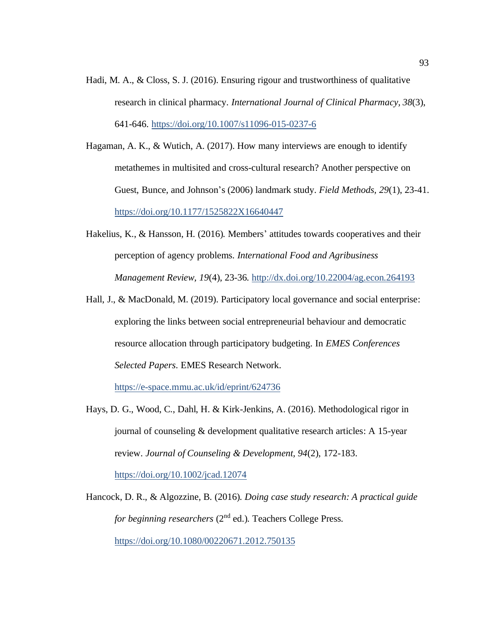- Hadi, M. A., & Closs, S. J. (2016). Ensuring rigour and trustworthiness of qualitative research in clinical pharmacy. *International Journal of Clinical Pharmacy, 38*(3), 641-646.<https://doi.org/10.1007/s11096-015-0237-6>
- Hagaman, A. K., & Wutich, A. (2017). How many interviews are enough to identify metathemes in multisited and cross-cultural research? Another perspective on Guest, Bunce, and Johnson's (2006) landmark study. *Field Methods, 29*(1), 23-41. <https://doi.org/10.1177/1525822X16640447>
- Hakelius, K., & Hansson, H. (2016). Members' attitudes towards cooperatives and their perception of agency problems. *International Food and Agribusiness Management Review, 19*(4), 23-36.<http://dx.doi.org/10.22004/ag.econ.264193>
- Hall, J., & MacDonald, M. (2019). Participatory local governance and social enterprise: exploring the links between social entrepreneurial behaviour and democratic resource allocation through participatory budgeting. In *EMES Conferences Selected Papers*. EMES Research Network.

<https://e-space.mmu.ac.uk/id/eprint/624736>

Hays, D. G., Wood, C., Dahl, H. & Kirk-Jenkins, A. (2016). Methodological rigor in journal of counseling & development qualitative research articles: A 15-year review. *Journal of Counseling & Development, 94*(2), 172-183. <https://doi.org/10.1002/jcad.12074>

Hancock, D. R., & Algozzine, B. (2016). *Doing case study research: A practical guide for beginning researchers* (2<sup>nd</sup> ed.). Teachers College Press. <https://doi.org/10.1080/00220671.2012.750135>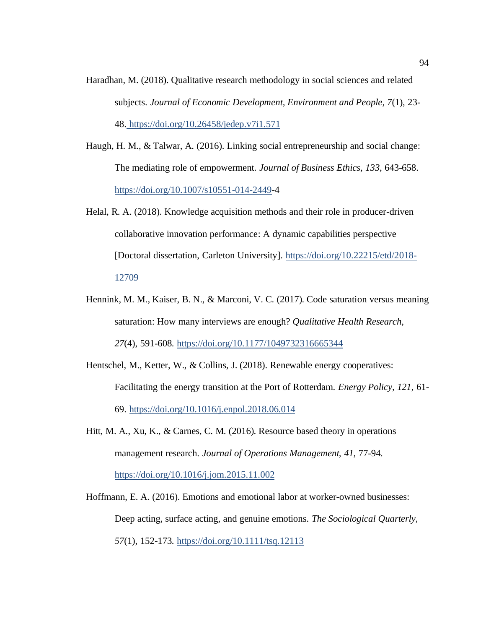- Haradhan, M. (2018). Qualitative research methodology in social sciences and related subjects. *Journal of Economic Development, Environment and People, 7*(1), 23- 48. <https://doi.org/10.26458/jedep.v7i1.571>
- Haugh, H. M., & Talwar, A. (2016). Linking social entrepreneurship and social change: The mediating role of empowerment. *Journal of Business Ethics, 133*, 643-658. [https://doi.org/10.1007/s10551-014-2449-](https://doi.org/10.1007/s10551-014-2449-4)4
- Helal, R. A. (2018). Knowledge acquisition methods and their role in producer-driven collaborative innovation performance: A dynamic capabilities perspective [Doctoral dissertation, Carleton University]. [https://doi.org/10.22215/etd/2018-](https://doi.org/10.22215/etd/2018-12709) [12709](https://doi.org/10.22215/etd/2018-12709)
- Hennink, M. M., Kaiser, B. N., & Marconi, V. C. (2017). Code saturation versus meaning saturation: How many interviews are enough? *Qualitative Health Research, 27*(4), 591-608. [https://doi.org/10.1177/1049732316665344](https://doi.org/10.1177%2F1049732316665344)
- Hentschel, M., Ketter, W., & Collins, J. (2018). Renewable energy cooperatives: Facilitating the energy transition at the Port of Rotterdam. *Energy Policy, 121*, 61- 69. <https://doi.org/10.1016/j.enpol.2018.06.014>
- Hitt, M. A., Xu, K., & Carnes, C. M. (2016). Resource based theory in operations management research. *Journal of Operations Management, 41*, 77-94. <https://doi.org/10.1016/j.jom.2015.11.002>
- Hoffmann, E. A. (2016). Emotions and emotional labor at worker-owned businesses: Deep acting, surface acting, and genuine emotions. *The Sociological Quarterly, 57*(1), 152-173.<https://doi.org/10.1111/tsq.12113>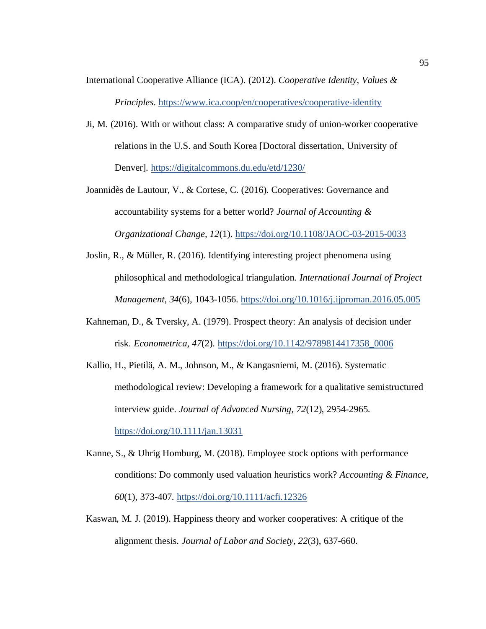- International Cooperative Alliance (ICA). (2012). *Cooperative Identity, Values & Principles*. <https://www.ica.coop/en/cooperatives/cooperative-identity>
- Ji, M. (2016). With or without class: A comparative study of union-worker cooperative relations in the U.S. and South Korea [Doctoral dissertation, University of Denver].<https://digitalcommons.du.edu/etd/1230/>
- Joannidès de Lautour, V., & Cortese, C. (2016). Cooperatives: Governance and accountability systems for a better world? *Journal of Accounting & Organizational Change, 12*(1). <https://doi.org/10.1108/JAOC-03-2015-0033>
- Joslin, R., & Müller, R. (2016). Identifying interesting project phenomena using philosophical and methodological triangulation. *International Journal of Project Management, 34*(6), 1043-1056[. https://doi.org/10.1016/j.ijproman.2016.05.005](https://doi.org/10.1016/j.ijproman.2016.05.005)
- Kahneman, D., & Tversky, A. (1979). Prospect theory: An analysis of decision under risk. *Econometrica, 47*(2). [https://doi.org/10.1142/9789814417358\\_0006](https://doi.org/10.1142/9789814417358_0006)
- Kallio, H., Pietilä, A. M., Johnson, M., & Kangasniemi, M. (2016). Systematic methodological review: Developing a framework for a qualitative semistructured interview guide. *Journal of Advanced Nursing, 72*(12), 2954-2965. <https://doi.org/10.1111/jan.13031>

Kanne, S., & Uhrig Homburg, M. (2018). Employee stock options with performance conditions: Do commonly used valuation heuristics work? *Accounting & Finance, 60*(1), 373-407. <https://doi.org/10.1111/acfi.12326>

Kaswan, M. J. (2019). Happiness theory and worker cooperatives: A critique of the alignment thesis. *Journal of Labor and Society, 22*(3), 637-660.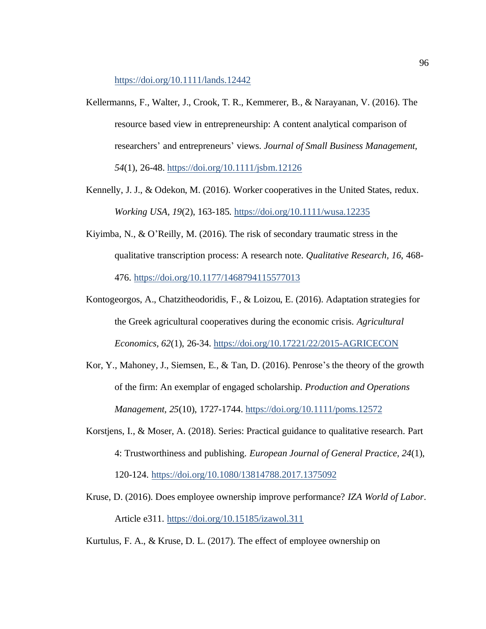<https://doi.org/10.1111/lands.12442>

- Kellermanns, F., Walter, J., Crook, T. R., Kemmerer, B., & Narayanan, V. (2016). The resource based view in entrepreneurship: A content analytical comparison of researchers' and entrepreneurs' views. *Journal of Small Business Management, 54*(1), 26-48.<https://doi.org/10.1111/jsbm.12126>
- Kennelly, J. J., & Odekon, M. (2016). Worker cooperatives in the United States, redux. *Working USA, 19*(2), 163-185.<https://doi.org/10.1111/wusa.12235>
- Kiyimba, N., & O'Reilly, M. (2016). The risk of secondary traumatic stress in the qualitative transcription process: A research note. *Qualitative Research, 16*, 468- 476. [https://doi.org/10.1177/1468794115577013](https://doi.org/10.1177%2F1468794115577013)
- Kontogeorgos, A., Chatzitheodoridis, F., & Loizou, E. (2016). Adaptation strategies for the Greek agricultural cooperatives during the economic crisis. *Agricultural Economics, 62*(1), 26-34. <https://doi.org/10.17221/22/2015-AGRICECON>
- Kor, Y., Mahoney, J., Siemsen, E., & Tan, D. (2016). Penrose's the theory of the growth of the firm: An exemplar of engaged scholarship. *Production and Operations Management, 25*(10), 1727-1744[. https://doi.org/10.1111/poms.12572](https://doi.org/10.1111/poms.12572)
- Korstjens, I., & Moser, A. (2018). Series: Practical guidance to qualitative research. Part 4: Trustworthiness and publishing. *European Journal of General Practice, 24*(1), 120-124.<https://doi.org/10.1080/13814788.2017.1375092>
- Kruse, D. (2016). Does employee ownership improve performance? *IZA World of Labor*. Article e311[. https://doi.org/10.15185/izawol.311](https://doi.org/10.15185/izawol.311)
- Kurtulus, F. A., & Kruse, D. L. (2017). The effect of employee ownership on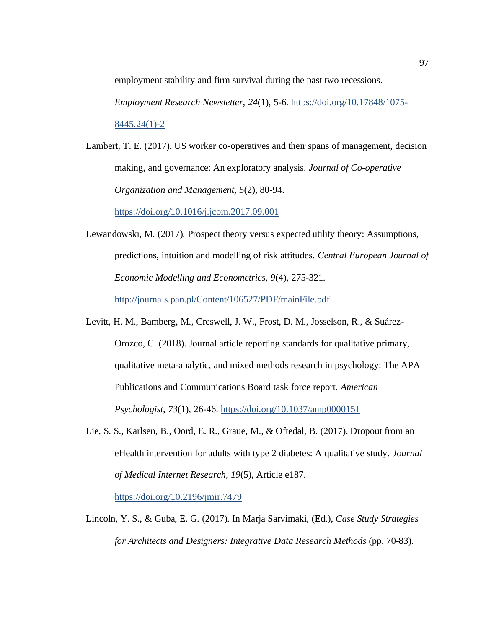employment stability and firm survival during the past two recessions.

*Employment Research Newsletter, 24*(1), 5-6. [https://doi.org/10.17848/1075-](https://doi.org/10.17848/1075-8445.24(1)-2)

[8445.24\(1\)-2](https://doi.org/10.17848/1075-8445.24(1)-2)

Lambert, T. E. (2017). US worker co-operatives and their spans of management, decision making, and governance: An exploratory analysis. *Journal of Co-operative Organization and Management, 5*(2), 80-94.

<https://doi.org/10.1016/j.jcom.2017.09.001>

Lewandowski, M. (2017). Prospect theory versus expected utility theory: Assumptions, predictions, intuition and modelling of risk attitudes. *Central European Journal of Economic Modelling and Econometrics, 9*(4), 275-321.

<http://journals.pan.pl/Content/106527/PDF/mainFile.pdf>

- Levitt, H. M., Bamberg, M., Creswell, J. W., Frost, D. M., Josselson, R., & Suárez-Orozco, C. (2018). Journal article reporting standards for qualitative primary, qualitative meta-analytic, and mixed methods research in psychology: The APA Publications and Communications Board task force report. *American Psychologist, 73*(1), 26-46[. https://doi.org/10.1037/amp0000151](https://doi.org/10.1037/amp0000151)
- Lie, S. S., Karlsen, B., Oord, E. R., Graue, M., & Oftedal, B. (2017). Dropout from an eHealth intervention for adults with type 2 diabetes: A qualitative study*. Journal of Medical Internet Research, 19*(5), Article e187.

<https://doi.org/10.2196/jmir.7479>

Lincoln, Y. S., & Guba, E. G. (2017). In Marja Sarvimaki, (Ed.), *Case Study Strategies for Architects and Designers: Integrative Data Research Methods* (pp. 70-83).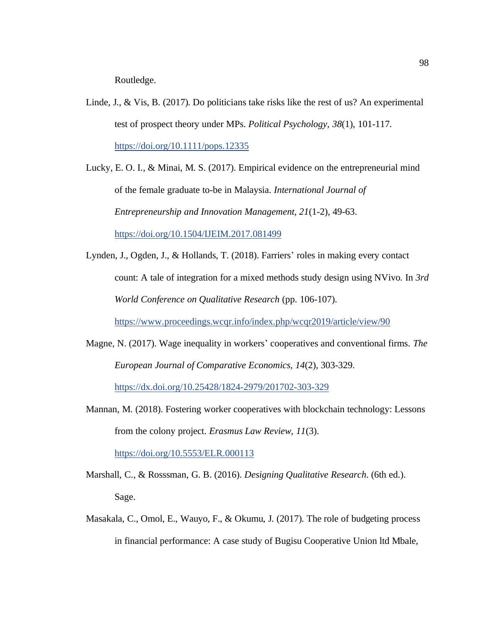Routledge.

Linde, J., & Vis, B. (2017). Do politicians take risks like the rest of us? An experimental test of prospect theory under MPs. *Political Psychology, 38*(1), 101-117. <https://doi.org/10.1111/pops.12335>

Lucky, E. O. I., & Minai, M. S. (2017). Empirical evidence on the entrepreneurial mind of the female graduate to-be in Malaysia. *International Journal of Entrepreneurship and Innovation Management, 21*(1-2), 49-63. <https://doi.org/10.1504/IJEIM.2017.081499>

Lynden, J., Ogden, J., & Hollands, T. (2018). Farriers' roles in making every contact count: A tale of integration for a mixed methods study design using NVivo. In *3rd World Conference on Qualitative Research* (pp. 106-107).

<https://www.proceedings.wcqr.info/index.php/wcqr2019/article/view/90>

- Magne, N. (2017). Wage inequality in workers' cooperatives and conventional firms. *The European Journal of Comparative Economics, 14*(2), 303-329. <https://dx.doi.org/10.25428/1824-2979/201702-303-329>
- Mannan, M. (2018). Fostering worker cooperatives with blockchain technology: Lessons from the colony project. *Erasmus Law Review, 11*(3). <https://doi.org/10.5553/ELR.000113>
- Marshall, C., & Rosssman, G. B. (2016). *Designing Qualitative Research*. (6th ed.). Sage.
- Masakala, C., Omol, E., Wauyo, F., & Okumu, J. (2017). The role of budgeting process in financial performance: A case study of Bugisu Cooperative Union ltd Mbale,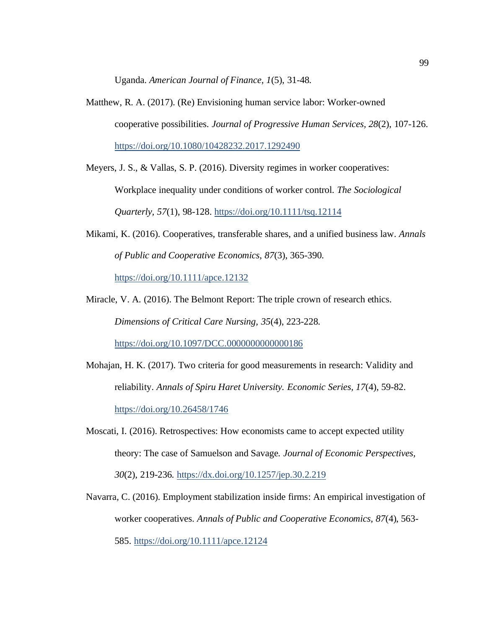Uganda. *American Journal of Finance, 1*(5), 31-48.

Matthew, R. A. (2017). (Re) Envisioning human service labor: Worker-owned cooperative possibilities. *Journal of Progressive Human Services, 28*(2), 107-126. <https://doi.org/10.1080/10428232.2017.1292490>

Meyers, J. S., & Vallas, S. P. (2016). Diversity regimes in worker cooperatives:

Workplace inequality under conditions of worker control. *The Sociological Quarterly, 57*(1), 98-128[. https://doi.org/10.1111/tsq.12114](https://doi.org/10.1111/tsq.12114)

Mikami, K. (2016). Cooperatives, transferable shares, and a unified business law. *Annals of Public and Cooperative Economics, 87*(3), 365-390. <https://doi.org/10.1111/apce.12132>

Miracle, V. A. (2016). The Belmont Report: The triple crown of research ethics. *Dimensions of Critical Care Nursing, 35*(4), 223-228. <https://doi.org/10.1097/DCC.0000000000000186>

Mohajan, H. K. (2017). Two criteria for good measurements in research: Validity and reliability. *Annals of Spiru Haret University. Economic Series, 17*(4), 59-82. <https://doi.org/10.26458/1746>

Moscati, I. (2016). Retrospectives: How economists came to accept expected utility theory: The case of Samuelson and Savage. *Journal of Economic Perspectives, 30*(2), 219-236.<https://dx.doi.org/10.1257/jep.30.2.219>

Navarra, C. (2016). Employment stabilization inside firms: An empirical investigation of worker cooperatives. *Annals of Public and Cooperative Economics, 87*(4), 563- 585.<https://doi.org/10.1111/apce.12124>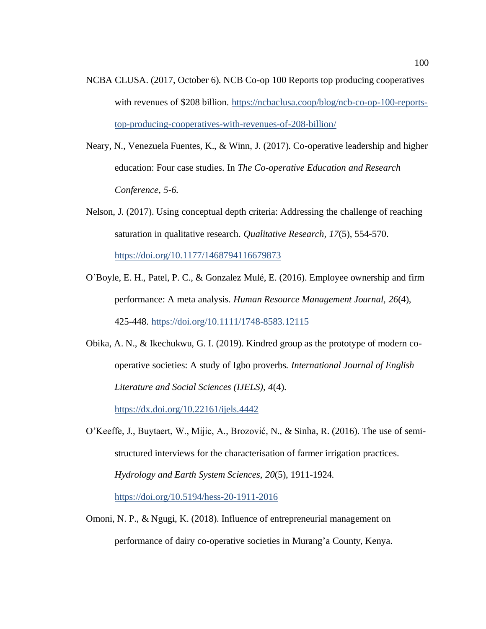- NCBA CLUSA. (2017, October 6). NCB Co-op 100 Reports top producing cooperatives with revenues of \$208 billion. [https://ncbaclusa.coop/blog/ncb-co-op-100-reports](https://ncbaclusa.coop/blog/ncb-co-op-100-reports-top-producing-cooperatives-with-revenues-of-208-billion/)[top-producing-cooperatives-with-revenues-of-208-billion/](https://ncbaclusa.coop/blog/ncb-co-op-100-reports-top-producing-cooperatives-with-revenues-of-208-billion/)
- Neary, N., Venezuela Fuentes, K., & Winn, J. (2017). Co-operative leadership and higher education: Four case studies. In *The Co-operative Education and Research Conference, 5-6*.
- Nelson, J. (2017). Using conceptual depth criteria: Addressing the challenge of reaching saturation in qualitative research. *Qualitative Research, 17*(5), 554-570. [https://doi.org/10.1177/1468794116679873](https://doi.org/10.1177%2F1468794116679873)
- O'Boyle, E. H., Patel, P. C., & Gonzalez Mulé, E. (2016). Employee ownership and firm performance: A meta analysis. *Human Resource Management Journal, 26*(4), 425-448. <https://doi.org/10.1111/1748-8583.12115>
- Obika, A. N., & Ikechukwu, G. I. (2019). Kindred group as the prototype of modern cooperative societies: A study of Igbo proverbs. *International Journal of English Literature and Social Sciences (IJELS), 4*(4).

<https://dx.doi.org/10.22161/ijels.4442>

O'Keeffe, J., Buytaert, W., Mijic, A., Brozović, N., & Sinha, R. (2016). The use of semistructured interviews for the characterisation of farmer irrigation practices. *Hydrology and Earth System Sciences, 20*(5), 1911-1924.

<https://doi.org/10.5194/hess-20-1911-2016>

Omoni, N. P., & Ngugi, K. (2018). Influence of entrepreneurial management on performance of dairy co-operative societies in Murang'a County, Kenya.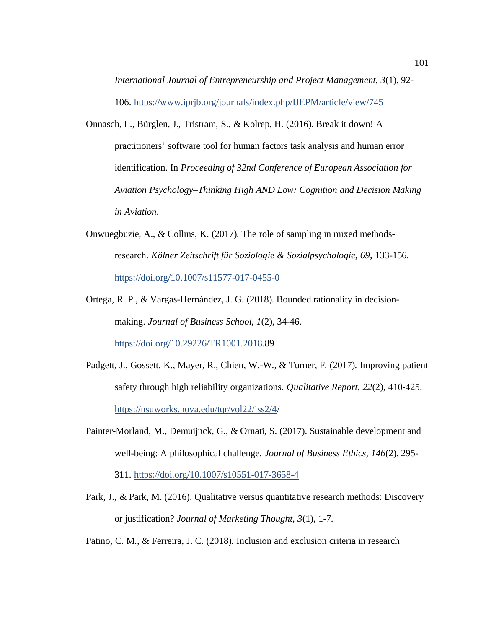*International Journal of Entrepreneurship and Project Management, 3*(1), 92- 106. <https://www.iprjb.org/journals/index.php/IJEPM/article/view/745>

- Onnasch, L., Bürglen, J., Tristram, S., & Kolrep, H. (2016). Break it down! A practitioners' software tool for human factors task analysis and human error identification. In *Proceeding of 32nd Conference of European Association for Aviation Psychology–Thinking High AND Low: Cognition and Decision Making in Aviation*.
- Onwuegbuzie, A., & Collins, K. (2017). The role of sampling in mixed methodsresearch. *Kölner Zeitschrift für Soziologie & Sozialpsychologie, 69*, 133-156. <https://doi.org/10.1007/s11577-017-0455-0>
- Ortega, R. P., & Vargas-Hernández, J. G. (2018). Bounded rationality in decisionmaking. *Journal of Business School, 1*(2), 34-46. [https://doi.org/10.29226/TR1001.2018.8](https://doi.org/10.29226/TR1001.2018.89)9
- Padgett, J., Gossett, K., Mayer, R., Chien, W.-W., & Turner, F. (2017). Improving patient safety through high reliability organizations. *Qualitative Report, 22*(2), 410-425. <https://nsuworks.nova.edu/tqr/vol22/iss2/4/>
- Painter-Morland, M., Demuijnck, G., & Ornati, S. (2017). Sustainable development and well-being: A philosophical challenge. *Journal of Business Ethics, 146*(2), 295- 311.<https://doi.org/10.1007/s10551-017-3658-4>
- Park, J., & Park, M. (2016). Qualitative versus quantitative research methods: Discovery or justification? *Journal of Marketing Thought, 3*(1), 1-7.
- Patino, C. M., & Ferreira, J. C. (2018). Inclusion and exclusion criteria in research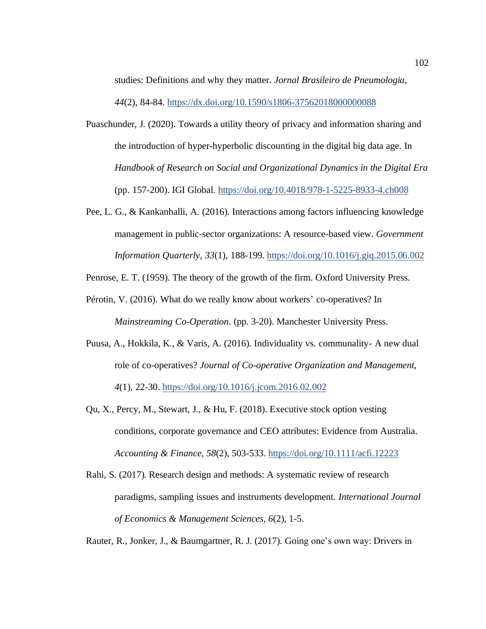studies: Definitions and why they matter. *Jornal Brasileiro de Pneumologia, 44*(2), 84-84.<https://dx.doi.org/10.1590/s1806-37562018000000088>

- Puaschunder, J. (2020). Towards a utility theory of privacy and information sharing and the introduction of hyper-hyperbolic discounting in the digital big data age. In *Handbook of Research on Social and Organizational Dynamics in the Digital Era* (pp. 157-200). IGI Global.<https://doi.org/10.4018/978-1-5225-8933-4.ch008>
- Pee, L. G., & Kankanhalli, A. (2016). Interactions among factors influencing knowledge management in public-sector organizations: A resource-based view. *Government Information Quarterly, 33*(1), 188-199[. https://doi.org/10.1016/j.giq.2015.06.002](https://doi.org/10.1016/j.giq.2015.06.002)

Penrose, E. T. (1959). The theory of the growth of the firm. Oxford University Press.

- Pérotin, V. (2016). What do we really know about workers' co-operatives? In *Mainstreaming Co-Operation*. (pp. 3-20). Manchester University Press.
- Puusa, A., Hokkila, K., & Varis, A. (2016). Individuality vs. communality- A new dual role of co-operatives? *Journal of Co-operative Organization and Management, 4*(1), 22-30.<https://doi.org/10.1016/j.jcom.2016.02.002>
- Qu, X., Percy, M., Stewart, J., & Hu, F. (2018). Executive stock option vesting conditions, corporate governance and CEO attributes: Evidence from Australia. *Accounting & Finance, 58*(2), 503-533[. https://doi.org/10.1111/acfi.12223](https://doi.org/10.1111/acfi.12223)
- Rahi, S. (2017). Research design and methods: A systematic review of research paradigms, sampling issues and instruments development*. International Journal of Economics & Management Sciences, 6*(2), 1-5.

Rauter, R., Jonker, J., & Baumgartner, R. J. (2017). Going one's own way: Drivers in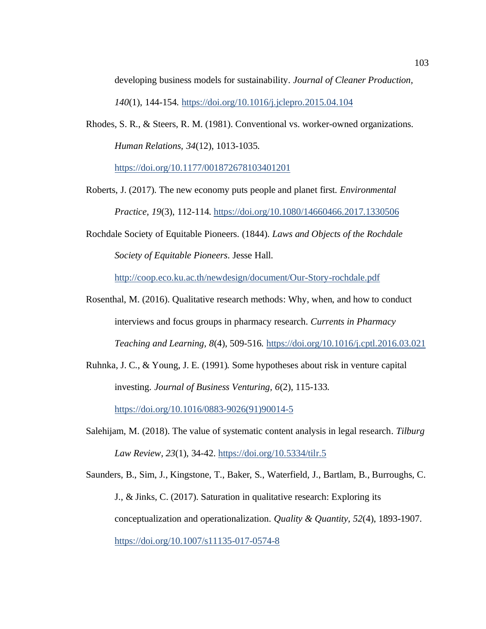developing business models for sustainability. *Journal of Cleaner Production,* 

*140*(1), 144-154.<https://doi.org/10.1016/j.jclepro.2015.04.104>

Rhodes, S. R., & Steers, R. M. (1981). Conventional vs. worker-owned organizations. *Human Relations, 34*(12), 1013-1035.

[https://doi.org/10.1177/001872678103401201](https://doi.org/10.1177%2F001872678103401201)

- Roberts, J. (2017). The new economy puts people and planet first. *Environmental Practice, 19*(3), 112-114[. https://doi.org/10.1080/14660466.2017.1330506](https://doi.org/10.1080/14660466.2017.1330506)
- Rochdale Society of Equitable Pioneers. (1844). *Laws and Objects of the Rochdale Society of Equitable Pioneers*. Jesse Hall.

<http://coop.eco.ku.ac.th/newdesign/document/Our-Story-rochdale.pdf>

- Rosenthal, M. (2016). Qualitative research methods: Why, when, and how to conduct interviews and focus groups in pharmacy research. *Currents in Pharmacy Teaching and Learning, 8*(4), 509-516[. https://doi.org/10.1016/j.cptl.2016.03.021](https://doi.org/10.1016/j.cptl.2016.03.021)
- Ruhnka, J. C., & Young, J. E. (1991). Some hypotheses about risk in venture capital investing. *Journal of Business Venturing, 6*(2), 115-133.

[https://doi.org/10.1016/0883-9026\(91\)90014-5](https://doi.org/10.1016/0883-9026(91)90014-5)

Salehijam, M. (2018). The value of systematic content analysis in legal research. *Tilburg Law Review, 23*(1), 34-42[. https://doi.org/10.5334/tilr.5](https://doi.org/10.5334/tilr.5)

Saunders, B., Sim, J., Kingstone, T., Baker, S., Waterfield, J., Bartlam, B., Burroughs, C. J., & Jinks, C. (2017). Saturation in qualitative research: Exploring its conceptualization and operationalization. *Quality & Quantity, 52*(4), 1893-1907. <https://doi.org/10.1007/s11135-017-0574-8>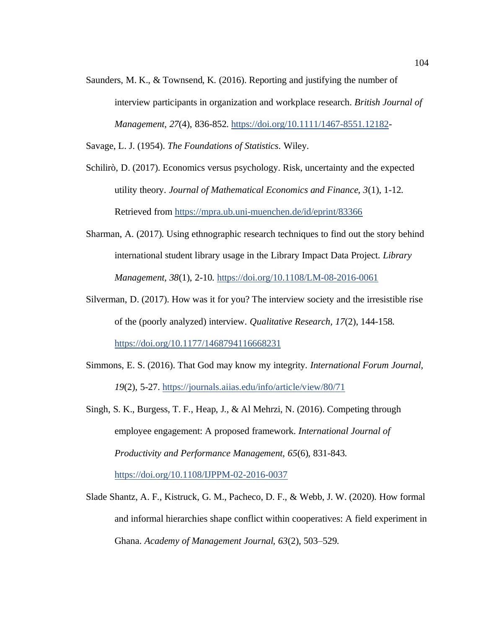Saunders, M. K., & Townsend, K. (2016). Reporting and justifying the number of interview participants in organization and workplace research. *British Journal of Management, 27*(4), 836-852[. https://doi.org/10.1111/1467-8551.12182-](https://doi.org/10.1111/1467-8551.12182)

Savage, L. J. (1954). *The Foundations of Statistics*. Wiley.

Schilirò, D. (2017). Economics versus psychology. Risk, uncertainty and the expected utility theory. *Journal of Mathematical Economics and Finance, 3*(1), 1-12. Retrieved from<https://mpra.ub.uni-muenchen.de/id/eprint/83366>

- Sharman, A. (2017). Using ethnographic research techniques to find out the story behind international student library usage in the Library Impact Data Project. *Library Management, 38*(1), 2-10[. https://doi.org/10.1108/LM-08-2016-0061](https://doi.org/10.1108/LM-08-2016-0061)
- Silverman, D. (2017). How was it for you? The interview society and the irresistible rise of the (poorly analyzed) interview. *Qualitative Research, 17*(2), 144-158. [https://doi.org/10.1177/1468794116668231](https://doi.org/10.1177%2F1468794116668231)
- Simmons, E. S. (2016). That God may know my integrity*. International Forum Journal, 19*(2), 5-27.<https://journals.aiias.edu/info/article/view/80/71>
- Singh, S. K., Burgess, T. F., Heap, J., & Al Mehrzi, N. (2016). Competing through employee engagement: A proposed framework. *International Journal of Productivity and Performance Management, 65*(6), 831-843. <https://doi.org/10.1108/IJPPM-02-2016-0037>
- Slade Shantz, A. F., Kistruck, G. M., Pacheco, D. F., & Webb, J. W. (2020). How formal and informal hierarchies shape conflict within cooperatives: A field experiment in Ghana. *Academy of Management Journal, 63*(2), 503–529.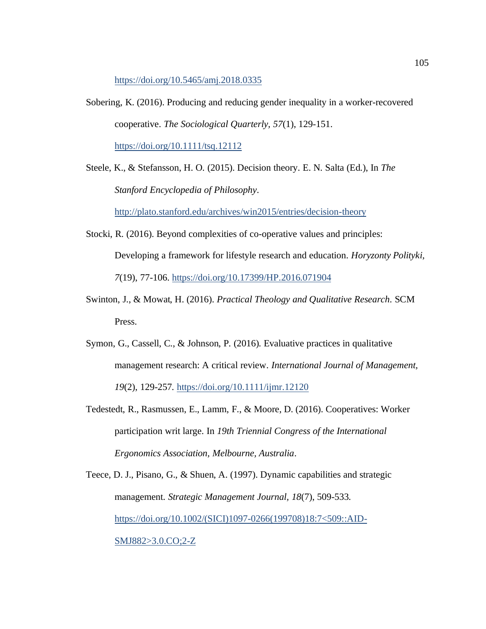<https://doi.org/10.5465/amj.2018.0335>

- Sobering, K. (2016). Producing and reducing gender inequality in a worker-recovered cooperative. *The Sociological Quarterly, 57*(1), 129-151. <https://doi.org/10.1111/tsq.12112>
- Steele, K., & Stefansson, H. O. (2015). Decision theory. E. N. Salta (Ed.), In *The Stanford Encyclopedia of Philosophy*.

<http://plato.stanford.edu/archives/win2015/entries/decision-theory>

- Stocki, R. (2016). Beyond complexities of co-operative values and principles: Developing a framework for lifestyle research and education. *Horyzonty Polityki, 7*(19), 77-106.<https://doi.org/10.17399/HP.2016.071904>
- Swinton, J., & Mowat, H. (2016). *Practical Theology and Qualitative Research*. SCM Press.
- Symon, G., Cassell, C., & Johnson, P. (2016). Evaluative practices in qualitative management research: A critical review. *International Journal of Management, 19*(2), 129-257.<https://doi.org/10.1111/ijmr.12120>
- Tedestedt, R., Rasmussen, E., Lamm, F., & Moore, D. (2016). Cooperatives: Worker participation writ large. In *19th Triennial Congress of the International Ergonomics Association, Melbourne, Australia*.

Teece, D. J., Pisano, G., & Shuen, A. (1997). Dynamic capabilities and strategic management. *Strategic Management Journal, 18*(7), 509-533. [https://doi.org/10.1002/\(SICI\)1097-0266\(199708\)18:7<509::AID-](https://doi.org/10.1002/(SICI)1097-0266(199708)18:7%3C509::AID-SMJ882%3E3.0.CO;2-Z)[SMJ882>3.0.CO;2-Z](https://doi.org/10.1002/(SICI)1097-0266(199708)18:7%3C509::AID-SMJ882%3E3.0.CO;2-Z)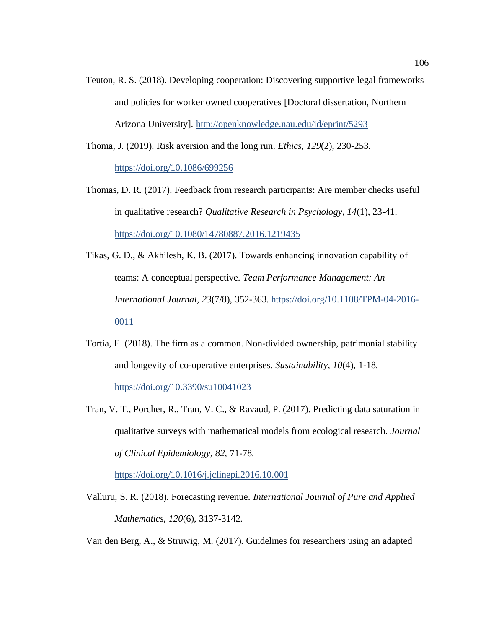Teuton, R. S. (2018). Developing cooperation: Discovering supportive legal frameworks and policies for worker owned cooperatives [Doctoral dissertation, Northern Arizona University].<http://openknowledge.nau.edu/id/eprint/5293>

Thoma, J. (2019). Risk aversion and the long run. *Ethics, 129*(2), 230-253.

<https://doi.org/10.1086/699256>

- Thomas, D. R. (2017). Feedback from research participants: Are member checks useful in qualitative research? *Qualitative Research in Psychology, 14*(1), 23-41. <https://doi.org/10.1080/14780887.2016.1219435>
- Tikas, G. D., & Akhilesh, K. B. (2017). Towards enhancing innovation capability of teams: A conceptual perspective. *Team Performance Management: An International Journal, 23*(7/8), 352-363. [https://doi.org/10.1108/TPM-04-2016-](https://doi.org/10.1108/TPM-04-2016-0011) [0011](https://doi.org/10.1108/TPM-04-2016-0011)
- Tortia, E. (2018). The firm as a common. Non-divided ownership, patrimonial stability and longevity of co-operative enterprises. *Sustainability, 10*(4), 1-18. <https://doi.org/10.3390/su10041023>
- Tran, V. T., Porcher, R., Tran, V. C., & Ravaud, P. (2017). Predicting data saturation in qualitative surveys with mathematical models from ecological research. *Journal of Clinical Epidemiology, 82*, 71-78.

<https://doi.org/10.1016/j.jclinepi.2016.10.001>

Valluru, S. R. (2018). Forecasting revenue. *International Journal of Pure and Applied Mathematics, 120*(6), 3137-3142.

Van den Berg, A., & Struwig, M. (2017). Guidelines for researchers using an adapted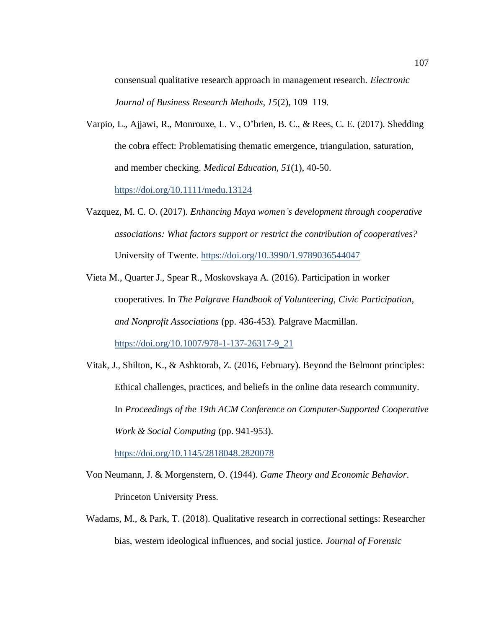consensual qualitative research approach in management research. *Electronic Journal of Business Research Methods, 15*(2), 109–119.

Varpio, L., Ajjawi, R., Monrouxe, L. V., O'brien, B. C., & Rees, C. E. (2017). Shedding the cobra effect: Problematising thematic emergence, triangulation, saturation, and member checking. *Medical Education, 51*(1), 40-50.

<https://doi.org/10.1111/medu.13124>

- Vazquez, M. C. O. (2017). *Enhancing Maya women's development through cooperative associations: What factors support or restrict the contribution of cooperatives?* University of Twente[. https://doi.org/10.3990/1.9789036544047](https://doi.org/10.3990/1.9789036544047)
- Vieta M., Quarter J., Spear R., Moskovskaya A. (2016). Participation in worker cooperatives. In *The Palgrave Handbook of Volunteering, Civic Participation, and Nonprofit Associations* (pp. 436-453). Palgrave Macmillan. [https://doi.org/10.1007/978-1-137-26317-9\\_21](https://doi.org/10.1007/978-1-137-26317-9_21)
- Vitak, J., Shilton, K., & Ashktorab, Z. (2016, February). Beyond the Belmont principles: Ethical challenges, practices, and beliefs in the online data research community. In *Proceedings of the 19th ACM Conference on Computer-Supported Cooperative Work & Social Computing* (pp. 941-953).

<https://doi.org/10.1145/2818048.2820078>

- Von Neumann, J. & Morgenstern, O. (1944). *Game Theory and Economic Behavior*. Princeton University Press.
- Wadams, M., & Park, T. (2018). Qualitative research in correctional settings: Researcher bias, western ideological influences, and social justice. *Journal of Forensic*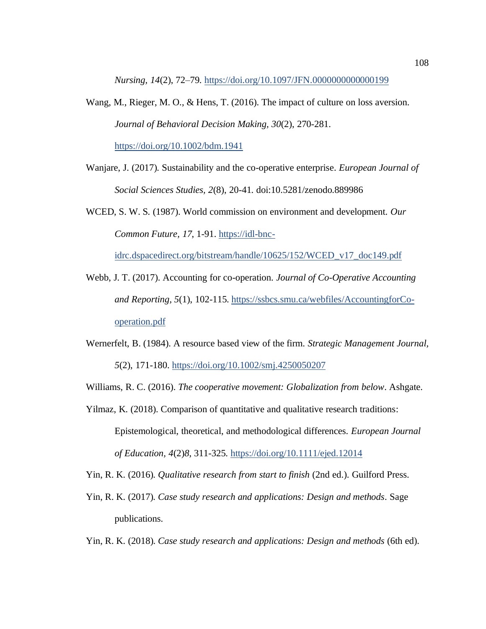*Nursing, 14*(2), 72–79[. https://doi.org/10.1097/JFN.0000000000000199](https://doi.org/10.1097/JFN.0000000000000199)

- Wang, M., Rieger, M. O., & Hens, T. (2016). The impact of culture on loss aversion. *Journal of Behavioral Decision Making, 30*(2), 270-281. <https://doi.org/10.1002/bdm.1941>
- Wanjare, J. (2017). Sustainability and the co-operative enterprise. *European Journal of Social Sciences Studies, 2*(8), 20-41. doi:10.5281/zenodo.889986
- WCED, S. W. S. (1987). World commission on environment and development. *Our Common Future, 17*, 1-91. [https://idl-bnc-](https://idl-bnc-idrc.dspacedirect.org/bitstream/handle/10625/152/WCED_v17_doc149.pdf)

[idrc.dspacedirect.org/bitstream/handle/10625/152/WCED\\_v17\\_doc149.pdf](https://idl-bnc-idrc.dspacedirect.org/bitstream/handle/10625/152/WCED_v17_doc149.pdf)

- Webb, J. T. (2017). Accounting for co-operation. *Journal of Co-Operative Accounting and Reporting, 5*(1), 102-115. [https://ssbcs.smu.ca/webfiles/AccountingforCo](https://ssbcs.smu.ca/webfiles/AccountingforCo-operation.pdf)[operation.pdf](https://ssbcs.smu.ca/webfiles/AccountingforCo-operation.pdf)
- Wernerfelt, B. (1984). A resource based view of the firm. *Strategic Management Journal, 5*(2), 171-180.<https://doi.org/10.1002/smj.4250050207>
- Williams, R. C. (2016). *The cooperative movement: Globalization from below*. Ashgate.
- Yilmaz, K. (2018). Comparison of quantitative and qualitative research traditions: Epistemological, theoretical, and methodological differences. *European Journal of Education, 4*(2)*8*, 311-325[. https://doi.org/10.1111/ejed.12014](https://doi.org/10.1111/ejed.12014)
- Yin, R. K. (2016). *Qualitative research from start to finish* (2nd ed.). Guilford Press.
- Yin, R. K. (2017). *Case study research and applications: Design and methods*. Sage publications.
- Yin, R. K. (2018). *Case study research and applications: Design and methods* (6th ed).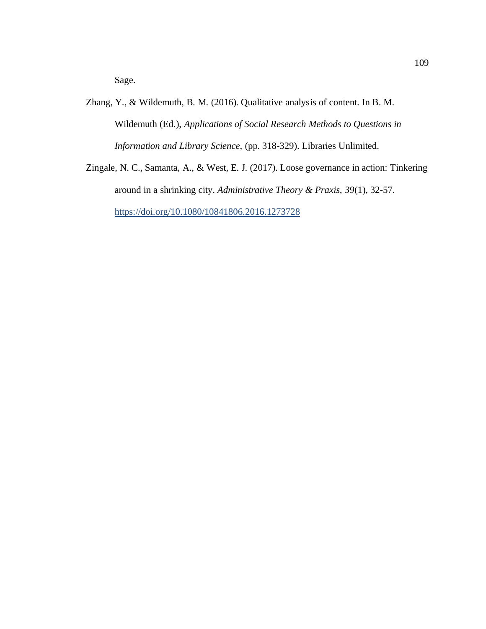Sage.

- Zhang, Y., & Wildemuth, B. M. (2016). Qualitative analysis of content. In B. M. Wildemuth (Ed.), *Applications of Social Research Methods to Questions in Information and Library Science*, (pp. 318-329). Libraries Unlimited.
- Zingale, N. C., Samanta, A., & West, E. J. (2017). Loose governance in action: Tinkering around in a shrinking city. *Administrative Theory & Praxis, 39*(1), 32-57. <https://doi.org/10.1080/10841806.2016.1273728>